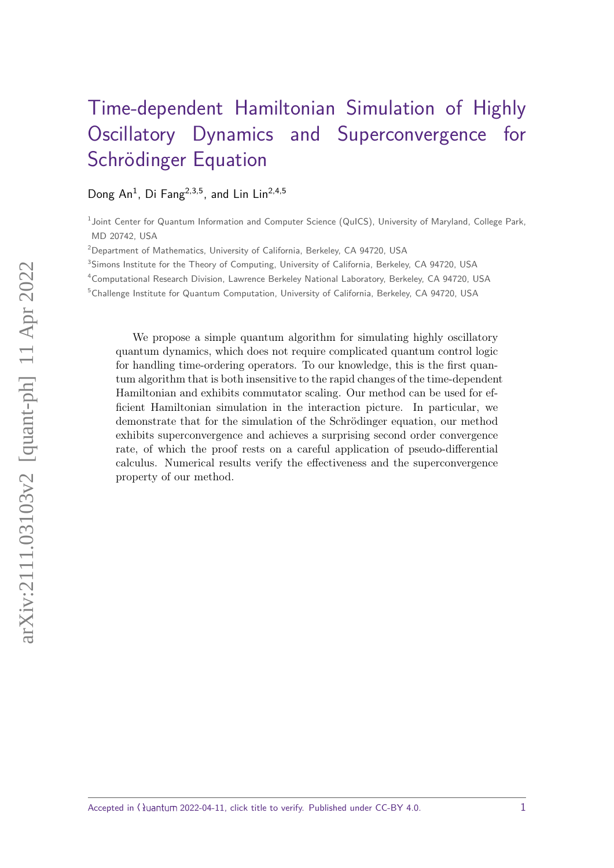# [Time-dependent Hamiltonian Simulation of Highly](https://quantum-journal.org/?s=Time-dependent%20Hamiltonian%20Simulation%20of%20Highly%20Oscillatory%20Dynamics%20and%20Superconvergence%20for%20Schr\"odinger%20Equation&reason=title-click) [Oscillatory Dynamics and Superconvergence for](https://quantum-journal.org/?s=Time-dependent%20Hamiltonian%20Simulation%20of%20Highly%20Oscillatory%20Dynamics%20and%20Superconvergence%20for%20Schr\"odinger%20Equation&reason=title-click) [Schrödinger Equation](https://quantum-journal.org/?s=Time-dependent%20Hamiltonian%20Simulation%20of%20Highly%20Oscillatory%20Dynamics%20and%20Superconvergence%20for%20Schr\"odinger%20Equation&reason=title-click)

## Dong An<sup>1</sup>, Di Fang<sup>2,3,5</sup>, and Lin Lin<sup>2,4,5</sup>

<sup>1</sup> Joint Center for Quantum Information and Computer Science (QuICS), University of Maryland, College Park, MD 20742, USA

<sup>2</sup>Department of Mathematics, University of California, Berkeley, CA 94720, USA

<sup>3</sup>Simons Institute for the Theory of Computing, University of California, Berkeley, CA 94720, USA

<sup>4</sup>Computational Research Division, Lawrence Berkeley National Laboratory, Berkeley, CA 94720, USA

<sup>5</sup>Challenge Institute for Quantum Computation, University of California, Berkeley, CA 94720, USA

We propose a simple quantum algorithm for simulating highly oscillatory quantum dynamics, which does not require complicated quantum control logic for handling time-ordering operators. To our knowledge, this is the first quantum algorithm that is both insensitive to the rapid changes of the time-dependent Hamiltonian and exhibits commutator scaling. Our method can be used for efficient Hamiltonian simulation in the interaction picture. In particular, we demonstrate that for the simulation of the Schrödinger equation, our method exhibits superconvergence and achieves a surprising second order convergence rate, of which the proof rests on a careful application of pseudo-differential calculus. Numerical results verify the effectiveness and the superconvergence property of our method.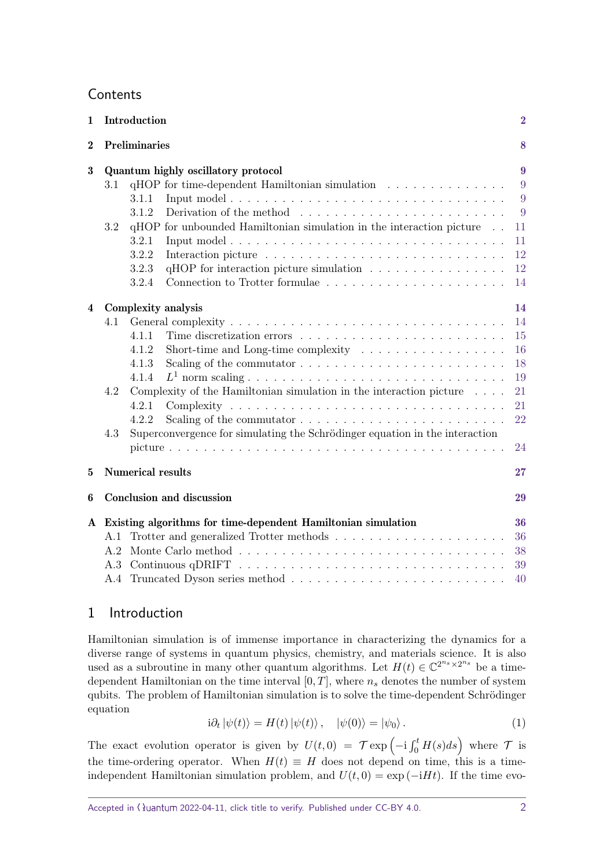# **Contents**

| 1              | Introduction                                                  |                                                                                             |    |  |
|----------------|---------------------------------------------------------------|---------------------------------------------------------------------------------------------|----|--|
| $\bf{2}$       |                                                               | Preliminaries                                                                               | 8  |  |
| 3              | Quantum highly oscillatory protocol                           |                                                                                             |    |  |
|                | 3.1                                                           | $qHOP$ for time-dependent Hamiltonian simulation $\ldots$ , , ,                             | 9  |  |
|                |                                                               | 3.1.1                                                                                       | 9  |  |
|                |                                                               | 3.1.2<br>Derivation of the method $\ldots \ldots \ldots \ldots \ldots \ldots \ldots \ldots$ | 9  |  |
|                | 3.2                                                           | qHOP for unbounded Hamiltonian simulation in the interaction picture                        | 11 |  |
|                |                                                               | 3.2.1                                                                                       | 11 |  |
|                |                                                               | 3.2.2                                                                                       | 12 |  |
|                |                                                               | qHOP for interaction picture simulation<br>3.2.3                                            | 12 |  |
|                |                                                               | 3.2.4                                                                                       | 14 |  |
| $\overline{4}$ |                                                               | Complexity analysis                                                                         | 14 |  |
|                | 4.1                                                           |                                                                                             | 14 |  |
|                |                                                               | 4.1.1                                                                                       | 15 |  |
|                |                                                               | 4.1.2<br>Short-time and Long-time complexity $\ldots \ldots \ldots \ldots \ldots$           | 16 |  |
|                |                                                               | 4.1.3                                                                                       | 18 |  |
|                |                                                               | 4.1.4                                                                                       | 19 |  |
|                | 4.2                                                           | Complexity of the Hamiltonian simulation in the interaction picture $\ldots$ .              | 21 |  |
|                |                                                               | 4.2.1                                                                                       | 21 |  |
|                |                                                               | 4.2.2<br>Scaling of the commutator $\dots \dots \dots \dots \dots \dots \dots \dots \dots$  | 22 |  |
|                | 4.3                                                           | Superconvergence for simulating the Schrödinger equation in the interaction                 |    |  |
|                |                                                               |                                                                                             | 24 |  |
| $\mathbf{5}$   |                                                               | <b>Numerical results</b><br>27                                                              |    |  |
| 6              |                                                               | Conclusion and discussion                                                                   |    |  |
| $\mathbf{A}$   | Existing algorithms for time-dependent Hamiltonian simulation |                                                                                             |    |  |
|                | A.1                                                           |                                                                                             | 36 |  |
|                | A.2                                                           |                                                                                             | 38 |  |
|                | A.3                                                           |                                                                                             | 39 |  |
|                |                                                               |                                                                                             | 40 |  |

## <span id="page-1-0"></span>1 Introduction

Hamiltonian simulation is of immense importance in characterizing the dynamics for a diverse range of systems in quantum physics, chemistry, and materials science. It is also used as a subroutine in many other quantum algorithms. Let  $H(t) \in \mathbb{C}^{2^{n_s} \times 2^{n_s}}$  be a timedependent Hamiltonian on the time interval  $[0, T]$ , where  $n<sub>s</sub>$  denotes the number of system qubits. The problem of Hamiltonian simulation is to solve the time-dependent Schrödinger equation

<span id="page-1-1"></span>
$$
i\partial_t |\psi(t)\rangle = H(t) |\psi(t)\rangle, \quad |\psi(0)\rangle = |\psi_0\rangle. \tag{1}
$$

The exact evolution operator is given by  $U(t,0) = \mathcal{T} \exp\left(-i \int_0^t H(s) ds\right)$  where  $\mathcal{T}$  is the time-ordering operator. When  $H(t) \equiv H$  does not depend on time, this is a timeindependent Hamiltonian simulation problem, and  $U(t, 0) = \exp(-iHt)$ . If the time evo-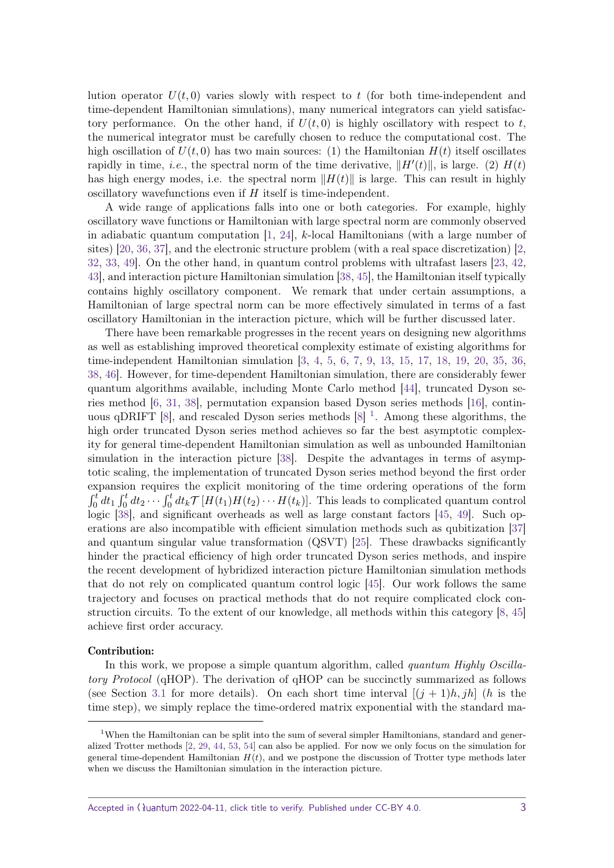lution operator  $U(t,0)$  varies slowly with respect to  $t$  (for both time-independent and time-dependent Hamiltonian simulations), many numerical integrators can yield satisfactory performance. On the other hand, if  $U(t,0)$  is highly oscillatory with respect to  $t$ , the numerical integrator must be carefully chosen to reduce the computational cost. The high oscillation of  $U(t,0)$  has two main sources: (1) the Hamiltonian  $H(t)$  itself oscillates rapidly in time, *i.e.*, the spectral norm of the time derivative,  $||H'(t)||$ , is large. (2)  $H(t)$ has high energy modes, i.e. the spectral norm  $||H(t)||$  is large. This can result in highly oscillatory wavefunctions even if *H* itself is time-independent.

A wide range of applications falls into one or both categories. For example, highly oscillatory wave functions or Hamiltonian with large spectral norm are commonly observed in adiabatic quantum computation [\[1,](#page-31-0) [24\]](#page-32-0), *k*-local Hamiltonians (with a large number of sites) [\[20,](#page-32-1) [36,](#page-33-0) [37\]](#page-33-1), and the electronic structure problem (with a real space discretization) [\[2,](#page-31-1) [32,](#page-33-2) [33,](#page-33-3) [49\]](#page-34-0). On the other hand, in quantum control problems with ultrafast lasers [\[23,](#page-32-2) [42,](#page-33-4) [43\]](#page-33-5), and interaction picture Hamiltonian simulation [\[38,](#page-33-6) [45\]](#page-33-7), the Hamiltonian itself typically contains highly oscillatory component. We remark that under certain assumptions, a Hamiltonian of large spectral norm can be more effectively simulated in terms of a fast oscillatory Hamiltonian in the interaction picture, which will be further discussed later.

There have been remarkable progresses in the recent years on designing new algorithms as well as establishing improved theoretical complexity estimate of existing algorithms for time-independent Hamiltonian simulation [\[3,](#page-31-2) [4,](#page-31-3) [5,](#page-31-4) [6,](#page-31-5) [7,](#page-31-6) [9,](#page-31-7) [13,](#page-31-8) [15,](#page-32-3) [17,](#page-32-4) [18,](#page-32-5) [19,](#page-32-6) [20,](#page-32-1) [35,](#page-33-8) [36,](#page-33-0) [38,](#page-33-6) [46\]](#page-33-9). However, for time-dependent Hamiltonian simulation, there are considerably fewer quantum algorithms available, including Monte Carlo method [\[44\]](#page-33-10), truncated Dyson series method [\[6,](#page-31-5) [31,](#page-32-7) [38\]](#page-33-6), permutation expansion based Dyson series methods [\[16\]](#page-32-8), contin-uous qDRIFT [\[8\]](#page-31-9), and rescaled Dyson series methods  $[8]$ <sup>[1](#page-2-0)</sup>. Among these algorithms, the high order truncated Dyson series method achieves so far the best asymptotic complexity for general time-dependent Hamiltonian simulation as well as unbounded Hamiltonian simulation in the interaction picture [\[38\]](#page-33-6). Despite the advantages in terms of asymptotic scaling, the implementation of truncated Dyson series method beyond the first order expansion requires the explicit monitoring of the time ordering operations of the form  $\int_0^t dt_1 \int_0^t dt_2 \cdots \int_0^t dt_k \mathcal{T}[H(t_1)H(t_2)\cdots H(t_k)].$  This leads to complicated quantum control logic [\[38\]](#page-33-6), and significant overheads as well as large constant factors [\[45,](#page-33-7) [49\]](#page-34-0). Such operations are also incompatible with efficient simulation methods such as qubitization [\[37\]](#page-33-1) and quantum singular value transformation (QSVT) [\[25\]](#page-32-9). These drawbacks significantly hinder the practical efficiency of high order truncated Dyson series methods, and inspire the recent development of hybridized interaction picture Hamiltonian simulation methods that do not rely on complicated quantum control logic [\[45\]](#page-33-7). Our work follows the same trajectory and focuses on practical methods that do not require complicated clock construction circuits. To the extent of our knowledge, all methods within this category [\[8,](#page-31-9) [45\]](#page-33-7) achieve first order accuracy.

#### Contribution:

In this work, we propose a simple quantum algorithm, called *quantum Highly Oscilla*tory Protocol (qHOP). The derivation of qHOP can be succinctly summarized as follows (see Section [3.1](#page-8-1) for more details). On each short time interval  $[(j + 1)h, jh]$  (*h* is the time step), we simply replace the time-ordered matrix exponential with the standard ma-

<span id="page-2-0"></span><sup>&</sup>lt;sup>1</sup>When the Hamiltonian can be split into the sum of several simpler Hamiltonians, standard and generalized Trotter methods [\[2,](#page-31-1) [29,](#page-32-10) [44,](#page-33-10) [53,](#page-34-1) [54\]](#page-34-2) can also be applied. For now we only focus on the simulation for general time-dependent Hamiltonian  $H(t)$ , and we postpone the discussion of Trotter type methods later when we discuss the Hamiltonian simulation in the interaction picture.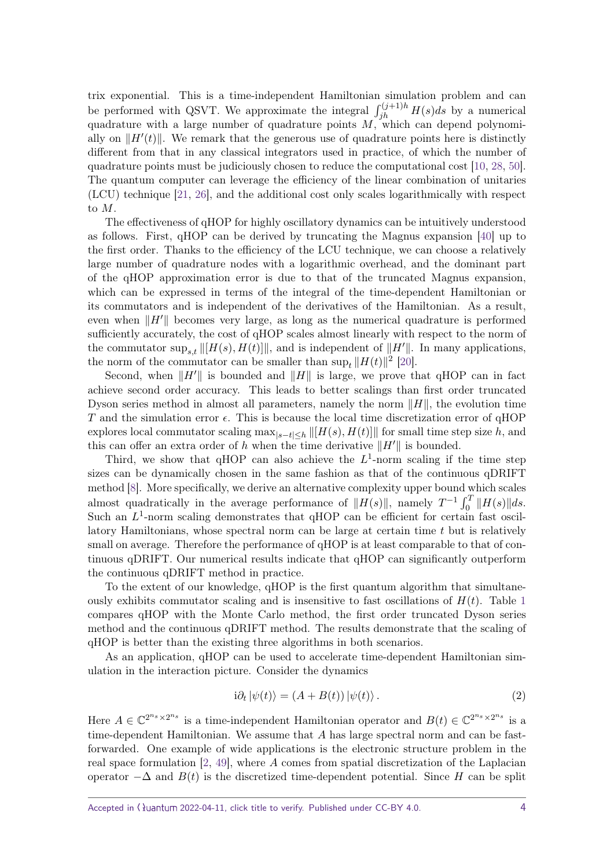trix exponential. This is a time-independent Hamiltonian simulation problem and can be performed with QSVT. We approximate the integral  $\int_{jh}^{(j+1)h} H(s)ds$  by a numerical quadrature with a large number of quadrature points *M*, which can depend polynomially on  $\Vert H'(t) \Vert$ . We remark that the generous use of quadrature points here is distinctly different from that in any classical integrators used in practice, of which the number of quadrature points must be judiciously chosen to reduce the computational cost [\[10,](#page-31-10) [28,](#page-32-11) [50\]](#page-34-3). The quantum computer can leverage the efficiency of the linear combination of unitaries (LCU) technique [\[21,](#page-32-12) [26\]](#page-32-13), and the additional cost only scales logarithmically with respect to *M*.

The effectiveness of qHOP for highly oscillatory dynamics can be intuitively understood as follows. First, qHOP can be derived by truncating the Magnus expansion [\[40\]](#page-33-11) up to the first order. Thanks to the efficiency of the LCU technique, we can choose a relatively large number of quadrature nodes with a logarithmic overhead, and the dominant part of the qHOP approximation error is due to that of the truncated Magnus expansion, which can be expressed in terms of the integral of the time-dependent Hamiltonian or its commutators and is independent of the derivatives of the Hamiltonian. As a result, even when  $\|H\|$  becomes very large, as long as the numerical quadrature is performed sufficiently accurately, the cost of qHOP scales almost linearly with respect to the norm of the commutator  $\sup_{s,t} ||[H(s), H(t)]||$ , and is independent of  $||H'||$ . In many applications, the norm of the commutator can be smaller than  $\sup_t ||H(t)||^2$  [\[20\]](#page-32-1).

Second, when  $\|H\|$  is bounded and  $\|H\|$  is large, we prove that qHOP can in fact achieve second order accuracy. This leads to better scalings than first order truncated Dyson series method in almost all parameters, namely the norm  $\|H\|$ , the evolution time *T* and the simulation error  $\epsilon$ . This is because the local time discretization error of qHOP explores local commutator scaling  $\max_{|s-t| for small time step size *h*, and$ this can offer an extra order of *h* when the time derivative  $||H'||$  is bounded.

Third, we show that  $qHOP$  can also achieve the  $L^1$ -norm scaling if the time step sizes can be dynamically chosen in the same fashion as that of the continuous qDRIFT method [\[8\]](#page-31-9). More specifically, we derive an alternative complexity upper bound which scales almost quadratically in the average performance of  $||H(s)||$ , namely  $T^{-1} \int_0^T ||H(s)|| ds$ . Such an  $L^1$ -norm scaling demonstrates that  $qHOP$  can be efficient for certain fast oscillatory Hamiltonians, whose spectral norm can be large at certain time *t* but is relatively small on average. Therefore the performance of qHOP is at least comparable to that of continuous qDRIFT. Our numerical results indicate that qHOP can significantly outperform the continuous qDRIFT method in practice.

To the extent of our knowledge, qHOP is the first quantum algorithm that simultaneously exhibits commutator scaling and is insensitive to fast oscillations of  $H(t)$ . Table [1](#page-4-0) compares qHOP with the Monte Carlo method, the first order truncated Dyson series method and the continuous qDRIFT method. The results demonstrate that the scaling of qHOP is better than the existing three algorithms in both scenarios.

As an application, qHOP can be used to accelerate time-dependent Hamiltonian simulation in the interaction picture. Consider the dynamics

<span id="page-3-0"></span>
$$
i\partial_t |\psi(t)\rangle = (A + B(t)) |\psi(t)\rangle.
$$
 (2)

Here  $A \in \mathbb{C}^{2^{n_s} \times 2^{n_s}}$  is a time-independent Hamiltonian operator and  $B(t) \in \mathbb{C}^{2^{n_s} \times 2^{n_s}}$  is a time-dependent Hamiltonian. We assume that *A* has large spectral norm and can be fastforwarded. One example of wide applications is the electronic structure problem in the real space formulation [\[2,](#page-31-1) [49\]](#page-34-0), where *A* comes from spatial discretization of the Laplacian operator  $-\Delta$  and  $B(t)$  is the discretized time-dependent potential. Since *H* can be split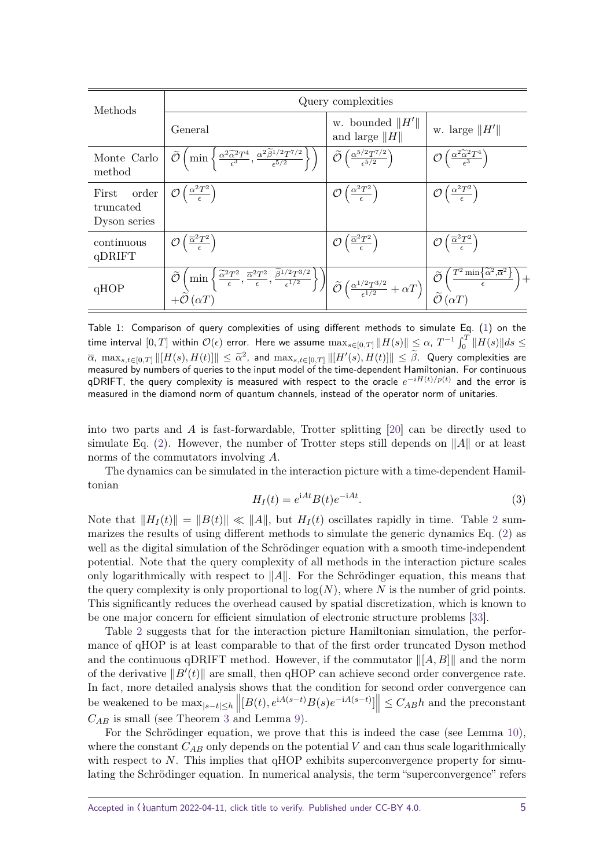<span id="page-4-0"></span>

| Methods                                     | Query complexities                                                                                                                                                                                                                                                                                                                                                      |                                                                                  |                                                                                                                  |
|---------------------------------------------|-------------------------------------------------------------------------------------------------------------------------------------------------------------------------------------------------------------------------------------------------------------------------------------------------------------------------------------------------------------------------|----------------------------------------------------------------------------------|------------------------------------------------------------------------------------------------------------------|
|                                             | General                                                                                                                                                                                                                                                                                                                                                                 | w. bounded $  H'  $<br>and large $  H  $                                         | w. large $  H'  $                                                                                                |
| Monte Carlo<br>method                       | $\left(\min\left\{\frac{\alpha^2\widetilde{\alpha}^2T^4}{\epsilon^3},\frac{\alpha^2\widetilde{\beta}^{1/2}T^{7/2}}{\epsilon^{5/2}}\right\}\right)$<br>Õ                                                                                                                                                                                                                 | $\widetilde{\mathcal{O}}\left(\frac{\alpha^{5/2}T^{7/2}}{\epsilon^{5/2}}\right)$ | $\mathcal{O}\left(\frac{\alpha^2\widetilde{\alpha}^2T^4}{\epsilon^3}\right)$                                     |
| order<br>First<br>truncated<br>Dyson series | $\mathcal{O}\left(\frac{\alpha^2 T^2}{\epsilon}\right)$                                                                                                                                                                                                                                                                                                                 | $\mathcal{O}\left(\frac{\alpha^2 T^2}{\epsilon}\right)$                          | $\mathcal{O}\left(\frac{\alpha^2 T^2}{\epsilon}\right)$                                                          |
| continuous<br>qDRIFT                        | $\mathcal{O}\left(\frac{\overline{\alpha}^2 T^2}{\epsilon}\right)$                                                                                                                                                                                                                                                                                                      | $\mathcal{O}\left(\frac{\overline{\alpha}^2 T^2}{\epsilon}\right)$               | $\mathcal{O}\left(\frac{\overline{\alpha}^2 T^2}{\epsilon}\right)$                                               |
| qHOP                                        | $\left[\min_{\epsilon} \left\{ \frac{\widetilde{\alpha}^2 T^2}{\epsilon}, \frac{\overline{\alpha}^2 T^2}{\epsilon}, \frac{\widetilde{\beta}^{1/2} T^{3/2}}{\epsilon^{1/2}} \right\} \right] \widetilde{\mathcal{O}} \left( \frac{\alpha^{1/2} T^{3/2}}{\epsilon^{1/2}} + \alpha T \right)\right]$<br>$\widetilde{\mathcal{O}}$<br>$-\overset{\sim}{{\cal O}}(\alpha T)$ |                                                                                  | $T^2 \min\left\{\widetilde{\alpha}^2, \overline{\alpha}^2\right\}$<br>$\tilde{\mathcal{O}}\left(\alpha T\right)$ |

Table 1: Comparison of query complexities of using different methods to simulate Eq. [\(1\)](#page-1-1) on the  $\lim_{\epsilon\to 0^+}\frac{1}{\epsilon}\lim_{\epsilon\to 0^+}\frac{1}{\epsilon}\int_{0}^{\epsilon}f(s)\,ds$  error. Here we assume  $\max_{s\in [0,T]}\|H(s)\|\leq \alpha, \ T^{-1}\int_0^T\|H(s)\|ds\leq \alpha.$  $\overline{\alpha}$ ,  $\max_{s,t\in[0,T]}\| [H(s),H(t)]\| \leq \tilde{\alpha}^2$ , and  $\max_{s,t\in[0,T]}\| [H'(s),H(t)]\| \leq \tilde{\beta}$ . Query complexities are monographs in pumplex of quoties to the input model of the time dependent Hamiltonian. For continuous measured by numbers of queries to the input model of the time-dependent Hamiltonian. For continuous qDRIFT, the query complexity is measured with respect to the oracle *e* −*iH*(*t*)*/p*(*t*) and the error is measured in the diamond norm of quantum channels, instead of the operator norm of unitaries.

into two parts and *A* is fast-forwardable, Trotter splitting [\[20\]](#page-32-1) can be directly used to simulate Eq. [\(2\)](#page-3-0). However, the number of Trotter steps still depends on  $||A||$  or at least norms of the commutators involving *A*.

The dynamics can be simulated in the interaction picture with a time-dependent Hamiltonian

<span id="page-4-1"></span>
$$
H_I(t) = e^{iAt} B(t) e^{-iAt}.
$$
\n(3)

Note that  $||H_I(t)|| = ||B(t)|| \ll ||A||$ , but  $H_I(t)$  oscillates rapidly in time. Table [2](#page-5-0) summarizes the results of using different methods to simulate the generic dynamics Eq. [\(2\)](#page-3-0) as well as the digital simulation of the Schrödinger equation with a smooth time-independent potential. Note that the query complexity of all methods in the interaction picture scales only logarithmically with respect to  $||A||$ . For the Schrödinger equation, this means that the query complexity is only proportional to  $log(N)$ , where *N* is the number of grid points. This significantly reduces the overhead caused by spatial discretization, which is known to be one major concern for efficient simulation of electronic structure problems [\[33\]](#page-33-3).

Table [2](#page-5-0) suggests that for the interaction picture Hamiltonian simulation, the performance of qHOP is at least comparable to that of the first order truncated Dyson method and the continuous qDRIFT method. However, if the commutator  $\| [A, B] \|$  and the norm of the derivative  $||B'(t)||$  are small, then qHOP can achieve second order convergence rate. In fact, more detailed analysis shows that the condition for second order convergence can be weakened to be  $\max_{|s-t| \leq h} \left\| [B(t), e^{iA(s-t)}B(s)e^{-iA(s-t)}] \right\| \leq C_{AB}h$  and the preconstant  $C_{AB}$  is small (see Theorem [3](#page-21-1) and Lemma [9\)](#page-21-2).

For the Schrödinger equation, we prove that this is indeed the case (see Lemma [10\)](#page-24-0), where the constant  $C_{AB}$  only depends on the potential  $V$  and can thus scale logarithmically with respect to  $N$ . This implies that  $qHOP$  exhibits superconvergence property for simulating the Schrödinger equation. In numerical analysis, the term "superconvergence" refers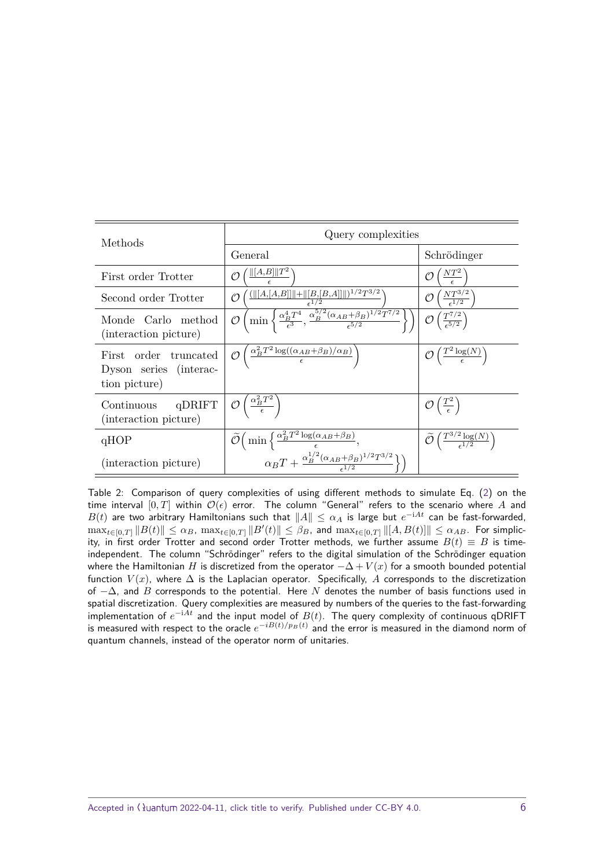<span id="page-5-0"></span>

| Methods                                                          | Query complexities                                                                                                                                                          |                                                                  |  |
|------------------------------------------------------------------|-----------------------------------------------------------------------------------------------------------------------------------------------------------------------------|------------------------------------------------------------------|--|
|                                                                  | General                                                                                                                                                                     | Schrödinger                                                      |  |
| First order Trotter                                              | $  [A,B]  T^2$                                                                                                                                                              | $\frac{NT^2}{\epsilon}$                                          |  |
| Second order Trotter                                             | $(\ [A,[A,B]]\ +\ [B,[B,A]]\ )^{1/2}T^{3/2}$<br>Ο                                                                                                                           | $\frac{NT^{3/2}}{\epsilon^{1/2}}$                                |  |
| Monde Carlo method<br>(interaction picture)                      | $\sqrt{\min_{\epsilon_3} \left\{ \frac{\alpha_B^4 T^4}{\epsilon^3}, \frac{\alpha_B^{5/2} (\alpha_{AB} + \beta_B)^{1/2} T^{7/2}}{\epsilon^{5/2}} \right\}}$<br>$\mathcal{O}$ | $\left(\frac{T^{7/2}}{\epsilon^{5/2}}\right)$                    |  |
| First order truncated<br>Dyson series (interac-<br>tion picture) | $\left(\frac{\alpha_B^2 T^2 \log((\alpha_{AB}+\beta_B)/\alpha_B)}{\epsilon}\right)$                                                                                         | $\mathcal{O}\left(\frac{T^2\log(N)}{\epsilon}\right)$            |  |
| $q$ DRIFT<br>Continuous<br>(interaction picture)                 | $\mathcal{O}\left(\frac{\alpha_B^2 T^2}{\epsilon}\right)$                                                                                                                   | $\mathcal{O}\left(\frac{T^2}{\epsilon}\right)$                   |  |
| qHOP                                                             | $\tilde{\mathcal{O}}\Big(\min\Big\{\tfrac{\alpha_B^2 T^2\log(\alpha_{AB}+\beta_B)}{\epsilon},$                                                                              | $\widetilde{\mathcal{O}}\left(\frac{T^{3/2}\log(N)}{1/2}\right)$ |  |
| (interaction picture)                                            | $\alpha_B T + \frac{\alpha_B^{1/2} (\alpha_{AB} + \beta_B)^{1/2} T^{3/2}}{\epsilon^{1/2}} \Big\}$                                                                           |                                                                  |  |

Table 2: Comparison of query complexities of using different methods to simulate Eq. [\(2\)](#page-3-0) on the time interval  $[0, T]$  within  $\mathcal{O}(\epsilon)$  error. The column "General" refers to the scenario where A and  $B(t)$  are two arbitrary Hamiltonians such that  $\|A\|\leq\alpha_A$  is large but  $e^{-\mathrm{i} A t}$  can be fast-forwarded,  $\max_{t \in [0,T]} \|B(t)\| \leq \alpha_B$ ,  $\max_{t \in [0,T]} \|B'(t)\| \leq \beta_B$ , and  $\max_{t \in [0,T]} \|[A,B(t)]\| \leq \alpha_{AB}$ . For simplicity, in first order Trotter and second order Trotter methods, we further assume  $B(t) \equiv B$  is timeindependent. The column "Schrödinger" refers to the digital simulation of the Schrödinger equation where the Hamiltonian *H* is discretized from the operator  $-\Delta + V(x)$  for a smooth bounded potential function  $V(x)$ , where  $\Delta$  is the Laplacian operator. Specifically, A corresponds to the discretization of −∆, and *B* corresponds to the potential. Here *N* denotes the number of basis functions used in spatial discretization. Query complexities are measured by numbers of the queries to the fast-forwarding implementation of  $e^{-iAt}$  and the input model of  $B(t)$ . The query complexity of continuous qDRIFT is measured with respect to the oracle  $e^{-iB(t)/p_B(t)}$  and the error is measured in the diamond norm of quantum channels, instead of the operator norm of unitaries.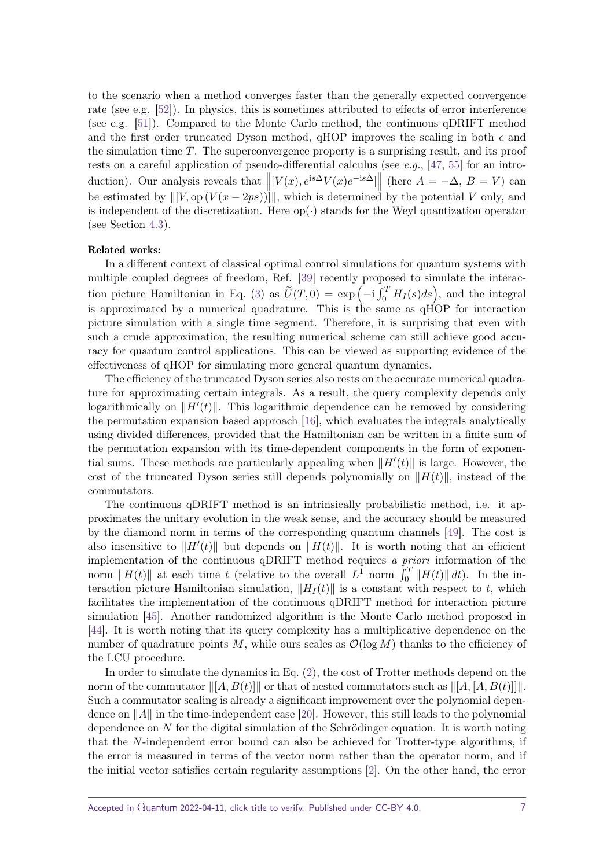to the scenario when a method converges faster than the generally expected convergence rate (see e.g. [\[52\]](#page-34-4)). In physics, this is sometimes attributed to effects of error interference (see e.g. [\[51\]](#page-34-5)). Compared to the Monte Carlo method, the continuous qDRIFT method and the first order truncated Dyson method, qHOP improves the scaling in both  $\epsilon$  and the simulation time *T*. The superconvergence property is a surprising result, and its proof rests on a careful application of pseudo-differential calculus (see  $e.g., [47, 55]$  $e.g., [47, 55]$  $e.g., [47, 55]$  $e.g., [47, 55]$  for an introduction). Our analysis reveals that  $\left\| [V(x), e^{is\Delta}V(x)e^{-is\Delta}] \right\|$  (here  $A = -\Delta, B = V$ ) can be estimated by  $\| [V, \text{op} (V(x - 2ps))] \|$ , which is determined by the potential *V* only, and is independent of the discretization. Here  $op(\cdot)$  stands for the Weyl quantization operator (see Section [4.3\)](#page-23-0).

#### Related works:

In a different context of classical optimal control simulations for quantum systems with multiple coupled degrees of freedom, Ref. [\[39\]](#page-33-13) recently proposed to simulate the interac-tion picture Hamiltonian in Eq. [\(3\)](#page-4-1) as  $\tilde{U}(T,0) = \exp\left(-i \int_0^T H_I(s) ds\right)$ , and the integral is approximated by a numerical quadrature. This is the same as qHOP for interaction picture simulation with a single time segment. Therefore, it is surprising that even with such a crude approximation, the resulting numerical scheme can still achieve good accuracy for quantum control applications. This can be viewed as supporting evidence of the effectiveness of qHOP for simulating more general quantum dynamics.

The efficiency of the truncated Dyson series also rests on the accurate numerical quadrature for approximating certain integrals. As a result, the query complexity depends only logarithmically on  $\Vert H'(t) \Vert$ . This logarithmic dependence can be removed by considering the permutation expansion based approach [\[16\]](#page-32-8), which evaluates the integrals analytically using divided differences, provided that the Hamiltonian can be written in a finite sum of the permutation expansion with its time-dependent components in the form of exponential sums. These methods are particularly appealing when  $\|H'(t)\|$  is large. However, the cost of the truncated Dyson series still depends polynomially on  $||H(t)||$ , instead of the commutators.

The continuous qDRIFT method is an intrinsically probabilistic method, i.e. it approximates the unitary evolution in the weak sense, and the accuracy should be measured by the diamond norm in terms of the corresponding quantum channels [\[49\]](#page-34-0). The cost is also insensitive to  $\|H'(t)\|$  but depends on  $\|H(t)\|$ . It is worth noting that an efficient implementation of the continuous qDRIFT method requires a priori information of the norm  $||H(t)||$  at each time *t* (relative to the overall  $L^{\hat{1}}$  norm  $\hat{J}_0^T ||H(t)|| dt$ ). In the interaction picture Hamiltonian simulation,  $||H_I(t)||$  is a constant with respect to *t*, which facilitates the implementation of the continuous qDRIFT method for interaction picture simulation [\[45\]](#page-33-7). Another randomized algorithm is the Monte Carlo method proposed in [\[44\]](#page-33-10). It is worth noting that its query complexity has a multiplicative dependence on the number of quadrature points M, while ours scales as  $\mathcal{O}(\log M)$  thanks to the efficiency of the LCU procedure.

In order to simulate the dynamics in Eq. [\(2\)](#page-3-0), the cost of Trotter methods depend on the norm of the commutator  $\|[A, B(t)]\|$  or that of nested commutators such as  $\|[A, [A, B(t)]]\|$ . Such a commutator scaling is already a significant improvement over the polynomial dependence on  $||A||$  in the time-independent case [\[20\]](#page-32-1). However, this still leads to the polynomial dependence on *N* for the digital simulation of the Schrödinger equation. It is worth noting that the *N*-independent error bound can also be achieved for Trotter-type algorithms, if the error is measured in terms of the vector norm rather than the operator norm, and if the initial vector satisfies certain regularity assumptions [\[2\]](#page-31-1). On the other hand, the error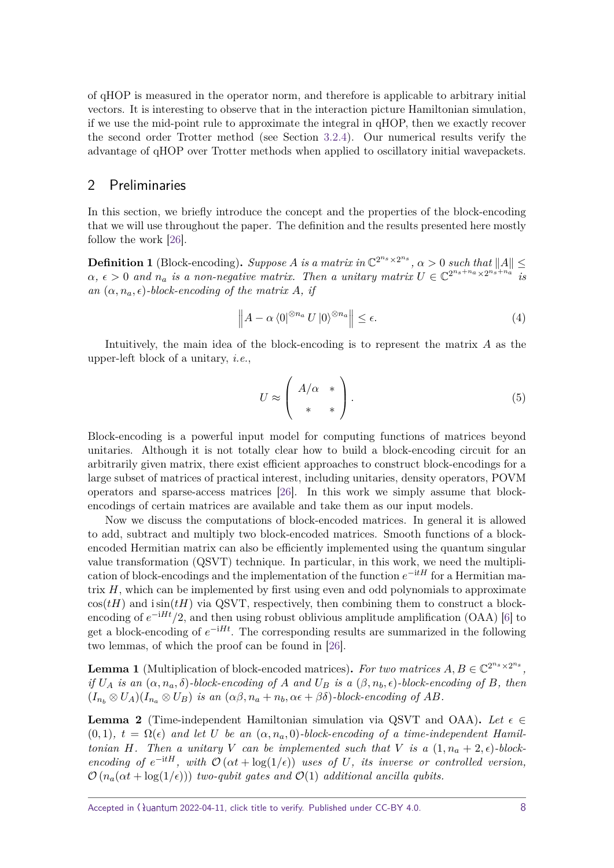of qHOP is measured in the operator norm, and therefore is applicable to arbitrary initial vectors. It is interesting to observe that in the interaction picture Hamiltonian simulation, if we use the mid-point rule to approximate the integral in qHOP, then we exactly recover the second order Trotter method (see Section [3.2.4\)](#page-13-0). Our numerical results verify the advantage of qHOP over Trotter methods when applied to oscillatory initial wavepackets.

## <span id="page-7-0"></span>2 Preliminaries

In this section, we briefly introduce the concept and the properties of the block-encoding that we will use throughout the paper. The definition and the results presented here mostly follow the work [\[26\]](#page-32-13).

**Definition 1** (Block-encoding). *Suppose A is a matrix in*  $\mathbb{C}^{2^{n_s} \times 2^{n_s}}$ ,  $\alpha > 0$  *such that*  $||A|| \le$  $\alpha, \epsilon > 0$  and  $n_a$  is a non-negative matrix. Then a unitary matrix  $U \in \mathbb{C}^{2^{n_s+n_a} \times 2^{n_s+n_a}}$  is *an*  $(\alpha, n_a, \epsilon)$ -block-encoding of the matrix A, if

$$
\left\| A - \alpha \left\langle 0 \right|^{\otimes n_a} U \left| 0 \right\rangle^{\otimes n_a} \right\| \le \epsilon. \tag{4}
$$

Intuitively, the main idea of the block-encoding is to represent the matrix *A* as the upper-left block of a unitary, i.e.,

$$
U \approx \left(\begin{array}{c} A/\alpha & * \\ * & * \end{array}\right). \tag{5}
$$

Block-encoding is a powerful input model for computing functions of matrices beyond unitaries. Although it is not totally clear how to build a block-encoding circuit for an arbitrarily given matrix, there exist efficient approaches to construct block-encodings for a large subset of matrices of practical interest, including unitaries, density operators, POVM operators and sparse-access matrices [\[26\]](#page-32-13). In this work we simply assume that blockencodings of certain matrices are available and take them as our input models.

Now we discuss the computations of block-encoded matrices. In general it is allowed to add, subtract and multiply two block-encoded matrices. Smooth functions of a blockencoded Hermitian matrix can also be efficiently implemented using the quantum singular value transformation (QSVT) technique. In particular, in this work, we need the multiplication of block-encodings and the implementation of the function  $e^{-itH}$  for a Hermitian matrix *H*, which can be implemented by first using even and odd polynomials to approximate  $cos(tH)$  and  $isin(tH)$  via QSVT, respectively, then combining them to construct a blockencoding of  $e^{-iHt}/2$ , and then using robust oblivious amplitude amplification (OAA) [\[6\]](#page-31-5) to get a block-encoding of  $e^{-iHt}$ . The corresponding results are summarized in the following two lemmas, of which the proof can be found in [\[26\]](#page-32-13).

**Lemma 1** (Multiplication of block-encoded matrices). For two matrices  $A, B \in \mathbb{C}^{2^{n_s} \times 2^{n_s}}$ , *if*  $U_A$  *is an*  $(\alpha, n_a, \delta)$ *-block-encoding of A and*  $U_B$  *is a*  $(\beta, n_b, \epsilon)$ *-block-encoding of B, then*  $(I_{n_b} \otimes U_A)(I_{n_a} \otimes U_B)$  *is an*  $(\alpha\beta, n_a + n_b, \alpha\epsilon + \beta\delta)$ *-block-encoding of AB.* 

<span id="page-7-1"></span>**Lemma 2** (Time-independent Hamiltonian simulation via QSVT and OAA). Let  $\epsilon \in \mathbb{R}$  $(0,1)$ ,  $t = \Omega(\epsilon)$  and let U be an  $(\alpha, n_a, 0)$ -block-encoding of a time-independent Hamil*tonian H.* Then a unitary *V* can be implemented such that *V* is a  $(1, n_a + 2, \epsilon)$ -block*encoding of*  $e^{-itH}$ *, with*  $\mathcal{O}(\alpha t + \log(1/\epsilon))$  *uses of U, its inverse or controlled version,*  $\mathcal{O}(n_a(\alpha t + \log(1/\epsilon)))$  *two-qubit gates and*  $\mathcal{O}(1)$  *additional ancilla qubits.*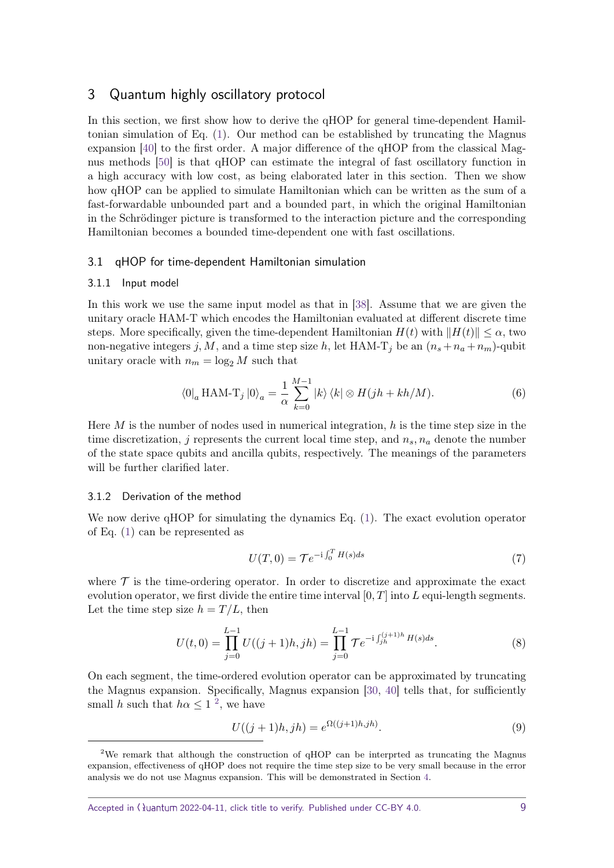## <span id="page-8-0"></span>3 Quantum highly oscillatory protocol

In this section, we first show how to derive the qHOP for general time-dependent Hamiltonian simulation of Eq. [\(1\)](#page-1-1). Our method can be established by truncating the Magnus expansion [\[40\]](#page-33-11) to the first order. A major difference of the qHOP from the classical Magnus methods [\[50\]](#page-34-3) is that qHOP can estimate the integral of fast oscillatory function in a high accuracy with low cost, as being elaborated later in this section. Then we show how qHOP can be applied to simulate Hamiltonian which can be written as the sum of a fast-forwardable unbounded part and a bounded part, in which the original Hamiltonian in the Schrödinger picture is transformed to the interaction picture and the corresponding Hamiltonian becomes a bounded time-dependent one with fast oscillations.

#### <span id="page-8-1"></span>3.1 qHOP for time-dependent Hamiltonian simulation

#### <span id="page-8-2"></span>3.1.1 Input model

In this work we use the same input model as that in [\[38\]](#page-33-6). Assume that we are given the unitary oracle HAM-T which encodes the Hamiltonian evaluated at different discrete time steps. More specifically, given the time-dependent Hamiltonian  $H(t)$  with  $||H(t)|| \leq \alpha$ , two non-negative integers *j*, *M*, and a time step size *h*, let HAM-T<sub>*j*</sub> be an  $(n_s + n_a + n_m)$ -qubit unitary oracle with  $n_m = \log_2 M$  such that

$$
\langle 0|_a \operatorname{HAM-T}_j |0\rangle_a = \frac{1}{\alpha} \sum_{k=0}^{M-1} |k\rangle \langle k| \otimes H(jh + kh/M). \tag{6}
$$

Here *M* is the number of nodes used in numerical integration, *h* is the time step size in the time discretization, *j* represents the current local time step, and  $n_s$ ,  $n_a$  denote the number of the state space qubits and ancilla qubits, respectively. The meanings of the parameters will be further clarified later.

#### <span id="page-8-3"></span>3.1.2 Derivation of the method

We now derive qHOP for simulating the dynamics Eq.  $(1)$ . The exact evolution operator of Eq. [\(1\)](#page-1-1) can be represented as

$$
U(T,0) = \mathcal{T}e^{-i\int_0^T H(s)ds} \tag{7}
$$

where  $\mathcal T$  is the time-ordering operator. In order to discretize and approximate the exact evolution operator, we first divide the entire time interval [0*, T*] into *L* equi-length segments. Let the time step size  $h = T/L$ , then

<span id="page-8-5"></span>
$$
U(t,0) = \prod_{j=0}^{L-1} U((j+1)h,jh) = \prod_{j=0}^{L-1} \mathcal{T}e^{-i \int_{jh}^{(j+1)h} H(s)ds}.
$$
 (8)

On each segment, the time-ordered evolution operator can be approximated by truncating the Magnus expansion. Specifically, Magnus expansion [\[30,](#page-32-14) [40\]](#page-33-11) tells that, for sufficiently small *h* such that  $h\alpha \leq 1^2$  $h\alpha \leq 1^2$ , we have

$$
U((j+1)h, jh) = e^{\Omega((j+1)h, jh)}.
$$
\n(9)

<span id="page-8-4"></span><sup>&</sup>lt;sup>2</sup>We remark that although the construction of  $\alpha$ HOP can be interprted as truncating the Magnus expansion, effectiveness of qHOP does not require the time step size to be very small because in the error analysis we do not use Magnus expansion. This will be demonstrated in Section [4.](#page-13-1)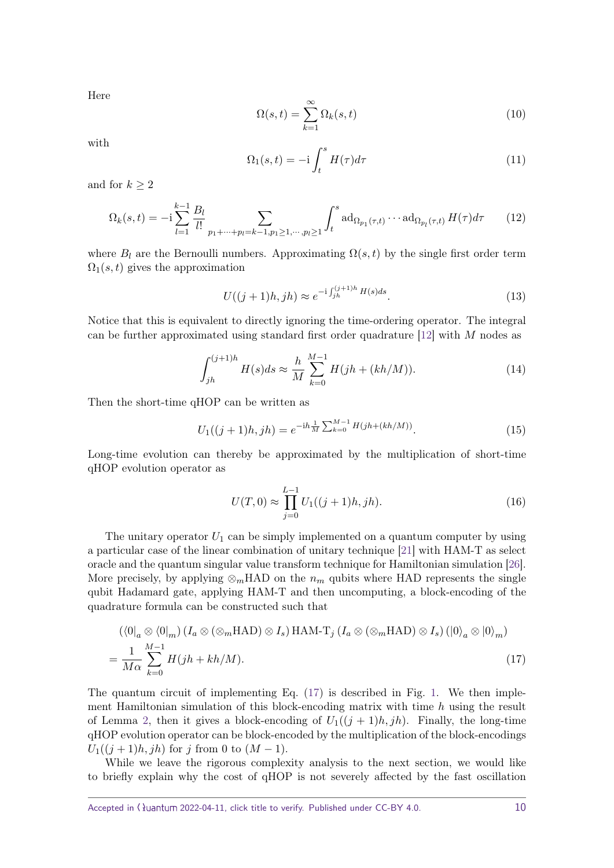Here

$$
\Omega(s,t) = \sum_{k=1}^{\infty} \Omega_k(s,t)
$$
\n(10)

with

$$
\Omega_1(s,t) = -\mathrm{i} \int_t^s H(\tau) d\tau \tag{11}
$$

and for  $k \geq 2$ 

$$
\Omega_k(s,t) = -i \sum_{l=1}^{k-1} \frac{B_l}{l!} \sum_{p_1 + \dots + p_l = k-1, p_1 \ge 1, \dots, p_l \ge 1} \int_t^s \mathrm{ad}_{\Omega_{p_1}(\tau,t)} \cdots \mathrm{ad}_{\Omega_{p_l}(\tau,t)} H(\tau) d\tau \qquad (12)
$$

where  $B_l$  are the Bernoulli numbers. Approximating  $\Omega(s,t)$  by the single first order term  $\Omega_1(s,t)$  gives the approximation

<span id="page-9-2"></span>
$$
U((j+1)h,jh) \approx e^{-i \int_{jh}^{(j+1)h} H(s)ds}.
$$
\n(13)

Notice that this is equivalent to directly ignoring the time-ordering operator. The integral can be further approximated using standard first order quadrature [\[12\]](#page-31-11) with *M* nodes as

<span id="page-9-3"></span>
$$
\int_{jh}^{(j+1)h} H(s)ds \approx \frac{h}{M} \sum_{k=0}^{M-1} H(jh + (kh/M)).
$$
 (14)

Then the short-time qHOP can be written as

<span id="page-9-1"></span>
$$
U_1((j+1)h,jh) = e^{-ih\frac{1}{M}\sum_{k=0}^{M-1}H(jh+(kh/M))}.
$$
 (15)

Long-time evolution can thereby be approximated by the multiplication of short-time qHOP evolution operator as

<span id="page-9-0"></span>
$$
U(T,0) \approx \prod_{j=0}^{L-1} U_1((j+1)h,jh).
$$
 (16)

The unitary operator  $U_1$  can be simply implemented on a quantum computer by using a particular case of the linear combination of unitary technique [\[21\]](#page-32-12) with HAM-T as select oracle and the quantum singular value transform technique for Hamiltonian simulation [\[26\]](#page-32-13). More precisely, by applying  $\otimes_m$ HAD on the  $n_m$  qubits where HAD represents the single qubit Hadamard gate, applying HAM-T and then uncomputing, a block-encoding of the quadrature formula can be constructed such that

$$
\left(\langle 0|_a \otimes \langle 0|_m \right) \left( I_a \otimes (\otimes_m \text{HAD}) \otimes I_s \right) \text{HAM-T}_j \left( I_a \otimes (\otimes_m \text{HAD}) \otimes I_s \right) \left( |0\rangle_a \otimes |0\rangle_m \right)
$$
  
= 
$$
\frac{1}{M\alpha} \sum_{k=0}^{M-1} H(jh + kh/M).
$$
 (17)

The quantum circuit of implementing Eq. [\(17\)](#page-9-0) is described in Fig. [1.](#page-10-2) We then implement Hamiltonian simulation of this block-encoding matrix with time *h* using the result of Lemma [2,](#page-7-1) then it gives a block-encoding of  $U_1((j + 1)h, jh)$ . Finally, the long-time qHOP evolution operator can be block-encoded by the multiplication of the block-encodings  $U_1((i+1)h, ih)$  for *j* from 0 to  $(M-1)$ .

While we leave the rigorous complexity analysis to the next section, we would like to briefly explain why the cost of qHOP is not severely affected by the fast oscillation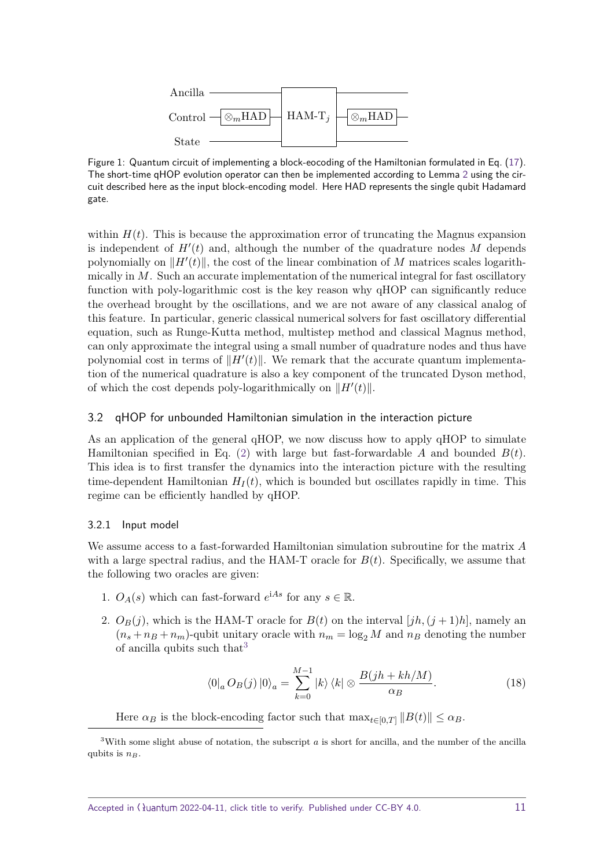<span id="page-10-2"></span>

Figure 1: Quantum circuit of implementing a block-eocoding of the Hamiltonian formulated in Eq. [\(17\)](#page-9-0). The short-time qHOP evolution operator can then be implemented according to Lemma [2](#page-7-1) using the circuit described here as the input block-encoding model. Here HAD represents the single qubit Hadamard gate.

within  $H(t)$ . This is because the approximation error of truncating the Magnus expansion is independent of  $H'(t)$  and, although the number of the quadrature nodes  $M$  depends polynomially on  $\Vert H'(t) \Vert$ , the cost of the linear combination of *M* matrices scales logarithmically in *M*. Such an accurate implementation of the numerical integral for fast oscillatory function with poly-logarithmic cost is the key reason why qHOP can significantly reduce the overhead brought by the oscillations, and we are not aware of any classical analog of this feature. In particular, generic classical numerical solvers for fast oscillatory differential equation, such as Runge-Kutta method, multistep method and classical Magnus method, can only approximate the integral using a small number of quadrature nodes and thus have polynomial cost in terms of  $||H'(t)||$ . We remark that the accurate quantum implementation of the numerical quadrature is also a key component of the truncated Dyson method, of which the cost depends poly-logarithmically on  $||H'(t)||$ .

## <span id="page-10-0"></span>3.2 qHOP for unbounded Hamiltonian simulation in the interaction picture

As an application of the general qHOP, we now discuss how to apply qHOP to simulate Hamiltonian specified in Eq. [\(2\)](#page-3-0) with large but fast-forwardable *A* and bounded *B*(*t*). This idea is to first transfer the dynamics into the interaction picture with the resulting time-dependent Hamiltonian  $H_I(t)$ , which is bounded but oscillates rapidly in time. This regime can be efficiently handled by qHOP.

#### <span id="page-10-1"></span>3.2.1 Input model

We assume access to a fast-forwarded Hamiltonian simulation subroutine for the matrix *A* with a large spectral radius, and the HAM-T oracle for  $B(t)$ . Specifically, we assume that the following two oracles are given:

- 1.  $O_A(s)$  which can fast-forward  $e^{iAs}$  for any  $s \in \mathbb{R}$ .
- 2.  $O_B(j)$ , which is the HAM-T oracle for  $B(t)$  on the interval  $[jh,(j+1)h]$ , namely an  $(n_s + n_B + n_m)$ -qubit unitary oracle with  $n_m = \log_2 M$  and  $n_B$  denoting the number of ancilla qubits such that  $3$

<span id="page-10-4"></span>
$$
\langle 0|_a O_B(j) |0\rangle_a = \sum_{k=0}^{M-1} |k\rangle \langle k| \otimes \frac{B(jh + kh/M)}{\alpha_B}.
$$
 (18)

Here  $\alpha_B$  is the block-encoding factor such that  $\max_{t \in [0,T]} ||B(t)|| \leq \alpha_B$ .

<span id="page-10-3"></span><sup>&</sup>lt;sup>3</sup>With some slight abuse of notation, the subscript *a* is short for ancilla, and the number of the ancilla qubits is *nB*.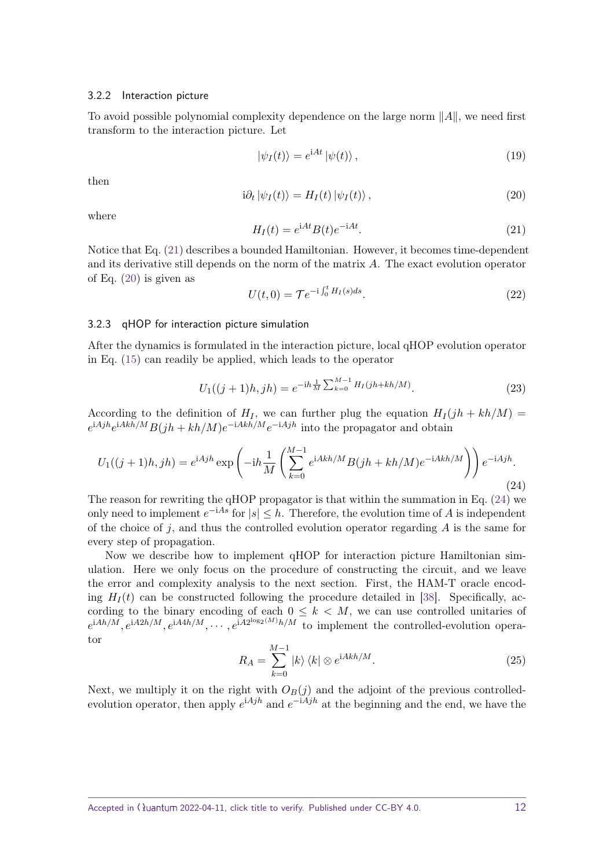#### <span id="page-11-0"></span>3.2.2 Interaction picture

To avoid possible polynomial complexity dependence on the large norm  $||A||$ , we need first transform to the interaction picture. Let

$$
|\psi_I(t)\rangle = e^{\mathrm{i}At} |\psi(t)\rangle \,, \tag{19}
$$

then

<span id="page-11-3"></span>
$$
i\partial_t |\psi_I(t)\rangle = H_I(t) |\psi_I(t)\rangle , \qquad (20)
$$

where

<span id="page-11-2"></span>
$$
H_I(t) = e^{iAt} B(t)e^{-iAt}.
$$
\n(21)

Notice that Eq. [\(21\)](#page-11-2) describes a bounded Hamiltonian. However, it becomes time-dependent and its derivative still depends on the norm of the matrix *A*. The exact evolution operator of Eq. [\(20\)](#page-11-3) is given as

$$
U(t,0) = \mathcal{T}e^{-i\int_0^t H_I(s)ds}.
$$
 (22)

#### <span id="page-11-1"></span>3.2.3 qHOP for interaction picture simulation

After the dynamics is formulated in the interaction picture, local qHOP evolution operator in Eq. [\(15\)](#page-9-1) can readily be applied, which leads to the operator

<span id="page-11-5"></span>
$$
U_1((j+1)h,jh) = e^{-ih\frac{1}{M}\sum_{k=0}^{M-1}H_I(jh+kh/M)}.
$$
\n(23)

According to the definition of  $H_I$ , we can further plug the equation  $H_I(jh + kh/M)$  $e^{iA jh}e^{iA kh/M}B(jh + kh/M)e^{-iA kh/M}e^{-iA jh}$  into the propagator and obtain

<span id="page-11-4"></span>
$$
U_1((j+1)h,jh) = e^{iAjh} \exp\left(-ih\frac{1}{M}\left(\sum_{k=0}^{M-1} e^{iAkh/M}B(jh+kh/M)e^{-iAkh/M}\right)\right)e^{-iAjh}.
$$
\n(24)

The reason for rewriting the qHOP propagator is that within the summation in Eq. [\(24\)](#page-11-4) we only need to implement  $e^{-iAs}$  for  $|s| ≤ h$ . Therefore, the evolution time of *A* is independent of the choice of *j*, and thus the controlled evolution operator regarding *A* is the same for every step of propagation.

Now we describe how to implement qHOP for interaction picture Hamiltonian simulation. Here we only focus on the procedure of constructing the circuit, and we leave the error and complexity analysis to the next section. First, the HAM-T oracle encoding  $H_I(t)$  can be constructed following the procedure detailed in [\[38\]](#page-33-6). Specifically, according to the binary encoding of each  $0 \leq k \leq M$ , we can use controlled unitaries of  $e^{iAh/M}$ ,  $e^{iA2h/M}$ ,  $e^{iA4h/M}$ ,  $\cdots$ ,  $e^{iA2^{\log(2(M))}h/M}$  to implement the controlled-evolution operator

$$
R_A = \sum_{k=0}^{M-1} |k\rangle \langle k| \otimes e^{iAkh/M}.
$$
 (25)

Next, we multiply it on the right with  $O_B(j)$  and the adjoint of the previous controlledevolution operator, then apply  $e^{iAjh}$  and  $e^{-iAjh}$  at the beginning and the end, we have the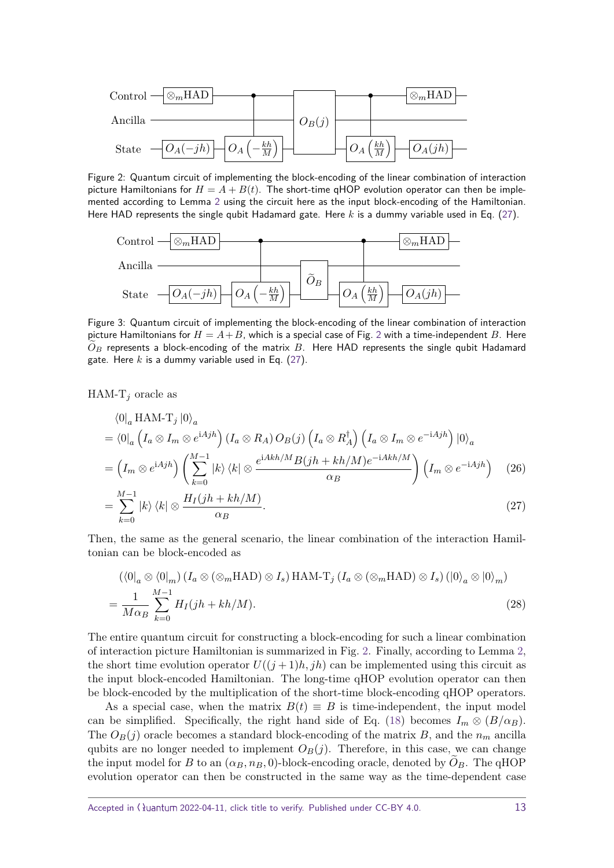<span id="page-12-1"></span>

Figure 2: Quantum circuit of implementing the block-encoding of the linear combination of interaction picture Hamiltonians for  $H = A + B(t)$ . The short-time qHOP evolution operator can then be implemented according to Lemma [2](#page-7-1) using the circuit here as the input block-encoding of the Hamiltonian. Here HAD represents the single qubit Hadamard gate. Here *k* is a dummy variable used in Eq. [\(27\)](#page-12-0).

<span id="page-12-2"></span>

Figure 3: Quantum circuit of implementing the block-encoding of the linear combination of interaction picture Hamiltonians for  $H = A + B$ , which is a special case of Fig. [2](#page-12-1) with a time-independent B. Here  $O_B$  represents a block-encoding of the matrix  $B$ . Here HAD represents the single qubit Hadamard gate. Here *k* is a dummy variable used in Eq. [\(27\)](#page-12-0).

HAM- $T_j$  oracle as

 $\sum_{k=0}$ 

$$
\langle 0|_a \text{HAM-T}_j |0\rangle_a
$$
  
=  $\langle 0|_a \left( I_a \otimes I_m \otimes e^{iAjh} \right) (I_a \otimes R_A) O_B(j) \left( I_a \otimes R_A^{\dagger} \right) \left( I_a \otimes I_m \otimes e^{-iAjh} \right) |0\rangle_a$   
=  $\left( I_m \otimes e^{iAjh} \right) \left( \sum_{k=0}^{M-1} |k\rangle \langle k| \otimes \frac{e^{iAkh/M}B(jh + kh/M)e^{-iAkh/M}}{\alpha_B} \right) \left( I_m \otimes e^{-iAjh} \right)$  (26)  
=  $\sum_{k=0}^{M-1} |k\rangle \langle k| \otimes \frac{H_I(jh + kh/M)}{\alpha_B}.$  (27)

Then, the same as the general scenario, the linear combination of the interaction Hamiltonian can be block-encoded as\n
$$
\sum_{n=0}^{\infty} \frac{1}{n^2}
$$

<span id="page-12-0"></span>*α<sup>B</sup>*

$$
(\langle 0|_a \otimes \langle 0|_m) (I_a \otimes (\otimes_m \text{HAD}) \otimes I_s) \text{ HAM-T}_j (I_a \otimes (\otimes_m \text{HAD}) \otimes I_s) (|0\rangle_a \otimes |0\rangle_m)
$$
  
= 
$$
\frac{1}{M\alpha_B} \sum_{k=0}^{M-1} H_I(jh + kh/M).
$$
 (28)

The entire quantum circuit for constructing a block-encoding for such a linear combination of interaction picture Hamiltonian is summarized in Fig. [2.](#page-12-1) Finally, according to Lemma [2,](#page-7-1) the short time evolution operator  $U((j+1)h, jh)$  can be implemented using this circuit as the input block-encoded Hamiltonian. The long-time qHOP evolution operator can then be block-encoded by the multiplication of the short-time block-encoding qHOP operators.

As a special case, when the matrix  $B(t) \equiv B$  is time-independent, the input model can be simplified. Specifically, the right hand side of Eq. [\(18\)](#page-10-4) becomes  $I_m \otimes (B/\alpha_B)$ . The  $O_B(j)$  oracle becomes a standard block-encoding of the matrix *B*, and the  $n_m$  ancilla qubits are no longer needed to implement  $O_B(j)$ . Therefore, in this case, we can change the input model for *B* to an  $(\alpha_B, n_B, 0)$ -block-encoding oracle, denoted by  $O_B$ . The qHOP evolution operator can then be constructed in the same way as the time-dependent case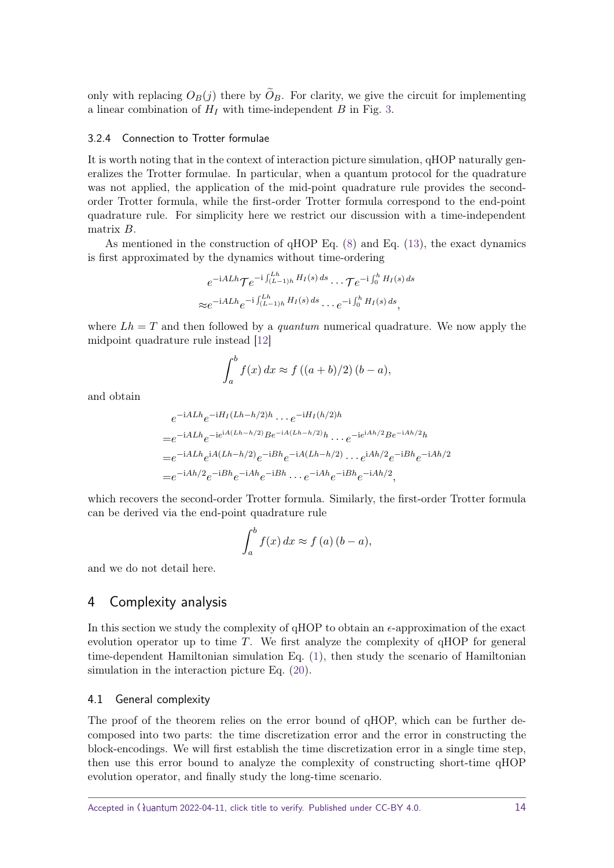only with replacing  $O_B(j)$  there by  $O_B$ . For clarity, we give the circuit for implementing a linear combination of  $H_I$  with time-independent  $B$  in Fig. [3.](#page-12-2)

#### <span id="page-13-0"></span>3.2.4 Connection to Trotter formulae

It is worth noting that in the context of interaction picture simulation, qHOP naturally generalizes the Trotter formulae. In particular, when a quantum protocol for the quadrature was not applied, the application of the mid-point quadrature rule provides the secondorder Trotter formula, while the first-order Trotter formula correspond to the end-point quadrature rule. For simplicity here we restrict our discussion with a time-independent matrix *B*.

As mentioned in the construction of  $qHOP$  Eq.  $(8)$  and Eq.  $(13)$ , the exact dynamics is first approximated by the dynamics without time-ordering

$$
e^{-iALh}\mathcal{T}e^{-i\int_{(L-1)h}^{Lh}H_I(s)ds}\cdots\mathcal{T}e^{-i\int_0^hH_I(s)ds}
$$
  

$$
\approx e^{-iALh}e^{-i\int_{(L-1)h}^{Lh}H_I(s)ds}\cdots e^{-i\int_0^hH_I(s)ds},
$$

where  $Lh = T$  and then followed by a *quantum* numerical quadrature. We now apply the midpoint quadrature rule instead [\[12\]](#page-31-11)

$$
\int_a^b f(x) dx \approx f((a+b)/2)(b-a),
$$

and obtain

$$
e^{-iALh}e^{-iH_I(Lh-h/2)h} \cdots e^{-iH_I(h/2)h}
$$
  
=  $e^{-iALh}e^{-ie^{iA(Lh-h/2)}Be^{-iA(Lh-h/2)}h} \cdots e^{-ie^{iAh/2}Be^{-iAh/2}h}$   
=  $e^{-iALh}e^{iA(Lh-h/2)}e^{-iBh}e^{-iA(Lh-h/2)} \cdots e^{iAh/2}e^{-iBh}e^{-iAh/2}$   
=  $e^{-iAh/2}e^{-iBh}e^{-iAh}e^{-iBh} \cdots e^{-iAh}e^{-iBh}e^{-iAh/2}$ ,

which recovers the second-order Trotter formula. Similarly, the first-order Trotter formula can be derived via the end-point quadrature rule

$$
\int_{a}^{b} f(x) dx \approx f(a) (b - a),
$$

and we do not detail here.

## <span id="page-13-1"></span>4 Complexity analysis

In this section we study the complexity of  $\alpha$ HOP to obtain an  $\epsilon$ -approximation of the exact evolution operator up to time *T*. We first analyze the complexity of qHOP for general time-dependent Hamiltonian simulation Eq. [\(1\)](#page-1-1), then study the scenario of Hamiltonian simulation in the interaction picture Eq. [\(20\)](#page-11-3).

#### <span id="page-13-2"></span>4.1 General complexity

The proof of the theorem relies on the error bound of qHOP, which can be further decomposed into two parts: the time discretization error and the error in constructing the block-encodings. We will first establish the time discretization error in a single time step, then use this error bound to analyze the complexity of constructing short-time qHOP evolution operator, and finally study the long-time scenario.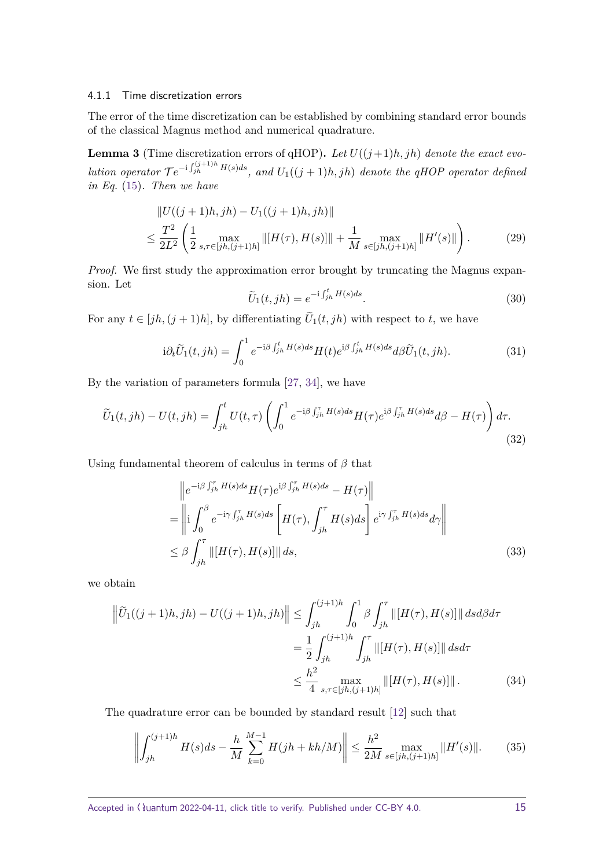#### <span id="page-14-0"></span>4.1.1 Time discretization errors

The error of the time discretization can be established by combining standard error bounds of the classical Magnus method and numerical quadrature.

<span id="page-14-1"></span>**Lemma 3** (Time discretization errors of qHOP). Let  $U((j+1)h, jh)$  denote the exact evo*lution operator*  $Te^{-i \int_{jh}^{(j+1)h} H(s)ds}$ , and  $U_1((j+1)h, jh)$  denote the qHOP operator defined *in Eq.* [\(15\)](#page-9-1)*. Then we have*

$$
||U((j+1)h,jh) - U_1((j+1)h,jh)||
$$
  
\n
$$
\leq \frac{T^2}{2L^2} \left( \frac{1}{2} \max_{s,\tau \in [jh,(j+1)h]} ||[H(\tau),H(s)]|| + \frac{1}{M} \max_{s \in [jh,(j+1)h]} ||H'(s)|| \right).
$$
 (29)

*Proof.* We first study the approximation error brought by truncating the Magnus expansion. Let

$$
\widetilde{U}_1(t,jh) = e^{-i\int_{jh}^t H(s)ds}.\tag{30}
$$

For any  $t \in [jh, (j + 1)h]$ , by differentiating  $U_1(t, jh)$  with respect to *t*, we have

$$
i\partial_t \widetilde{U}_1(t,jh) = \int_0^1 e^{-i\beta \int_{jh}^t H(s)ds} H(t)e^{i\beta \int_{jh}^t H(s)ds} d\beta \widetilde{U}_1(t,jh).
$$
 (31)

By the variation of parameters formula [\[27,](#page-32-15) [34\]](#page-33-14), we have

$$
\widetilde{U}_1(t,jh) - U(t,jh) = \int_{jh}^t U(t,\tau) \left( \int_0^1 e^{-i\beta \int_{jh}^{\tau} H(s)ds} H(\tau) e^{i\beta \int_{jh}^{\tau} H(s)ds} d\beta - H(\tau) \right) d\tau.
$$
\n(32)

Using fundamental theorem of calculus in terms of *β* that

$$
\|e^{-i\beta \int_{jh}^{\tau} H(s)ds} H(\tau)e^{i\beta \int_{jh}^{\tau} H(s)ds} - H(\tau)\|
$$
  
\n
$$
= \left\|i \int_{0}^{\beta} e^{-i\gamma \int_{jh}^{\tau} H(s)ds} \left[H(\tau), \int_{jh}^{\tau} H(s)ds\right] e^{i\gamma \int_{jh}^{\tau} H(s)ds} d\gamma\right\|
$$
  
\n
$$
\leq \beta \int_{jh}^{\tau} \| [H(\tau), H(s)] \| ds,
$$
\n(33)

we obtain

$$
\left\| \tilde{U}_{1}((j+1)h,jh) - U((j+1)h,jh) \right\| \leq \int_{jh}^{(j+1)h} \int_{0}^{1} \beta \int_{jh}^{\tau} \left\| [H(\tau), H(s)] \right\| ds d\beta d\tau
$$

$$
= \frac{1}{2} \int_{jh}^{(j+1)h} \int_{jh}^{\tau} \left\| [H(\tau), H(s)] \right\| ds d\tau
$$

$$
\leq \frac{h^{2}}{4} \max_{s,\tau \in [jh,(j+1)h]} \left\| [H(\tau), H(s)] \right\|.
$$
(34)

The quadrature error can be bounded by standard result [\[12\]](#page-31-11) such that

<span id="page-14-2"></span>
$$
\left\| \int_{jh}^{(j+1)h} H(s)ds - \frac{h}{M} \sum_{k=0}^{M-1} H(jh + kh/M) \right\| \le \frac{h^2}{2M} \max_{s \in [jh,(j+1)h]} \|H'(s)\|.
$$
 (35)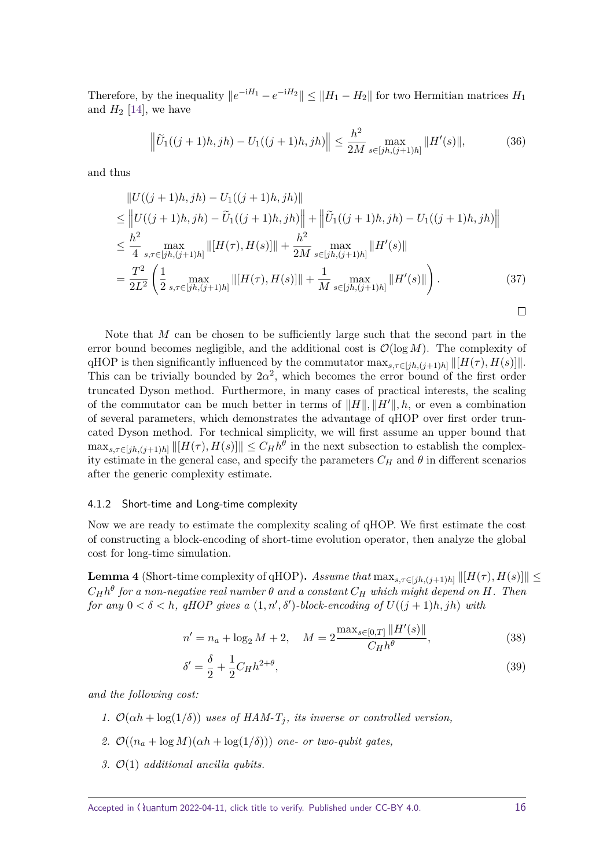Therefore, by the inequality  $||e^{-iH_1} - e^{-iH_2}|| \le ||H_1 - H_2||$  for two Hermitian matrices  $H_1$ and  $H_2$  [\[14\]](#page-31-12), we have

<span id="page-15-2"></span>
$$
\left\|\tilde{U}_1((j+1)h,jh) - U_1((j+1)h,jh)\right\| \le \frac{h^2}{2M} \max_{s \in [jh,(j+1)h]} \|H'(s)\|,
$$
 (36)

and thus

$$
\|U((j+1)h,jh) - U_1((j+1)h,jh)\|
$$
\n
$$
\leq \|U((j+1)h,jh) - \tilde{U}_1((j+1)h,jh)\| + \|\tilde{U}_1((j+1)h,jh) - U_1((j+1)h,jh)\|
$$
\n
$$
\leq \frac{h^2}{4} \max_{s,\tau \in [jh,(j+1)h]} \| [H(\tau), H(s)] \| + \frac{h^2}{2M} \max_{s \in [jh,(j+1)h]} \|H'(s)\|
$$
\n
$$
= \frac{T^2}{2L^2} \left( \frac{1}{2} \max_{s,\tau \in [jh,(j+1)h]} \| [H(\tau), H(s)] \| + \frac{1}{M} \max_{s \in [jh,(j+1)h]} \| H'(s) \| \right). \tag{37}
$$

Note that *M* can be chosen to be sufficiently large such that the second part in the error bound becomes negligible, and the additional cost is  $\mathcal{O}(\log M)$ . The complexity of qHOP is then significantly influenced by the commutator  $\max_{s,\tau \in [jh,(j+1)h]} ||[H(\tau),H(s)]||$ . This can be trivially bounded by  $2\alpha^2$ , which becomes the error bound of the first order truncated Dyson method. Furthermore, in many cases of practical interests, the scaling of the commutator can be much better in terms of  $||H||, ||H'||, h$ , or even a combination of several parameters, which demonstrates the advantage of qHOP over first order truncated Dyson method. For technical simplicity, we will first assume an upper bound that  $\max_{s,\tau \in [jh,(j+1)h]} ||[H(\tau),H(s)]|| \leq C_H h^{\theta}$  in the next subsection to establish the complexity estimate in the general case, and specify the parameters  $C_H$  and  $\theta$  in different scenarios after the generic complexity estimate.

#### <span id="page-15-0"></span>4.1.2 Short-time and Long-time complexity

Now we are ready to estimate the complexity scaling of qHOP. We first estimate the cost of constructing a block-encoding of short-time evolution operator, then analyze the global cost for long-time simulation.

<span id="page-15-1"></span>**Lemma 4** (Short-time complexity of qHOP). Assume that  $\max_{s,\tau \in [ih,(j+1)h]} ||[H(\tau),H(s)]] \le$  $C_H h^{\theta}$  for a non-negative real number  $\theta$  and a constant  $C_H$  which might depend on  $H$ *. Then for any*  $0 < \delta < h$ , qHOP gives a  $(1, n', \delta')$ -block-encoding of  $U((j + 1)h, jh)$  with

$$
n' = n_a + \log_2 M + 2, \quad M = 2 \frac{\max_{s \in [0,T]} \|H'(s)\|}{C_H h^{\theta}},
$$
\n(38)

$$
\delta' = \frac{\delta}{2} + \frac{1}{2} C_H h^{2+\theta},\tag{39}
$$

*and the following cost:*

- *1.*  $\mathcal{O}(\alpha h + \log(1/\delta))$  *uses of HAM-T<sub>j</sub>*, *its inverse or controlled version,*
- 2.  $\mathcal{O}((n_a + \log M)(\alpha h + \log(1/\delta)))$  *one- or two-qubit gates,*
- *3.* O(1) *additional ancilla qubits.*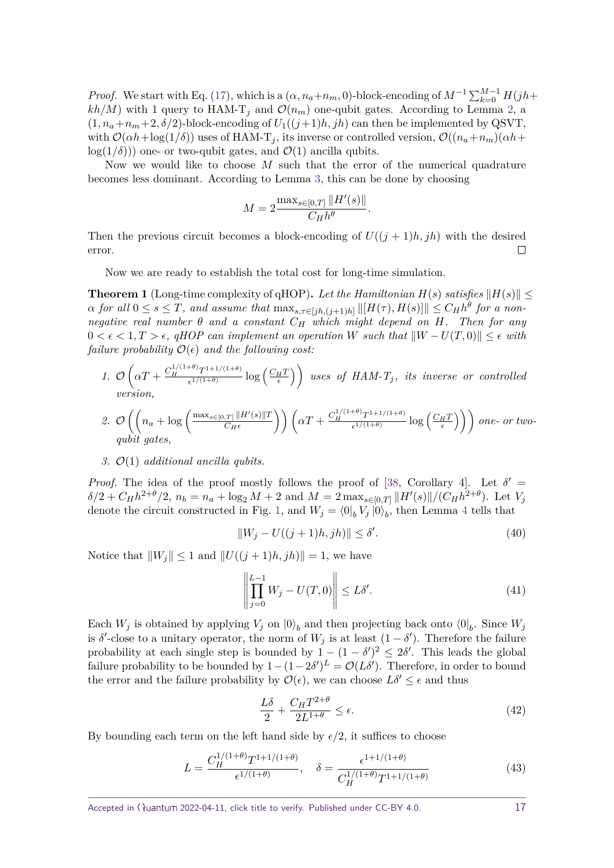*Proof.* We start with Eq. [\(17\)](#page-9-0), which is a  $(\alpha, n_a+n_m, 0)$ -block-encoding of  $M^{-1}\sum_{k=0}^{M-1}H(jh+1)$  $kh/M$ ) with 1 query to HAM-T<sub>*j*</sub> and  $\mathcal{O}(n_m)$  one-qubit gates. According to Lemma [2,](#page-7-1) a  $(1, n_a + n_m + 2, \delta/2)$ -block-encoding of  $U_1((j+1)h, jh)$  can then be implemented by QSVT, with  $\mathcal{O}(\alpha h + \log(1/\delta))$  uses of HAM-T<sub>*j*</sub>, its inverse or controlled version,  $\mathcal{O}((n_a + n_m)(\alpha h +$  $log(1/\delta)$ ) one- or two-qubit gates, and  $\mathcal{O}(1)$  ancilla qubits.

Now we would like to choose *M* such that the error of the numerical quadrature becomes less dominant. According to Lemma [3,](#page-14-1) this can be done by choosing

$$
M = 2 \frac{\max_{s \in [0,T]} \|H'(s)\|}{C_H h^{\theta}}.
$$

Then the previous circuit becomes a block-encoding of  $U((j + 1)h, jh)$  with the desired  $\Box$ error.

Now we are ready to establish the total cost for long-time simulation.

<span id="page-16-0"></span>**Theorem 1** (Long-time complexity of qHOP). Let the Hamiltonian  $H(s)$  satisfies  $||H(s)|| \le$  $\alpha$  *for all*  $0 \le s \le T$ *, and assume that*  $\max_{s,\tau \in [jh,(j+1)h]} ||[H(\tau),H(s)]|| \le C_H h^{\theta}$  *for a nonnegative real number*  $\theta$  *and a constant*  $C_H$  *which might depend on*  $H$ *. Then for any*  $0 < \epsilon < 1, T > \epsilon$ , qHOP can implement an operation W such that  $||W - U(T, 0)|| \leq \epsilon$  with *failure probability*  $\mathcal{O}(\epsilon)$  *and the following cost:* 

1. 
$$
\mathcal{O}\left(\alpha T + \frac{C_H^{1/(1+\theta)}T^{1+1/(1+\theta)}}{\epsilon^{1/(1+\theta)}}\log\left(\frac{C_H T}{\epsilon}\right)\right)
$$
 uses of HAM-T<sub>j</sub>, its inverse or controlled version,

2. 
$$
\mathcal{O}\left(\left(n_a + \log\left(\frac{\max_{s \in [0,T]} \|H'(s)\| T}{C_H \epsilon}\right)\right) \left(\alpha T + \frac{C_H^{1/(1+\theta)} T^{1+1/(1+\theta)}}{\epsilon^{1/(1+\theta)}} \log\left(\frac{C_H T}{\epsilon}\right)\right)\right) \text{ one- or two-}
$$
  
qubit gates,

#### *3.* O(1) *additional ancilla qubits.*

*Proof.* The idea of the proof mostly follows the proof of [\[38,](#page-33-6) Corollary 4]. Let  $\delta' =$  $\delta/2 + C_H h^{2+\theta}/2$ ,  $n_b = n_a + \log_2 M + 2$  and  $M = 2 \max_{s \in [0,T]} ||H'(s)||/(C_H h^{2+\theta})$ . Let  $V_j$ denote the circuit constructed in Fig. [1,](#page-10-2) and  $W_j = \langle 0 |_b V_j | 0 \rangle_b$ , then Lemma [4](#page-15-1) tells that

$$
||W_j - U((j+1)h, jh)|| \le \delta'.\tag{40}
$$

Notice that  $||W_j|| \leq 1$  and  $||U((j+1)h, jh)|| = 1$ , we have

$$
\left\| \prod_{j=0}^{L-1} W_j - U(T,0) \right\| \le L\delta'.\tag{41}
$$

Each  $W_j$  is obtained by applying  $V_j$  on  $|0\rangle_b$  and then projecting back onto  $\langle 0|_b$ . Since  $W_j$ is  $\delta'$ -close to a unitary operator, the norm of  $W_j$  is at least  $(1 - \delta')$ . Therefore the failure probability at each single step is bounded by  $1 - (1 - \delta')^2 \leq 2\delta'$ . This leads the global failure probability to be bounded by  $1 - (1 - 2\delta')^L = \mathcal{O}(L\delta')$ . Therefore, in order to bound the error and the failure probability by  $\mathcal{O}(\epsilon)$ , we can choose  $L\delta' \leq \epsilon$  and thus

$$
\frac{L\delta}{2} + \frac{C_H T^{2+\theta}}{2L^{1+\theta}} \le \epsilon.
$$
\n(42)

By bounding each term on the left hand side by  $\epsilon/2$ , it suffices to choose

$$
L = \frac{C_H^{1/(1+\theta)} T^{1+1/(1+\theta)}}{\epsilon^{1/(1+\theta)}}, \quad \delta = \frac{\epsilon^{1+1/(1+\theta)}}{C_H^{1/(1+\theta)} T^{1+1/(1+\theta)}}
$$
(43)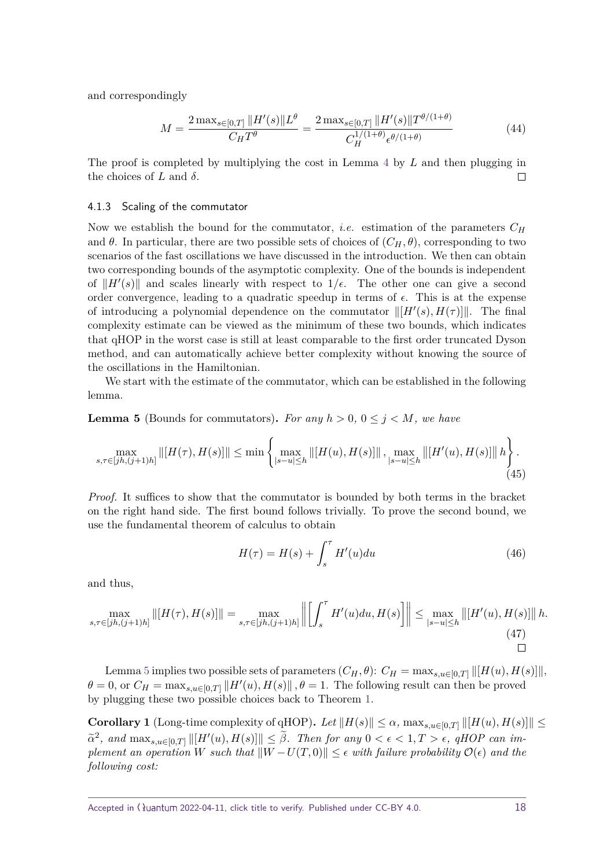and correspondingly

$$
M = \frac{2 \max_{s \in [0,T]} \|H'(s)\| L^{\theta}}{C_H T^{\theta}} = \frac{2 \max_{s \in [0,T]} \|H'(s)\| T^{\theta/(1+\theta)}}{C_H^{1/(1+\theta)} \epsilon^{\theta/(1+\theta)}}
$$
(44)

The proof is completed by multiplying the cost in Lemma [4](#page-15-1) by *L* and then plugging in the choices of *L* and  $\delta$ .  $\Box$ 

#### <span id="page-17-0"></span>4.1.3 Scaling of the commutator

Now we establish the bound for the commutator, i.e. estimation of the parameters *C<sup>H</sup>* and  $\theta$ . In particular, there are two possible sets of choices of  $(C_H, \theta)$ , corresponding to two scenarios of the fast oscillations we have discussed in the introduction. We then can obtain two corresponding bounds of the asymptotic complexity. One of the bounds is independent of  $||H'(s)||$  and scales linearly with respect to  $1/\epsilon$ . The other one can give a second order convergence, leading to a quadratic speedup in terms of  $\epsilon$ . This is at the expense of introducing a polynomial dependence on the commutator  $\| [H'(s), H(\tau)] \|$ . The final complexity estimate can be viewed as the minimum of these two bounds, which indicates that qHOP in the worst case is still at least comparable to the first order truncated Dyson method, and can automatically achieve better complexity without knowing the source of the oscillations in the Hamiltonian.

We start with the estimate of the commutator, which can be established in the following lemma.

<span id="page-17-1"></span>**Lemma 5** (Bounds for commutators). For any  $h > 0$ ,  $0 \leq j \leq M$ , we have

$$
\max_{s,\tau \in [jh,(j+1)h]} \left\| [H(\tau),H(s)] \right\| \le \min \left\{ \max_{|s-u| \le h} \left\| [H(u),H(s)] \right\|, \max_{|s-u| \le h} \left\| [H'(u),H(s)] \right\| h \right\}.
$$
\n(45)

*Proof.* It suffices to show that the commutator is bounded by both terms in the bracket on the right hand side. The first bound follows trivially. To prove the second bound, we use the fundamental theorem of calculus to obtain

$$
H(\tau) = H(s) + \int_{s}^{\tau} H'(u) du \qquad (46)
$$

and thus,

$$
\max_{s,\tau \in [jh,(j+1)h]} \left\| [H(\tau), H(s)] \right\| = \max_{s,\tau \in [jh,(j+1)h]} \left\| \left[ \int_s^\tau H'(u) du, H(s) \right] \right\| \le \max_{|s-u| \le h} \left\| [H'(u), H(s)] \right\| h. \tag{47}
$$

Lemma [5](#page-17-1) implies two possible sets of parameters  $(C_H, \theta)$ :  $C_H = \max_{s,u \in [0,T]} ||[H(u), H(s)]||$ ,  $\theta = 0$ , or  $C_H = \max_{s,u \in [0,T]} ||H'(u), H(s)||$ ,  $\theta = 1$ . The following result can then be proved by plugging these two possible choices back to Theorem [1.](#page-16-0)

**Corollary 1** (Long-time complexity of qHOP). Let  $||H(s)|| \leq \alpha$ ,  $\max_{s,u \in [0,T]} ||[H(u),H(s)]|| \leq$  $\alpha^2$ , and  $\max_{s,u\in[0,T]}\|[H'(u),H(s)]\|\leq \tilde{\beta}$ . Then for any  $0<\epsilon<1, T>\epsilon$ , qHOP can im*plement an operation W such that*  $||W - U(T, 0)|| \leq \epsilon$  *with failure probability*  $\mathcal{O}(\epsilon)$  *and the following cost:*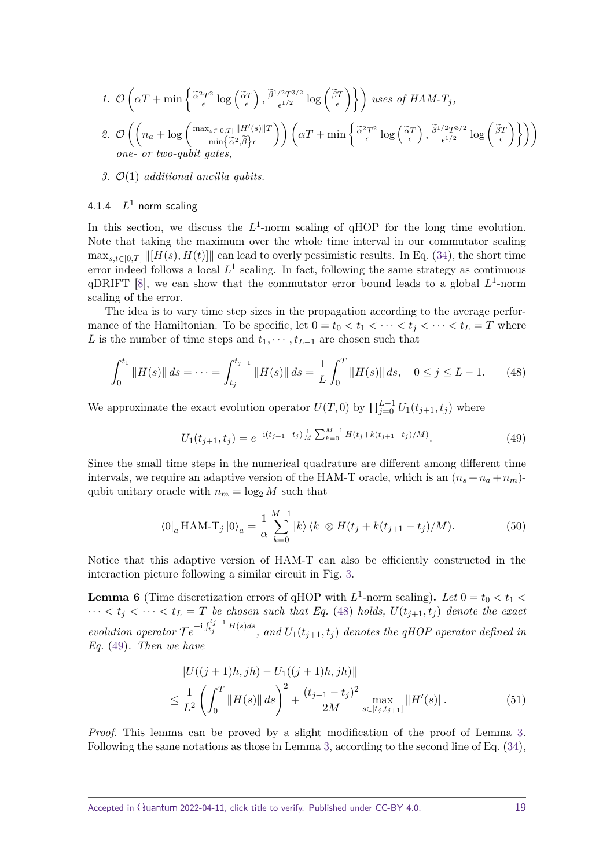1. 
$$
\mathcal{O}\left(\alpha T + \min\left\{\frac{\tilde{\alpha}^2 T^2}{\epsilon} \log\left(\frac{\tilde{\alpha} T}{\epsilon}\right), \frac{\tilde{\beta}^{1/2} T^{3/2}}{\epsilon^{1/2}} \log\left(\frac{\tilde{\beta} T}{\epsilon}\right)\right\}\right)
$$
 uses of HAM-T<sub>j</sub>,  
\n2.  $\mathcal{O}\left(\left(n_a + \log\left(\frac{\max_{s \in [0,T]} \|H'(s)\| T}{\min\{\tilde{\alpha}^2, \tilde{\beta}\}\epsilon}\right)\right) \left(\alpha T + \min\left\{\frac{\tilde{\alpha}^2 T^2}{\epsilon} \log\left(\frac{\tilde{\alpha} T}{\epsilon}\right), \frac{\tilde{\beta}^{1/2} T^{3/2}}{\epsilon^{1/2}} \log\left(\frac{\tilde{\beta} T}{\epsilon}\right)\right\}\right)\right)$   
\none- or two-qubit gates,

*3.* O(1) *additional ancilla qubits.*

## <span id="page-18-0"></span>4.1.4  $L^1$  norm scaling

In this section, we discuss the  $L^1$ -norm scaling of qHOP for the long time evolution. Note that taking the maximum over the whole time interval in our commutator scaling  $\max_{s,t\in[0,T]} ||[H(s),H(t)]||$  can lead to overly pessimistic results. In Eq. [\(34\)](#page-14-2), the short time error indeed follows a local  $L^1$  scaling. In fact, following the same strategy as continuous  $q$ DRIFT [\[8\]](#page-31-9), we can show that the commutator error bound leads to a global  $L^1$ -norm scaling of the error.

The idea is to vary time step sizes in the propagation according to the average performance of the Hamiltonian. To be specific, let  $0 = t_0 < t_1 < \cdots < t_j < \cdots < t_L = T$  where *L* is the number of time steps and  $t_1, \dots, t_{L-1}$  are chosen such that

<span id="page-18-1"></span>
$$
\int_0^{t_1} \|H(s)\| \, ds = \dots = \int_{t_j}^{t_{j+1}} \|H(s)\| \, ds = \frac{1}{L} \int_0^T \|H(s)\| \, ds, \quad 0 \le j \le L - 1. \tag{48}
$$

We approximate the exact evolution operator  $U(T,0)$  by  $\prod_{j=0}^{L-1} U_1(t_{j+1},t_j)$  where

<span id="page-18-2"></span>
$$
U_1(t_{j+1}, t_j) = e^{-i(t_{j+1} - t_j)\frac{1}{M} \sum_{k=0}^{M-1} H(t_j + k(t_{j+1} - t_j)/M)}.
$$
\n(49)

Since the small time steps in the numerical quadrature are different among different time intervals, we require an adaptive version of the HAM-T oracle, which is an  $(n_s + n_a + n_m)$ qubit unitary oracle with  $n_m = \log_2 M$  such that

$$
\langle 0|_a \operatorname{HAM-T}_j |0\rangle_a = \frac{1}{\alpha} \sum_{k=0}^{M-1} |k\rangle \langle k| \otimes H(t_j + k(t_{j+1} - t_j)/M). \tag{50}
$$

Notice that this adaptive version of HAM-T can also be efficiently constructed in the interaction picture following a similar circuit in Fig. [3.](#page-12-2)

<span id="page-18-3"></span>**Lemma 6** (Time discretization errors of qHOP with  $L^1$ -norm scaling). Let  $0 = t_0 < t_1 <$  $\cdots < t_j < \cdots < t_L = T$  be chosen such that Eq. [\(48\)](#page-18-1) holds,  $U(t_{j+1}, t_j)$  denote the exact  $evolution\ operator\ \mathcal{T}e^{-i\int_{t_j}^{t_j+1}H(s)ds},\ and\ U_1(t_{j+1},t_j)\ denotes\ the\ qHOP\ operator\ defined\ in$ *Eq.* [\(49\)](#page-18-2)*. Then we have*

$$
||U((j+1)h,jh) - U_1((j+1)h,jh)||
$$
  
\n
$$
\leq \frac{1}{L^2} \left( \int_0^T ||H(s)|| ds \right)^2 + \frac{(t_{j+1} - t_j)^2}{2M} \max_{s \in [t_j, t_{j+1}]} ||H'(s)||.
$$
\n(51)

*Proof.* This lemma can be proved by a slight modification of the proof of Lemma [3.](#page-14-1) Following the same notations as those in Lemma [3,](#page-14-1) according to the second line of Eq. [\(34\)](#page-14-2),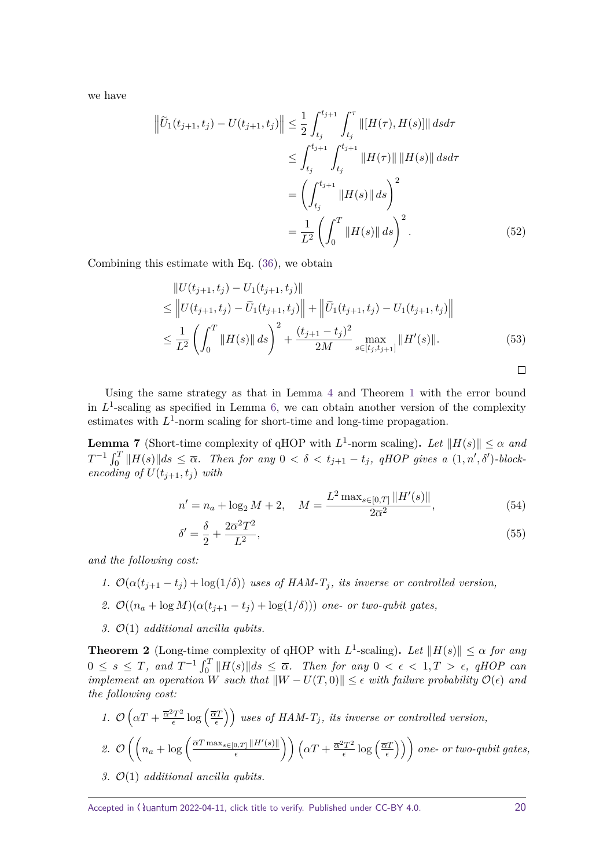we have

$$
\left\| \tilde{U}_1(t_{j+1}, t_j) - U(t_{j+1}, t_j) \right\| \leq \frac{1}{2} \int_{t_j}^{t_{j+1}} \int_{t_j}^{\tau} \left\| [H(\tau), H(s)] \right\| ds d\tau
$$
  
\n
$$
\leq \int_{t_j}^{t_{j+1}} \int_{t_j}^{t_{j+1}} \left\| H(\tau) \right\| \left\| H(s) \right\| ds d\tau
$$
  
\n
$$
= \left( \int_{t_j}^{t_{j+1}} \left\| H(s) \right\| ds \right)^2
$$
  
\n
$$
= \frac{1}{L^2} \left( \int_0^T \left\| H(s) \right\| ds \right)^2.
$$
 (52)

Combining this estimate with Eq. [\(36\)](#page-15-2), we obtain

$$
||U(t_{j+1}, t_j) - U_1(t_{j+1}, t_j)||
$$
  
\n
$$
\leq ||U(t_{j+1}, t_j) - \tilde{U}_1(t_{j+1}, t_j)|| + ||\tilde{U}_1(t_{j+1}, t_j) - U_1(t_{j+1}, t_j)||
$$
  
\n
$$
\leq \frac{1}{L^2} \left( \int_0^T ||H(s)|| ds \right)^2 + \frac{(t_{j+1} - t_j)^2}{2M} \max_{s \in [t_j, t_{j+1}]} ||H'(s)||.
$$
\n(53)

$$
\qquad \qquad \Box
$$

Using the same strategy as that in Lemma [4](#page-15-1) and Theorem [1](#page-16-0) with the error bound in  $L^1$ -scaling as specified in Lemma [6,](#page-18-3) we can obtain another version of the complexity estimates with  $L^1$ -norm scaling for short-time and long-time propagation.

<span id="page-19-0"></span>**Lemma 7** (Short-time complexity of qHOP with  $L^1$ -norm scaling). Let  $||H(s)|| \leq \alpha$  and  $T^{-1} \int_0^T \|H(s)\| ds \leq \overline{\alpha}$ . Then for any  $0 < \delta < t_{j+1} - t_j$ , qHOP gives a  $(1, n', \delta')$ -block*encoding of*  $U(t_{i+1}, t_i)$  *with* 

$$
n' = n_a + \log_2 M + 2, \quad M = \frac{L^2 \max_{s \in [0,T]} \|H'(s)\|}{2\overline{\alpha}^2},\tag{54}
$$

$$
\delta' = \frac{\delta}{2} + \frac{2\overline{\alpha}^2 T^2}{L^2},\tag{55}
$$

*and the following cost:*

- *1.*  $\mathcal{O}(\alpha(t_{i+1} t_i) + \log(1/\delta))$  uses of HAM-T<sub>*j</sub>*, its inverse or controlled version,</sub>
- 2.  $\mathcal{O}((n_a + \log M)(\alpha(t_{i+1} t_i) + \log(1/\delta)))$  one- or two-qubit gates,
- *3.* O(1) *additional ancilla qubits.*

**Theorem 2** (Long-time complexity of qHOP with  $L^1$ -scaling). Let  $||H(s)|| \leq \alpha$  for any  $0 \leq s \leq T$ , and  $T^{-1} \int_0^T \|H(s)\| ds \leq \overline{\alpha}$ . Then for any  $0 < \epsilon < 1, T > \epsilon$ , qHOP can *implement an operation W such that*  $||W - U(T, 0)|| \leq \epsilon$  *with failure probability*  $\mathcal{O}(\epsilon)$  *and the following cost:*

1. 
$$
\mathcal{O}\left(\alpha T + \frac{\overline{\alpha}^2 T^2}{\epsilon} \log\left(\frac{\overline{\alpha} T}{\epsilon}\right)\right)
$$
 uses of HAM-T<sub>j</sub>, its inverse or controlled version,  
\n2.  $\mathcal{O}\left(\left(n_a + \log\left(\frac{\overline{\alpha} T \max_{s \in [0,T]} \|H'(s)\|}{\epsilon}\right)\right) \left(\alpha T + \frac{\overline{\alpha}^2 T^2}{\epsilon} \log\left(\frac{\overline{\alpha} T}{\epsilon}\right)\right)\right)$  one- or two-qubit gates,

*3.* O(1) *additional ancilla qubits.*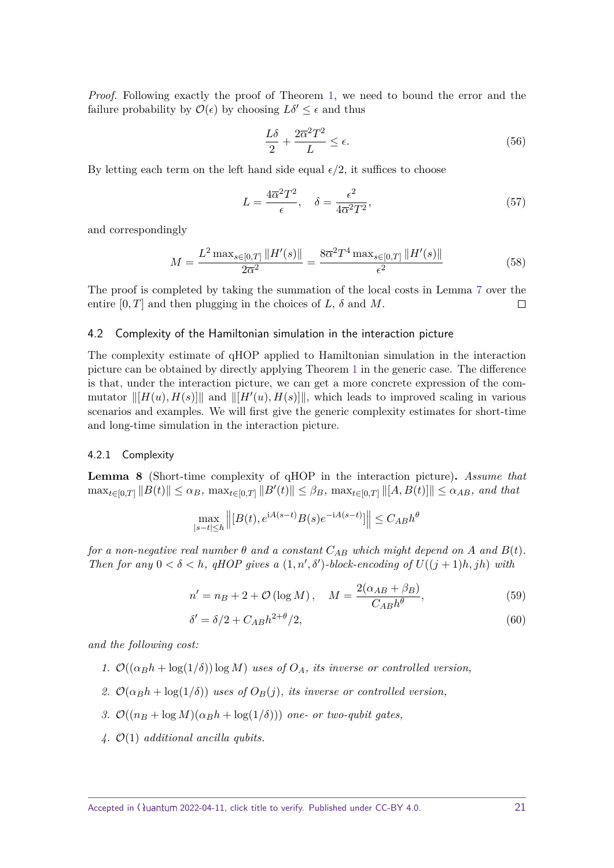*Proof.* Following exactly the proof of Theorem [1,](#page-16-0) we need to bound the error and the failure probability by  $\mathcal{O}(\epsilon)$  by choosing  $L\delta' \leq \epsilon$  and thus

$$
\frac{L\delta}{2} + \frac{2\overline{\alpha}^2 T^2}{L} \le \epsilon. \tag{56}
$$

By letting each term on the left hand side equal  $\epsilon/2$ , it suffices to choose

$$
L = \frac{4\overline{\alpha}^2 T^2}{\epsilon}, \quad \delta = \frac{\epsilon^2}{4\overline{\alpha}^2 T^2},\tag{57}
$$

and correspondingly

$$
M = \frac{L^2 \max_{s \in [0,T]} \|H'(s)\|}{2\overline{\alpha}^2} = \frac{8\overline{\alpha}^2 T^4 \max_{s \in [0,T]} \|H'(s)\|}{\epsilon^2} \tag{58}
$$

The proof is completed by taking the summation of the local costs in Lemma [7](#page-19-0) over the entire  $[0, T]$  and then plugging in the choices of *L*,  $\delta$  and *M*.  $\Box$ 

## <span id="page-20-0"></span>4.2 Complexity of the Hamiltonian simulation in the interaction picture

The complexity estimate of qHOP applied to Hamiltonian simulation in the interaction picture can be obtained by directly applying Theorem [1](#page-16-0) in the generic case. The difference is that, under the interaction picture, we can get a more concrete expression of the commutator  $\Vert [H(u), H(s)] \Vert$  and  $\Vert [H'(u), H(s)] \Vert$ , which leads to improved scaling in various scenarios and examples. We will first give the generic complexity estimates for short-time and long-time simulation in the interaction picture.

#### <span id="page-20-1"></span>4.2.1 Complexity

**Lemma 8** (Short-time complexity of qHOP in the interaction picture)**.** *Assume that*  $\max_{t \in [0,T]} ||B(t)|| \le \alpha_B$ ,  $\max_{t \in [0,T]} ||B'(t)|| \le \beta_B$ ,  $\max_{t \in [0,T]} ||[A,B(t)]|| \le \alpha_{AB}$ , and that

$$
\max_{|s-t| \le h} \left\| [B(t), e^{iA(s-t)} B(s) e^{-iA(s-t)}] \right\| \le C_{AB} h^{\theta}
$$

*for a non-negative real number*  $\theta$  *and a constant*  $C_{AB}$  *which might depend on*  $A$  *and*  $B(t)$ *. Then for any*  $0 < \delta < h$ , qHOP gives a  $(1, n', \delta')$ -block-encoding of  $U((j + 1)h, jh)$  with

$$
n' = nB + 2 + \mathcal{O}\left(\log M\right), \quad M = \frac{2(\alpha_{AB} + \beta_B)}{C_{AB}h^{\theta}},\tag{59}
$$

$$
\delta' = \delta/2 + C_{AB}h^{2+\theta}/2,\tag{60}
$$

*and the following cost:*

- *1.*  $\mathcal{O}((\alpha_B h + \log(1/\delta)) \log M)$  *uses of*  $O_A$ *, its inverse or controlled version,*
- 2.  $\mathcal{O}(\alpha_B h + \log(1/\delta))$  uses of  $O_B(j)$ , its inverse or controlled version,
- *3.*  $\mathcal{O}((n_B + \log M)(\alpha_B h + \log(1/\delta)))$  *one- or two-qubit gates,*
- *4.* O(1) *additional ancilla qubits.*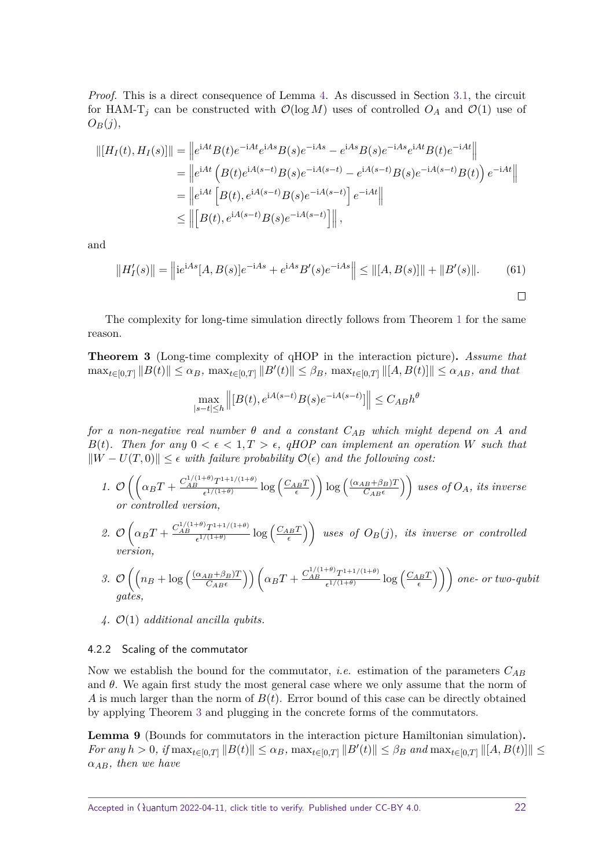*Proof.* This is a direct consequence of Lemma [4.](#page-15-1) As discussed in Section [3.1,](#page-8-1) the circuit for HAM-T<sub>*j*</sub> can be constructed with  $\mathcal{O}(\log M)$  uses of controlled  $O_A$  and  $\mathcal{O}(1)$  use of  $O_B(j)$ ,

$$
||[H_I(t), H_I(s)]|| = ||e^{iAt}B(t)e^{-iAt}e^{iAs}B(s)e^{-iAs} - e^{iAs}B(s)e^{-iAs}e^{iAt}B(t)e^{-iAt}||
$$
  
\n
$$
= ||e^{iAt}(B(t)e^{iA(s-t)}B(s)e^{-iA(s-t)} - e^{iA(s-t)}B(s)e^{-iA(s-t)}B(t))e^{-iAt}||
$$
  
\n
$$
= ||e^{iAt}[B(t), e^{iA(s-t)}B(s)e^{-iA(s-t)}]e^{-iAt}||
$$
  
\n
$$
\le ||[B(t), e^{iA(s-t)}B(s)e^{-iA(s-t)}]||,
$$

and

$$
||H'_{I}(s)|| = ||ie^{iAs}[A, B(s)]e^{-iAs} + e^{iAs}B'(s)e^{-iAs}|| \le ||[A, B(s)]|| + ||B'(s)||. \tag{61}
$$

The complexity for long-time simulation directly follows from Theorem [1](#page-16-0) for the same reason.

<span id="page-21-1"></span>**Theorem 3** (Long-time complexity of qHOP in the interaction picture)**.** *Assume that*  $\max_{t \in [0,T]} ||B(t)|| \le \alpha_B$ ,  $\max_{t \in [0,T]} ||B'(t)|| \le \beta_B$ ,  $\max_{t \in [0,T]} ||[A,B(t)]|| \le \alpha_{AB}$ , and that

$$
\max_{|s-t| \le h} \left\| [B(t), e^{iA(s-t)}B(s)e^{-iA(s-t)}] \right\| \le C_{AB} h^{\theta}
$$

*for a non-negative real number θ and a constant CAB which might depend on A and B*(*t*)*.* Then for any  $0 < \epsilon < 1, T > \epsilon$ , qHOP can implement an operation W such that  $||W - U(T, 0)||$  ≤  $\epsilon$  *with failure probability*  $\mathcal{O}(\epsilon)$  *and the following cost:* 

- *1.*  $\mathcal{O}\left(\left(\alpha_B T + \frac{C_{AB}^{1/(1+\theta)} T^{1+1/(1+\theta)}}{\epsilon^{1/(1+\theta)}}\right)\right)$  $\left(\frac{(\alpha_{AB} + \beta_B)T^{1+1/(1+\theta)}}{\epsilon^{1/(1+\theta)}}\log\left(\frac{C_{AB}T}{\epsilon}\right)\right)\log\left(\frac{(\alpha_{AB} + \beta_B)T^{1+1/(1+\theta)}}{C_{AB}\epsilon}\right)$  $C_{AB}$  $\epsilon$  $\int$  *uses of*  $O_A$ *, its inverse or controlled version,*
- 2.  $\mathcal{O}\left(\alpha_B T + \frac{C_{AB}^{1/(1+\theta)} T^{1+1/(1+\theta)}}{\epsilon^{1/(1+\theta)}}\right)$  $\left(\frac{t^{\theta}T^{1+1/(1+\theta)}}{\epsilon^{1/(1+\theta)}}\log\left(\frac{C_{AB}T}{\epsilon}\right)\right)$  uses of  $O_B(j)$ , its inverse or controlled *version,*

3. 
$$
\mathcal{O}\left(\left(n_B + \log\left(\frac{(\alpha_{AB} + \beta_B)T}{C_{AB}\epsilon}\right)\right)\left(\alpha_B T + \frac{C_{AB}^{1/(1+\theta)}T^{1+1/(1+\theta)}}{\epsilon^{1/(1+\theta)}}\log\left(\frac{C_{AB}T}{\epsilon}\right)\right)\right)
$$
 one- or two-qubit gates,

*4.* O(1) *additional ancilla qubits.*

#### <span id="page-21-0"></span>4.2.2 Scaling of the commutator

Now we establish the bound for the commutator, i.e. estimation of the parameters *CAB* and  $\theta$ . We again first study the most general case where we only assume that the norm of *A* is much larger than the norm of *B*(*t*). Error bound of this case can be directly obtained by applying Theorem [3](#page-21-1) and plugging in the concrete forms of the commutators.

<span id="page-21-2"></span>**Lemma 9** (Bounds for commutators in the interaction picture Hamiltonian simulation)**.** For any  $h > 0$ , if  $\max_{t \in [0,T]} ||B(t)|| \le \alpha_B$ ,  $\max_{t \in [0,T]} ||B'(t)|| \le \beta_B$  and  $\max_{t \in [0,T]} ||[A, B(t)]|| \le$ *αAB, then we have*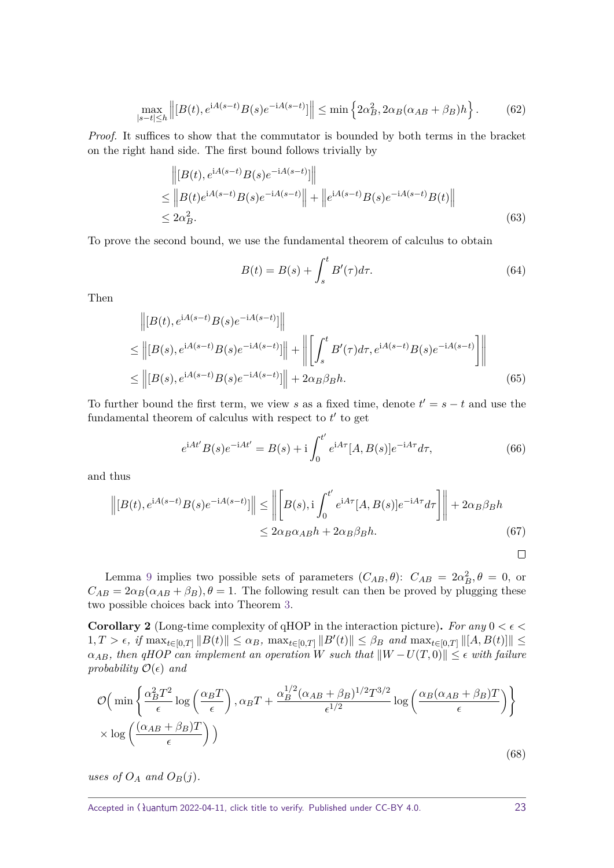$$
\max_{|s-t| \le h} \left\| [B(t), e^{iA(s-t)} B(s) e^{-iA(s-t)}] \right\| \le \min \left\{ 2\alpha_B^2, 2\alpha_B(\alpha_{AB} + \beta_B) h \right\}.
$$
 (62)

*Proof.* It suffices to show that the commutator is bounded by both terms in the bracket on the right hand side. The first bound follows trivially by

$$
\| [B(t), e^{iA(s-t)} B(s) e^{-iA(s-t)}] \|
$$
  
\n
$$
\leq \| B(t) e^{iA(s-t)} B(s) e^{-iA(s-t)} \| + \| e^{iA(s-t)} B(s) e^{-iA(s-t)} B(t) \|
$$
  
\n
$$
\leq 2\alpha_B^2.
$$
\n(63)

To prove the second bound, we use the fundamental theorem of calculus to obtain

$$
B(t) = B(s) + \int_{s}^{t} B'(\tau) d\tau.
$$
\n(64)

Then

$$
\| [B(t), e^{iA(s-t)}B(s)e^{-iA(s-t)}] \| \leq \| [B(s), e^{iA(s-t)}B(s)e^{-iA(s-t)}] \| + \| \left[ \int_s^t B'(\tau)d\tau, e^{iA(s-t)}B(s)e^{-iA(s-t)} \right] \| \leq \| [B(s), e^{iA(s-t)}B(s)e^{-iA(s-t)}] \| + 2\alpha_B\beta_B h.
$$
\n(65)

To further bound the first term, we view *s* as a fixed time, denote  $t' = s - t$  and use the fundamental theorem of calculus with respect to  $t'$  to get

<span id="page-22-0"></span>
$$
e^{iAt'}B(s)e^{-iAt'} = B(s) + i\int_0^{t'} e^{iA\tau}[A,B(s)]e^{-iA\tau}d\tau,
$$
\n(66)

and thus

$$
\| [B(t), e^{iA(s-t)}B(s)e^{-iA(s-t)}] \| \le \| \left[ B(s), i \int_0^{t'} e^{iA\tau} [A, B(s)]e^{-iA\tau} d\tau \right] \| + 2\alpha_B \beta_B h
$$
  

$$
\le 2\alpha_B \alpha_{AB} h + 2\alpha_B \beta_B h.
$$
 (67)

$$
\Box
$$

Lemma [9](#page-21-2) implies two possible sets of parameters  $(C_{AB}, \theta)$ :  $C_{AB} = 2\alpha_B^2$ ,  $\theta = 0$ , or  $C_{AB} = 2\alpha_B(\alpha_{AB} + \beta_B), \theta = 1$ . The following result can then be proved by plugging these two possible choices back into Theorem [3.](#page-21-1)

**Corollary 2** (Long-time complexity of qHOP in the interaction picture). For any  $0 < \epsilon <$  $1, T > \epsilon$ , if  $\max_{t \in [0,T]} ||B(t)|| \le \alpha_B$ ,  $\max_{t \in [0,T]} ||B'(t)|| \le \beta_B$  and  $\max_{t \in [0,T]} ||[A, B(t)]|| \le$  $\alpha_{AB}$ , then qHOP can implement an operation *W* such that  $\|W - U(T, 0)\| \leq \epsilon$  with failure *probability*  $\mathcal{O}(\epsilon)$  *and* 

$$
\mathcal{O}\Big(\min\left\{\frac{\alpha_B^2 T^2}{\epsilon} \log\left(\frac{\alpha_B T}{\epsilon}\right), \alpha_B T + \frac{\alpha_B^{1/2} (\alpha_{AB} + \beta_B)^{1/2} T^{3/2}}{\epsilon^{1/2}} \log\left(\frac{\alpha_B (\alpha_{AB} + \beta_B) T}{\epsilon}\right) \right\}
$$

$$
\times \log\left(\frac{(\alpha_{AB} + \beta_B) T}{\epsilon}\right)\Big) \tag{68}
$$

*uses of*  $O_A$  *and*  $O_B(j)$ *.*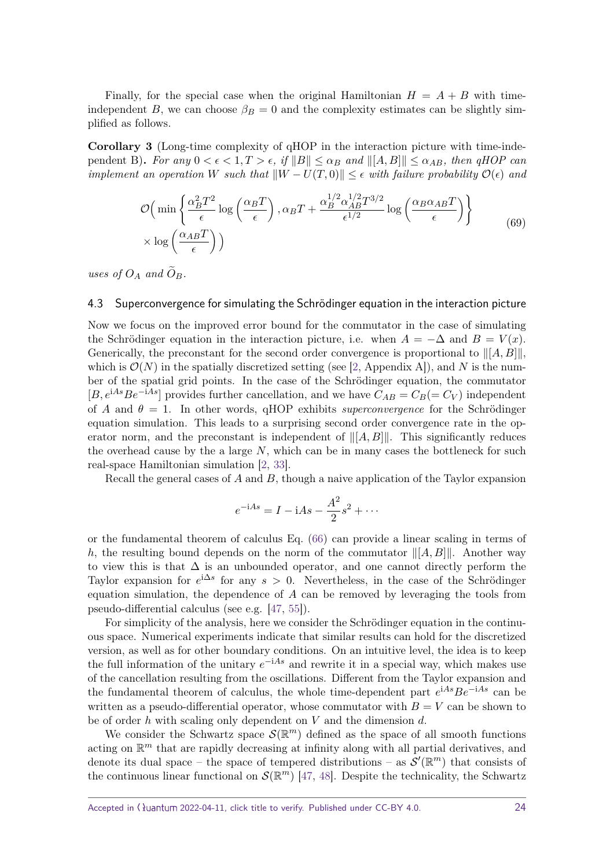Finally, for the special case when the original Hamiltonian  $H = A + B$  with timeindependent *B*, we can choose  $\beta_B = 0$  and the complexity estimates can be slightly simplified as follows.

**Corollary 3** (Long-time complexity of qHOP in the interaction picture with time-independent B). For any  $0 < \epsilon < 1, T > \epsilon$ , if  $||B|| \leq \alpha_B$  and  $||[A, B]|| \leq \alpha_{AB}$ , then qHOP can *implement an operation W such that*  $\|W - U(T, 0)\| \leq \epsilon$  *with failure probability*  $\mathcal{O}(\epsilon)$  *and* 

$$
\mathcal{O}\Big(\min\left\{\frac{\alpha_B^2 T^2}{\epsilon} \log\left(\frac{\alpha_B T}{\epsilon}\right), \alpha_B T + \frac{\alpha_B^{1/2} \alpha_{AB}^{1/2} T^{3/2}}{\epsilon^{1/2}} \log\left(\frac{\alpha_B \alpha_{AB} T}{\epsilon}\right) \right\}
$$

$$
\times \log\left(\frac{\alpha_{AB} T}{\epsilon}\right)\Big) \tag{69}
$$

*uses of*  $O_A$  *and*  $O_B$ *.* 

#### <span id="page-23-0"></span>4.3 Superconvergence for simulating the Schrödinger equation in the interaction picture

Now we focus on the improved error bound for the commutator in the case of simulating the Schrödinger equation in the interaction picture, i.e. when  $A = -\Delta$  and  $B = V(x)$ . Generically, the preconstant for the second order convergence is proportional to  $\| [A, B] \|$ , which is  $\mathcal{O}(N)$  in the spatially discretized setting (see [\[2,](#page-31-1) Appendix A]), and N is the number of the spatial grid points. In the case of the Schrödinger equation, the commutator [*B*,  $e^{iAs}Be^{-iAs}$ ] provides further cancellation, and we have  $C_{AB} = C_B (= C_V)$  independent of *A* and  $\theta = 1$ . In other words, qHOP exhibits *superconvergence* for the Schrödinger equation simulation. This leads to a surprising second order convergence rate in the operator norm, and the preconstant is independent of  $\|[A, B]\|$ . This significantly reduces the overhead cause by the a large *N*, which can be in many cases the bottleneck for such real-space Hamiltonian simulation [\[2,](#page-31-1) [33\]](#page-33-3).

Recall the general cases of *A* and *B*, though a naive application of the Taylor expansion

$$
e^{-iAs} = I - iAs - \frac{A^2}{2}s^2 + \cdots
$$

or the fundamental theorem of calculus Eq. [\(66\)](#page-22-0) can provide a linear scaling in terms of h, the resulting bound depends on the norm of the commutator  $\|[A, B]\|$ . Another way to view this is that  $\Delta$  is an unbounded operator, and one cannot directly perform the Taylor expansion for  $e^{i\Delta s}$  for any  $s > 0$ . Nevertheless, in the case of the Schrödinger equation simulation, the dependence of *A* can be removed by leveraging the tools from pseudo-differential calculus (see e.g. [\[47,](#page-33-12) [55\]](#page-34-6)).

For simplicity of the analysis, here we consider the Schrödinger equation in the continuous space. Numerical experiments indicate that similar results can hold for the discretized version, as well as for other boundary conditions. On an intuitive level, the idea is to keep the full information of the unitary  $e^{-iAs}$  and rewrite it in a special way, which makes use of the cancellation resulting from the oscillations. Different from the Taylor expansion and the fundamental theorem of calculus, the whole time-dependent part *e* <sup>i</sup>*AsBe*−i*As* can be written as a pseudo-differential operator, whose commutator with  $B = V$  can be shown to be of order *h* with scaling only dependent on *V* and the dimension *d*.

We consider the Schwartz space  $\mathcal{S}(\mathbb{R}^m)$  defined as the space of all smooth functions acting on  $\mathbb{R}^m$  that are rapidly decreasing at infinity along with all partial derivatives, and denote its dual space – the space of tempered distributions – as  $\mathcal{S}'(\mathbb{R}^m)$  that consists of the continuous linear functional on  $\mathcal{S}(\mathbb{R}^m)$  [\[47,](#page-33-12) [48\]](#page-33-15). Despite the technicality, the Schwartz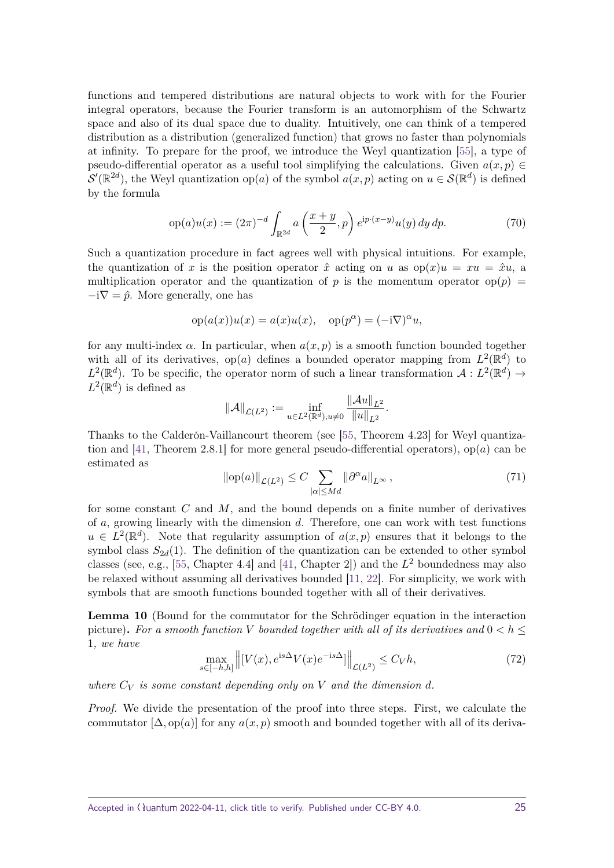functions and tempered distributions are natural objects to work with for the Fourier integral operators, because the Fourier transform is an automorphism of the Schwartz space and also of its dual space due to duality. Intuitively, one can think of a tempered distribution as a distribution (generalized function) that grows no faster than polynomials at infinity. To prepare for the proof, we introduce the Weyl quantization [\[55\]](#page-34-6), a type of pseudo-differential operator as a useful tool simplifying the calculations. Given  $a(x, p) \in$  $\mathcal{S}'(\mathbb{R}^{2d})$ , the Weyl quantization op(*a*) of the symbol  $a(x, p)$  acting on  $u \in \mathcal{S}(\mathbb{R}^d)$  is defined by the formula

$$
op(a)u(x) := (2\pi)^{-d} \int_{\mathbb{R}^{2d}} a\left(\frac{x+y}{2}, p\right) e^{ip \cdot (x-y)} u(y) \, dy \, dp. \tag{70}
$$

Such a quantization procedure in fact agrees well with physical intuitions. For example, the quantization of x is the position operator  $\hat{x}$  acting on u as  $\text{op}(x)u = xu = \hat{x}u$ , a multiplication operator and the quantization of *p* is the momentum operator  $op(p)$  =  $-i\nabla = \hat{p}$ . More generally, one has

$$
op(a(x))u(x) = a(x)u(x), op(p^{\alpha}) = (-i\nabla)^{\alpha}u,
$$

for any multi-index  $\alpha$ . In particular, when  $a(x, p)$  is a smooth function bounded together with all of its derivatives,  $op(a)$  defines a bounded operator mapping from  $L^2(\mathbb{R}^d)$  to  $L^2(\mathbb{R}^d)$ . To be specific, the operator norm of such a linear transformation  $\mathcal{A}: L^2(\mathbb{R}^d) \to$  $L^2(\mathbb{R}^d)$  is defined as

$$
\|\mathcal{A}\|_{\mathcal{L}(L^2)} := \inf_{u \in L^2(\mathbb{R}^d), u \neq 0} \frac{\|\mathcal{A}u\|_{L^2}}{\|u\|_{L^2}}.
$$

Thanks to the Calderón-Vaillancourt theorem (see [\[55,](#page-34-6) Theorem 4.23] for Weyl quantization and [\[41,](#page-33-16) Theorem 2.8.1] for more general pseudo-differential operators), op(*a*) can be estimated as

<span id="page-24-1"></span>
$$
\|\text{op}(a)\|_{\mathcal{L}(L^2)} \le C \sum_{|\alpha| \le Md} \|\partial^{\alpha} a\|_{L^{\infty}},\tag{71}
$$

for some constant *C* and *M*, and the bound depends on a finite number of derivatives of *a*, growing linearly with the dimension *d*. Therefore, one can work with test functions  $u \in L^2(\mathbb{R}^d)$ . Note that regularity assumption of  $a(x, p)$  ensures that it belongs to the symbol class  $S_{2d}(1)$ . The definition of the quantization can be extended to other symbol classes (see, e.g., [\[55,](#page-34-6) Chapter 4.4] and [\[41,](#page-33-16) Chapter 2]) and the *L* <sup>2</sup> boundedness may also be relaxed without assuming all derivatives bounded [\[11,](#page-31-13) [22\]](#page-32-16). For simplicity, we work with symbols that are smooth functions bounded together with all of their derivatives.

<span id="page-24-0"></span>**Lemma 10** (Bound for the commutator for the Schrödinger equation in the interaction picture). For a smooth function V bounded together with all of its derivatives and  $0 < h <$ 1*, we have*

$$
\max_{s \in [-h,h]} \left\| [V(x), e^{is\Delta} V(x) e^{-is\Delta}] \right\|_{\mathcal{L}(L^2)} \le C_V h,\tag{72}
$$

where  $C_V$  is some constant depending only on V and the dimension d.

*Proof.* We divide the presentation of the proof into three steps. First, we calculate the commutator  $[\Delta, \text{op}(a)]$  for any  $a(x, p)$  smooth and bounded together with all of its deriva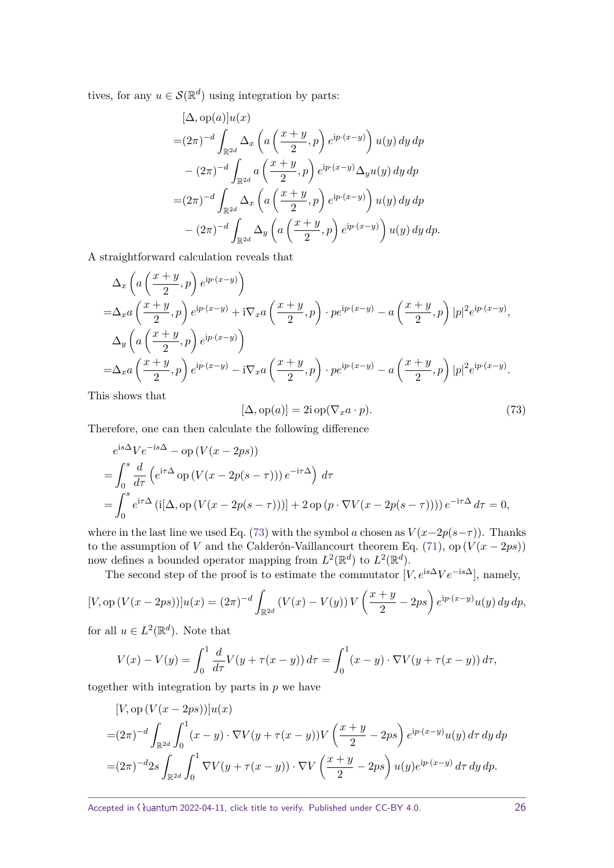tives, for any  $u \in \mathcal{S}(\mathbb{R}^d)$  using integration by parts:

$$
[\Delta, op(a)]u(x)
$$
  
= $(2\pi)^{-d} \int_{\mathbb{R}^{2d}} \Delta_x \left( a\left(\frac{x+y}{2}, p\right) e^{ip \cdot (x-y)} \right) u(y) dy dp$   
 $- (2\pi)^{-d} \int_{\mathbb{R}^{2d}} a\left(\frac{x+y}{2}, p\right) e^{ip \cdot (x-y)} \Delta_y u(y) dy dp$   
= $(2\pi)^{-d} \int_{\mathbb{R}^{2d}} \Delta_x \left( a\left(\frac{x+y}{2}, p\right) e^{ip \cdot (x-y)} \right) u(y) dy dp$   
 $- (2\pi)^{-d} \int_{\mathbb{R}^{2d}} \Delta_y \left( a\left(\frac{x+y}{2}, p\right) e^{ip \cdot (x-y)} \right) u(y) dy dp.$ 

A straightforward calculation reveals that

$$
\Delta_x \left( a \left( \frac{x+y}{2}, p \right) e^{ip \cdot (x-y)} \right)
$$
  
=  $\Delta_x a \left( \frac{x+y}{2}, p \right) e^{ip \cdot (x-y)} + i \nabla_x a \left( \frac{x+y}{2}, p \right) \cdot p e^{ip \cdot (x-y)} - a \left( \frac{x+y}{2}, p \right) |p|^2 e^{ip \cdot (x-y)},$   

$$
\Delta_y \left( a \left( \frac{x+y}{2}, p \right) e^{ip \cdot (x-y)} \right)
$$
  
=  $\Delta_x a \left( \frac{x+y}{2}, p \right) e^{ip \cdot (x-y)} - i \nabla_x a \left( \frac{x+y}{2}, p \right) \cdot p e^{ip \cdot (x-y)} - a \left( \frac{x+y}{2}, p \right) |p|^2 e^{ip \cdot (x-y)}.$ 

This shows that

<span id="page-25-0"></span>
$$
[\Delta, op(a)] = 2i op(\nabla_x a \cdot p).
$$
\n(73)

Therefore, one can then calculate the following difference

$$
e^{is\Delta}Ve^{-is\Delta} - op(V(x - 2ps))
$$
  
=  $\int_0^s \frac{d}{d\tau} \left( e^{i\tau \Delta} op(V(x - 2p(s - \tau))) e^{-i\tau \Delta} \right) d\tau$   
=  $\int_0^s e^{i\tau \Delta} (i[\Delta, op(V(x - 2p(s - \tau)))] + 2 op(p \cdot \nabla V(x - 2p(s - \tau)))) e^{-i\tau \Delta} d\tau = 0,$ 

where in the last line we used Eq. [\(73\)](#page-25-0) with the symbol *a* chosen as  $V(x-2p(s-\tau))$ . Thanks to the assumption of *V* and the Calderón-Vaillancourt theorem Eq. [\(71\)](#page-24-1), op  $(V(x - 2ps))$ now defines a bounded operator mapping from  $L^2(\mathbb{R}^d)$  to  $L^2(\mathbb{R}^d)$ .

The second step of the proof is to estimate the commutator  $[V, e^{is\Delta}Ve^{-is\Delta}],$  namely,

$$
[V, \text{op}(V(x-2ps))]u(x) = (2\pi)^{-d} \int_{\mathbb{R}^{2d}} (V(x) - V(y)) V\left(\frac{x+y}{2} - 2ps\right) e^{ip \cdot (x-y)} u(y) \, dy \, dp,
$$

for all  $u \in L^2(\mathbb{R}^d)$ . Note that

$$
V(x) - V(y) = \int_0^1 \frac{d}{d\tau} V(y + \tau(x - y)) d\tau = \int_0^1 (x - y) \cdot \nabla V(y + \tau(x - y)) d\tau,
$$

together with integration by parts in *p* we have

$$
[V, op (V(x - 2ps))]u(x)
$$
  
= $(2\pi)^{-d}$  $\int_{\mathbb{R}^{2d}} \int_0^1 (x - y) \cdot \nabla V(y + \tau(x - y)) V\left(\frac{x + y}{2} - 2ps\right) e^{ip \cdot (x - y)} u(y) d\tau dy dp$   
= $(2\pi)^{-d}$  $2s$  $\int_{\mathbb{R}^{2d}} \int_0^1 \nabla V(y + \tau(x - y)) \cdot \nabla V\left(\frac{x + y}{2} - 2ps\right) u(y) e^{ip \cdot (x - y)} d\tau dy dp.$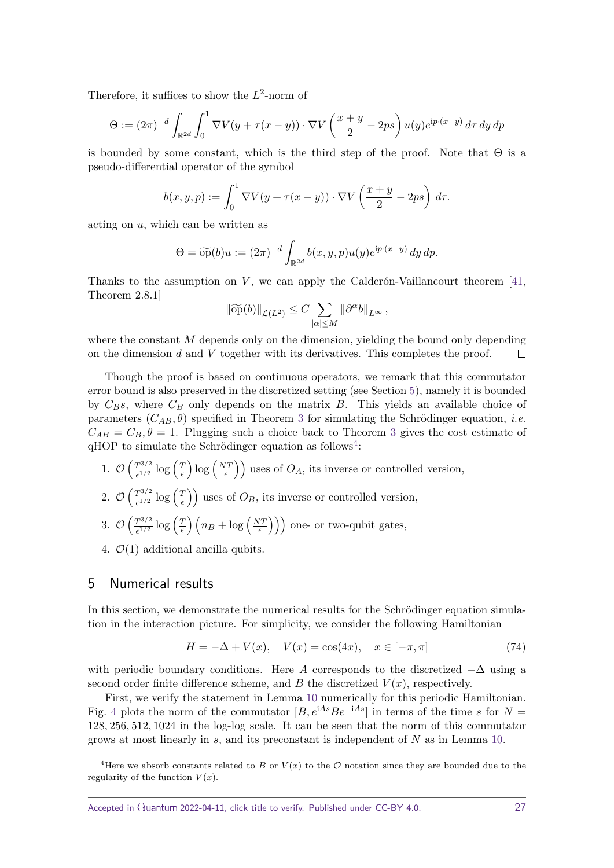Therefore, it suffices to show the  $L^2$ -norm of

$$
\Theta := (2\pi)^{-d} \int_{\mathbb{R}^{2d}} \int_0^1 \nabla V(y + \tau(x - y)) \cdot \nabla V \left(\frac{x + y}{2} - 2ps\right) u(y) e^{ip \cdot (x - y)} d\tau dy dp
$$

is bounded by some constant, which is the third step of the proof. Note that  $\Theta$  is a pseudo-differential operator of the symbol

$$
b(x, y, p) := \int_0^1 \nabla V(y + \tau(x - y)) \cdot \nabla V\left(\frac{x + y}{2} - 2ps\right) d\tau.
$$

acting on *u*, which can be written as

$$
\Theta = \widetilde{\mathrm{op}}(b)u := (2\pi)^{-d} \int_{\mathbb{R}^{2d}} b(x, y, p) u(y) e^{\mathrm{i}p \cdot (x-y)} dy dp.
$$

Thanks to the assumption on  $V$ , we can apply the Calderón-Vaillancourt theorem  $[41]$ , Theorem 2.8.1]

$$
\|\widetilde{\mathrm{op}}(b)\|_{\mathcal{L}(L^2)} \leq C \sum_{|\alpha| \leq M} \|\partial^{\alpha}b\|_{L^{\infty}},
$$

where the constant M depends only on the dimension, yielding the bound only depending on the dimension *d* and *V* together with its derivatives. This completes the proof.  $\Box$ 

Though the proof is based on continuous operators, we remark that this commutator error bound is also preserved in the discretized setting (see Section [5\)](#page-26-0), namely it is bounded by  $C_B$ *s*, where  $C_B$  only depends on the matrix  $B$ . This yields an available choice of parameters  $(C_{AB}, \theta)$  specified in Theorem [3](#page-21-1) for simulating the Schrödinger equation, *i.e.*  $C_{AB} = C_B, \theta = 1$ . Plugging such a choice back to Theorem [3](#page-21-1) gives the cost estimate of  $qHOP$  to simulate the Schrödinger equation as follows<sup>[4](#page-26-1)</sup>:

- 1.  $\mathcal{O}\left(\frac{T^{3/2}}{1/2}\right)$  $\frac{T^{3/2}}{\epsilon^{1/2}} \log \left( \frac{T}{\epsilon} \right)$  $\left(\frac{T}{\epsilon}\right)\log\left(\frac{NT}{\epsilon}\right)$  $\left(\frac{UT}{\epsilon}\right)$  uses of  $O_A$ , its inverse or controlled version,
- 2.  $\mathcal{O}\left(\frac{T^{3/2}}{\epsilon^{1/2}}\right)$  $\frac{T^{3/2}}{\epsilon^{1/2}} \log \left( \frac{T}{\epsilon} \right)$  $\left(\frac{T}{\epsilon}\right)$  uses of  $O_B$ , its inverse or controlled version,
- 3.  $\mathcal{O}\left(\frac{T^{3/2}}{1/2}\right)$  $\frac{T^{3/2}}{\epsilon^{1/2}} \log \left( \frac{T}{\epsilon} \right)$  $\left(\frac{T}{\epsilon}\right)\left(n_B + \log\left(\frac{NT}{\epsilon}\right)\right)$  $\left(\frac{U(T)}{\epsilon}\right)$ ) one- or two-qubit gates,
- 4.  $\mathcal{O}(1)$  additional ancilla qubits.

## <span id="page-26-0"></span>5 Numerical results

In this section, we demonstrate the numerical results for the Schrödinger equation simulation in the interaction picture. For simplicity, we consider the following Hamiltonian

$$
H = -\Delta + V(x), \quad V(x) = \cos(4x), \quad x \in [-\pi, \pi]
$$
 (74)

with periodic boundary conditions. Here *A* corresponds to the discretized  $-\Delta$  using a second order finite difference scheme, and  $B$  the discretized  $V(x)$ , respectively.

First, we verify the statement in Lemma [10](#page-24-0) numerically for this periodic Hamiltonian. Fig. [4](#page-27-0) plots the norm of the commutator  $[B, e^{iAs}Be^{-iAs}]$  in terms of the time *s* for  $N =$ 128*,* 256*,* 512*,* 1024 in the log-log scale. It can be seen that the norm of this commutator grows at most linearly in *s*, and its preconstant is independent of *N* as in Lemma [10.](#page-24-0)

<span id="page-26-1"></span><sup>&</sup>lt;sup>4</sup>Here we absorb constants related to *B* or  $V(x)$  to the  $\mathcal O$  notation since they are bounded due to the regularity of the function  $V(x)$ .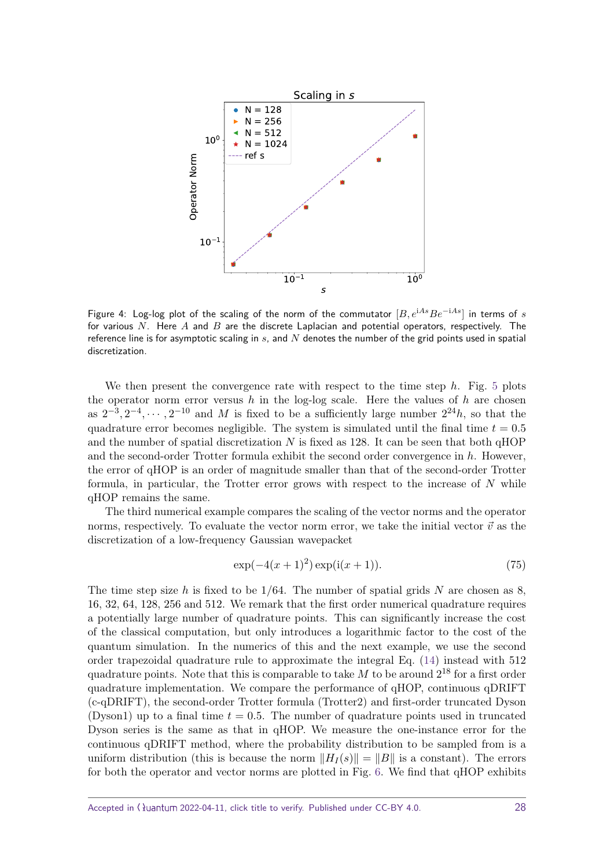<span id="page-27-0"></span>

Figure 4: Log-log plot of the scaling of the norm of the commutator [*B, e*<sup>i</sup>*AsBe*−i*As*] in terms of *s* for various *N*. Here *A* and *B* are the discrete Laplacian and potential operators, respectively. The reference line is for asymptotic scaling in *s*, and *N* denotes the number of the grid points used in spatial discretization.

We then present the convergence rate with respect to the time step *h*. Fig. [5](#page-28-1) plots the operator norm error versus  $h$  in the log-log scale. Here the values of  $h$  are chosen as  $2^{-3}, 2^{-4}, \cdots, 2^{-10}$  and *M* is fixed to be a sufficiently large number  $2^{24}h$ , so that the quadrature error becomes negligible. The system is simulated until the final time  $t = 0.5$ and the number of spatial discretization *N* is fixed as 128. It can be seen that both qHOP and the second-order Trotter formula exhibit the second order convergence in *h*. However, the error of qHOP is an order of magnitude smaller than that of the second-order Trotter formula, in particular, the Trotter error grows with respect to the increase of *N* while qHOP remains the same.

The third numerical example compares the scaling of the vector norms and the operator norms, respectively. To evaluate the vector norm error, we take the initial vector  $\vec{v}$  as the discretization of a low-frequency Gaussian wavepacket

<span id="page-27-1"></span>
$$
\exp(-4(x+1)^2)\exp(i(x+1)).
$$
\n(75)

The time step size *h* is fixed to be 1*/*64. The number of spatial grids *N* are chosen as 8, 16, 32, 64, 128, 256 and 512. We remark that the first order numerical quadrature requires a potentially large number of quadrature points. This can significantly increase the cost of the classical computation, but only introduces a logarithmic factor to the cost of the quantum simulation. In the numerics of this and the next example, we use the second order trapezoidal quadrature rule to approximate the integral Eq. [\(14\)](#page-9-3) instead with 512 quadrature points. Note that this is comparable to take  $M$  to be around  $2^{18}$  for a first order quadrature implementation. We compare the performance of qHOP, continuous qDRIFT (c-qDRIFT), the second-order Trotter formula (Trotter2) and first-order truncated Dyson (Dyson1) up to a final time  $t = 0.5$ . The number of quadrature points used in truncated Dyson series is the same as that in qHOP. We measure the one-instance error for the continuous qDRIFT method, where the probability distribution to be sampled from is a uniform distribution (this is because the norm  $||H_I(s)|| = ||B||$  is a constant). The errors for both the operator and vector norms are plotted in Fig. [6.](#page-29-0) We find that qHOP exhibits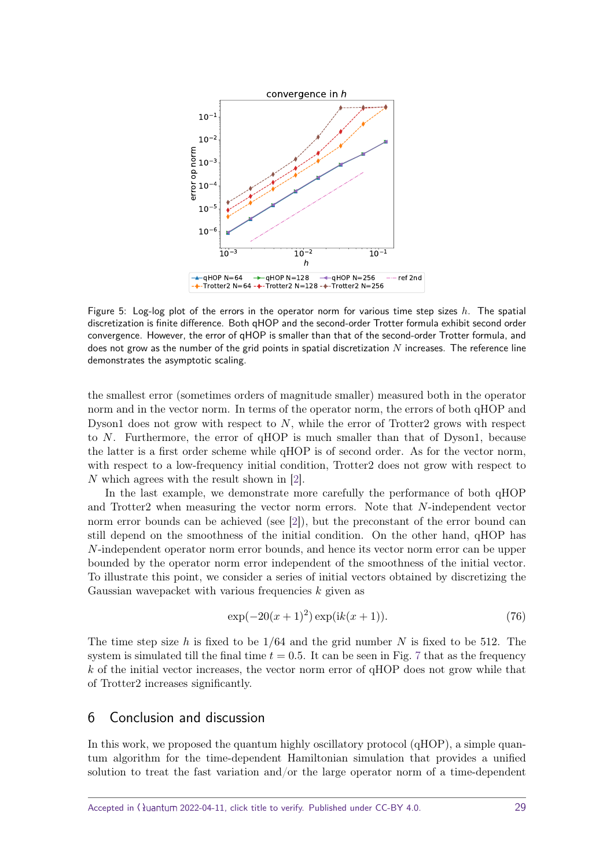<span id="page-28-1"></span>

Figure 5: Log-log plot of the errors in the operator norm for various time step sizes *h*. The spatial discretization is finite difference. Both qHOP and the second-order Trotter formula exhibit second order convergence. However, the error of qHOP is smaller than that of the second-order Trotter formula, and does not grow as the number of the grid points in spatial discretization *N* increases. The reference line demonstrates the asymptotic scaling.

the smallest error (sometimes orders of magnitude smaller) measured both in the operator norm and in the vector norm. In terms of the operator norm, the errors of both qHOP and Dyson1 does not grow with respect to *N*, while the error of Trotter2 grows with respect to *N*. Furthermore, the error of qHOP is much smaller than that of Dyson1, because the latter is a first order scheme while qHOP is of second order. As for the vector norm, with respect to a low-frequency initial condition, Trotter2 does not grow with respect to *N* which agrees with the result shown in [\[2\]](#page-31-1).

In the last example, we demonstrate more carefully the performance of both qHOP and Trotter2 when measuring the vector norm errors. Note that *N*-independent vector norm error bounds can be achieved (see [\[2\]](#page-31-1)), but the preconstant of the error bound can still depend on the smoothness of the initial condition. On the other hand, qHOP has *N*-independent operator norm error bounds, and hence its vector norm error can be upper bounded by the operator norm error independent of the smoothness of the initial vector. To illustrate this point, we consider a series of initial vectors obtained by discretizing the Gaussian wavepacket with various frequencies *k* given as

<span id="page-28-2"></span>
$$
\exp(-20(x+1)^2)\exp(ik(x+1)).
$$
\n(76)

The time step size *h* is fixed to be 1*/*64 and the grid number *N* is fixed to be 512. The system is simulated till the final time  $t = 0.5$ . It can be seen in Fig. [7](#page-29-1) that as the frequency *k* of the initial vector increases, the vector norm error of qHOP does not grow while that of Trotter2 increases significantly.

## <span id="page-28-0"></span>6 Conclusion and discussion

In this work, we proposed the quantum highly oscillatory protocol (qHOP), a simple quantum algorithm for the time-dependent Hamiltonian simulation that provides a unified solution to treat the fast variation and/or the large operator norm of a time-dependent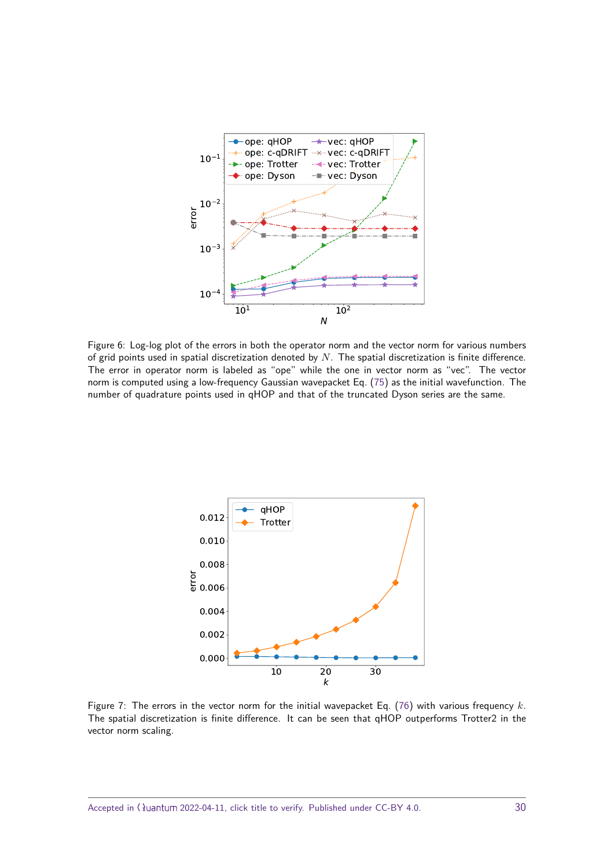<span id="page-29-0"></span>

Figure 6: Log-log plot of the errors in both the operator norm and the vector norm for various numbers of grid points used in spatial discretization denoted by *N*. The spatial discretization is finite difference. The error in operator norm is labeled as "ope" while the one in vector norm as "vec". The vector norm is computed using a low-frequency Gaussian wavepacket Eq. [\(75\)](#page-27-1) as the initial wavefunction. The number of quadrature points used in qHOP and that of the truncated Dyson series are the same.

<span id="page-29-1"></span>

Figure 7: The errors in the vector norm for the initial wavepacket Eq. [\(76\)](#page-28-2) with various frequency *k*. The spatial discretization is finite difference. It can be seen that qHOP outperforms Trotter2 in the vector norm scaling.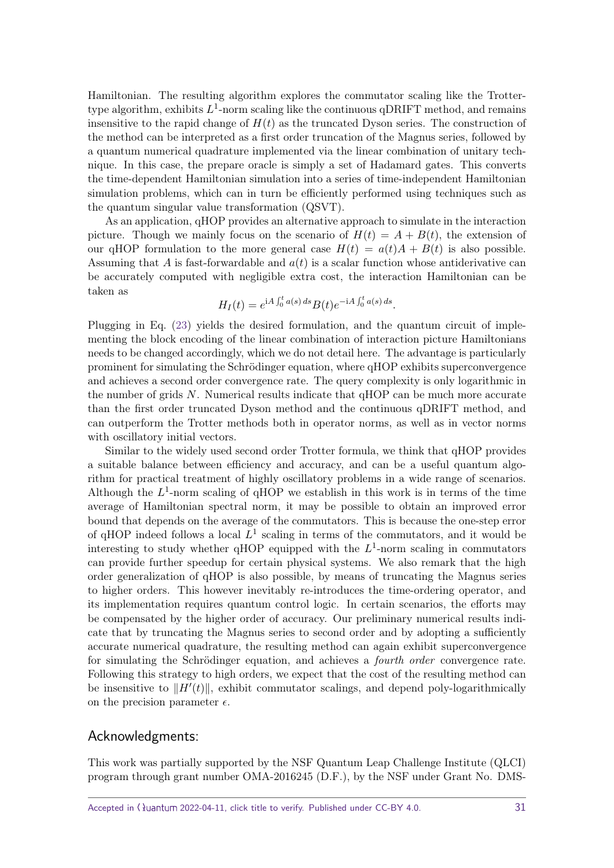Hamiltonian. The resulting algorithm explores the commutator scaling like the Trottertype algorithm, exhibits  $L^1$ -norm scaling like the continuous qDRIFT method, and remains insensitive to the rapid change of  $H(t)$  as the truncated Dyson series. The construction of the method can be interpreted as a first order truncation of the Magnus series, followed by a quantum numerical quadrature implemented via the linear combination of unitary technique. In this case, the prepare oracle is simply a set of Hadamard gates. This converts the time-dependent Hamiltonian simulation into a series of time-independent Hamiltonian simulation problems, which can in turn be efficiently performed using techniques such as the quantum singular value transformation (QSVT).

As an application, qHOP provides an alternative approach to simulate in the interaction picture. Though we mainly focus on the scenario of  $H(t) = A + B(t)$ , the extension of our qHOP formulation to the more general case  $H(t) = a(t)A + B(t)$  is also possible. Assuming that *A* is fast-forwardable and *a*(*t*) is a scalar function whose antiderivative can be accurately computed with negligible extra cost, the interaction Hamiltonian can be taken as

$$
H_I(t) = e^{iA \int_0^t a(s) ds} B(t) e^{-iA \int_0^t a(s) ds}.
$$

Plugging in Eq. [\(23\)](#page-11-5) yields the desired formulation, and the quantum circuit of implementing the block encoding of the linear combination of interaction picture Hamiltonians needs to be changed accordingly, which we do not detail here. The advantage is particularly prominent for simulating the Schrödinger equation, where qHOP exhibits superconvergence and achieves a second order convergence rate. The query complexity is only logarithmic in the number of grids *N*. Numerical results indicate that qHOP can be much more accurate than the first order truncated Dyson method and the continuous qDRIFT method, and can outperform the Trotter methods both in operator norms, as well as in vector norms with oscillatory initial vectors.

Similar to the widely used second order Trotter formula, we think that qHOP provides a suitable balance between efficiency and accuracy, and can be a useful quantum algorithm for practical treatment of highly oscillatory problems in a wide range of scenarios. Although the  $L^1$ -norm scaling of qHOP we establish in this work is in terms of the time average of Hamiltonian spectral norm, it may be possible to obtain an improved error bound that depends on the average of the commutators. This is because the one-step error of qHOP indeed follows a local  $L^1$  scaling in terms of the commutators, and it would be interesting to study whether qHOP equipped with the *L* 1 -norm scaling in commutators can provide further speedup for certain physical systems. We also remark that the high order generalization of qHOP is also possible, by means of truncating the Magnus series to higher orders. This however inevitably re-introduces the time-ordering operator, and its implementation requires quantum control logic. In certain scenarios, the efforts may be compensated by the higher order of accuracy. Our preliminary numerical results indicate that by truncating the Magnus series to second order and by adopting a sufficiently accurate numerical quadrature, the resulting method can again exhibit superconvergence for simulating the Schrödinger equation, and achieves a fourth order convergence rate. Following this strategy to high orders, we expect that the cost of the resulting method can be insensitive to  $\|H'(t)\|$ , exhibit commutator scalings, and depend poly-logarithmically on the precision parameter  $\epsilon$ .

## Acknowledgments:

This work was partially supported by the NSF Quantum Leap Challenge Institute (QLCI) program through grant number OMA-2016245 (D.F.), by the NSF under Grant No. DMS-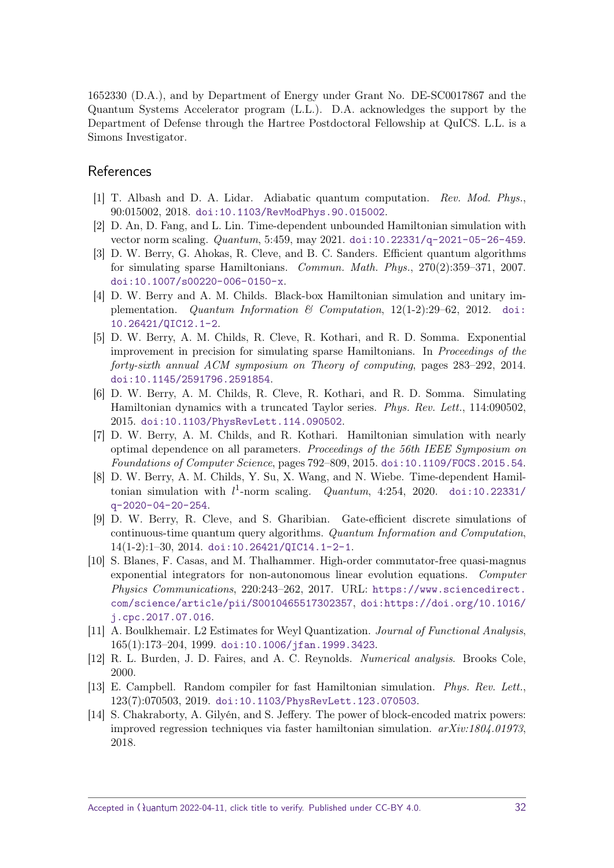1652330 (D.A.), and by Department of Energy under Grant No. DE-SC0017867 and the Quantum Systems Accelerator program (L.L.). D.A. acknowledges the support by the Department of Defense through the Hartree Postdoctoral Fellowship at QuICS. L.L. is a Simons Investigator.

## References

- <span id="page-31-0"></span>[1] T. Albash and D. A. Lidar. Adiabatic quantum computation. Rev. Mod. Phys., 90:015002, 2018. [doi:10.1103/RevModPhys.90.015002](https://doi.org/10.1103/RevModPhys.90.015002).
- <span id="page-31-1"></span>[2] D. An, D. Fang, and L. Lin. Time-dependent unbounded Hamiltonian simulation with vector norm scaling. Quantum, 5:459, may 2021. [doi:10.22331/q-2021-05-26-459](https://doi.org/10.22331/q-2021-05-26-459).
- <span id="page-31-2"></span>[3] D. W. Berry, G. Ahokas, R. Cleve, and B. C. Sanders. Efficient quantum algorithms for simulating sparse Hamiltonians. Commun. Math. Phys., 270(2):359–371, 2007. [doi:10.1007/s00220-006-0150-x](https://doi.org/10.1007/s00220-006-0150-x).
- <span id="page-31-3"></span>[4] D. W. Berry and A. M. Childs. Black-box Hamiltonian simulation and unitary implementation. Quantum Information  $\mathcal C$  Computation, 12(1-2):29–62, 2012. [doi:](https://doi.org/10.26421/QIC12.1-2) [10.26421/QIC12.1-2](https://doi.org/10.26421/QIC12.1-2).
- <span id="page-31-4"></span>[5] D. W. Berry, A. M. Childs, R. Cleve, R. Kothari, and R. D. Somma. Exponential improvement in precision for simulating sparse Hamiltonians. In Proceedings of the forty-sixth annual ACM symposium on Theory of computing, pages 283–292, 2014. [doi:10.1145/2591796.2591854](https://doi.org/10.1145/2591796.2591854).
- <span id="page-31-5"></span>[6] D. W. Berry, A. M. Childs, R. Cleve, R. Kothari, and R. D. Somma. Simulating Hamiltonian dynamics with a truncated Taylor series. Phys. Rev. Lett., 114:090502, 2015. [doi:10.1103/PhysRevLett.114.090502](https://doi.org/10.1103/PhysRevLett.114.090502).
- <span id="page-31-6"></span>[7] D. W. Berry, A. M. Childs, and R. Kothari. Hamiltonian simulation with nearly optimal dependence on all parameters. Proceedings of the 56th IEEE Symposium on Foundations of Computer Science, pages 792–809, 2015. [doi:10.1109/FOCS.2015.54](https://doi.org/10.1109/FOCS.2015.54).
- <span id="page-31-9"></span>[8] D. W. Berry, A. M. Childs, Y. Su, X. Wang, and N. Wiebe. Time-dependent Hamiltonian simulation with  $l^1$ -norm scaling. *Quantum*, 4:254, 2020. [doi:10.22331/](https://doi.org/10.22331/q-2020-04-20-254) [q-2020-04-20-254](https://doi.org/10.22331/q-2020-04-20-254).
- <span id="page-31-7"></span>[9] D. W. Berry, R. Cleve, and S. Gharibian. Gate-efficient discrete simulations of continuous-time quantum query algorithms. Quantum Information and Computation, 14(1-2):1–30, 2014. [doi:10.26421/QIC14.1-2-1](https://doi.org/10.26421/QIC14.1-2-1).
- <span id="page-31-10"></span>[10] S. Blanes, F. Casas, and M. Thalhammer. High-order commutator-free quasi-magnus exponential integrators for non-autonomous linear evolution equations. Computer Physics Communications, 220:243–262, 2017. URL: [https://www.sciencedirect.](https://www.sciencedirect.com/science/article/pii/S0010465517302357) [com/science/article/pii/S0010465517302357](https://www.sciencedirect.com/science/article/pii/S0010465517302357), [doi:https://doi.org/10.1016/](https://doi.org/https://doi.org/10.1016/j.cpc.2017.07.016) [j.cpc.2017.07.016](https://doi.org/https://doi.org/10.1016/j.cpc.2017.07.016).
- <span id="page-31-13"></span>[11] A. Boulkhemair. L2 Estimates for Weyl Quantization. Journal of Functional Analysis, 165(1):173–204, 1999. [doi:10.1006/jfan.1999.3423](https://doi.org/10.1006/jfan.1999.3423).
- <span id="page-31-11"></span>[12] R. L. Burden, J. D. Faires, and A. C. Reynolds. Numerical analysis. Brooks Cole, 2000.
- <span id="page-31-8"></span>[13] E. Campbell. Random compiler for fast Hamiltonian simulation. Phys. Rev. Lett., 123(7):070503, 2019. [doi:10.1103/PhysRevLett.123.070503](https://doi.org/10.1103/PhysRevLett.123.070503).
- <span id="page-31-12"></span>[14] S. Chakraborty, A. Gilyén, and S. Jeffery. The power of block-encoded matrix powers: improved regression techniques via faster hamiltonian simulation.  $arXiv:1804.01973$ . 2018.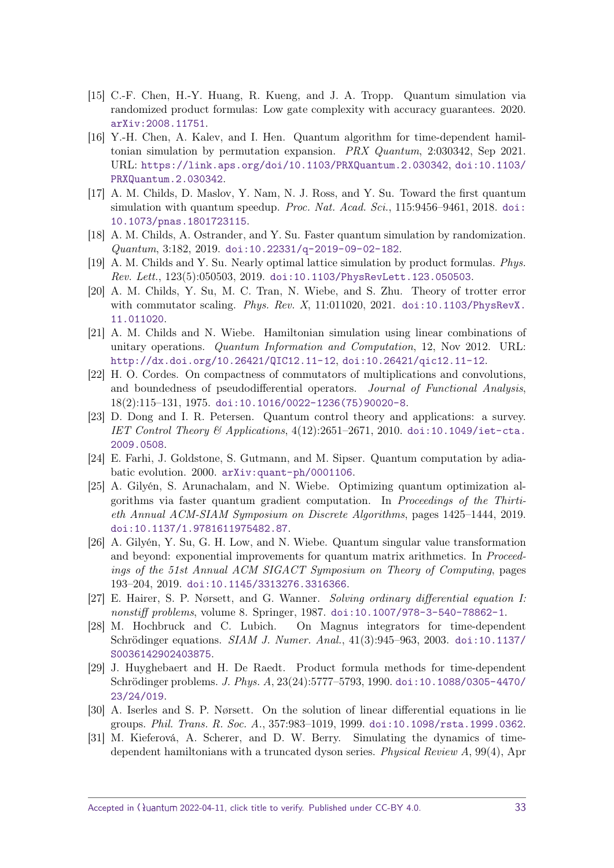- <span id="page-32-3"></span>[15] C.-F. Chen, H.-Y. Huang, R. Kueng, and J. A. Tropp. Quantum simulation via randomized product formulas: Low gate complexity with accuracy guarantees. 2020. [arXiv:2008.11751](http://arxiv.org/abs/2008.11751).
- <span id="page-32-8"></span>[16] Y.-H. Chen, A. Kalev, and I. Hen. Quantum algorithm for time-dependent hamiltonian simulation by permutation expansion. PRX Quantum, 2:030342, Sep 2021. URL: <https://link.aps.org/doi/10.1103/PRXQuantum.2.030342>, [doi:10.1103/](https://doi.org/10.1103/PRXQuantum.2.030342) [PRXQuantum.2.030342](https://doi.org/10.1103/PRXQuantum.2.030342).
- <span id="page-32-4"></span>[17] A. M. Childs, D. Maslov, Y. Nam, N. J. Ross, and Y. Su. Toward the first quantum simulation with quantum speedup. Proc. Nat. Acad. Sci., 115:9456–9461, 2018. [doi:](https://doi.org/10.1073/pnas.1801723115) [10.1073/pnas.1801723115](https://doi.org/10.1073/pnas.1801723115).
- <span id="page-32-5"></span>[18] A. M. Childs, A. Ostrander, and Y. Su. Faster quantum simulation by randomization. Quantum, 3:182, 2019. [doi:10.22331/q-2019-09-02-182](https://doi.org/10.22331/q-2019-09-02-182).
- <span id="page-32-6"></span>[19] A. M. Childs and Y. Su. Nearly optimal lattice simulation by product formulas. Phys. Rev. Lett., 123(5):050503, 2019. [doi:10.1103/PhysRevLett.123.050503](https://doi.org/10.1103/PhysRevLett.123.050503).
- <span id="page-32-1"></span>[20] A. M. Childs, Y. Su, M. C. Tran, N. Wiebe, and S. Zhu. Theory of trotter error with commutator scaling. Phys. Rev.  $X$ , 11:011020, 2021. [doi:10.1103/PhysRevX.](https://doi.org/10.1103/PhysRevX.11.011020) [11.011020](https://doi.org/10.1103/PhysRevX.11.011020).
- <span id="page-32-12"></span>[21] A. M. Childs and N. Wiebe. Hamiltonian simulation using linear combinations of unitary operations. Quantum Information and Computation, 12, Nov 2012. URL: <http://dx.doi.org/10.26421/QIC12.11-12>, [doi:10.26421/qic12.11-12](https://doi.org/10.26421/qic12.11-12).
- <span id="page-32-16"></span>[22] H. O. Cordes. On compactness of commutators of multiplications and convolutions, and boundedness of pseudodifferential operators. Journal of Functional Analysis, 18(2):115–131, 1975. [doi:10.1016/0022-1236\(75\)90020-8](https://doi.org/10.1016/0022-1236(75)90020-8).
- <span id="page-32-2"></span>[23] D. Dong and I. R. Petersen. Quantum control theory and applications: a survey. IET Control Theory & Applications,  $4(12):2651-2671$ , 2010. [doi:10.1049/iet-cta.](https://doi.org/10.1049/iet-cta.2009.0508) [2009.0508](https://doi.org/10.1049/iet-cta.2009.0508).
- <span id="page-32-0"></span>[24] E. Farhi, J. Goldstone, S. Gutmann, and M. Sipser. Quantum computation by adiabatic evolution. 2000. [arXiv:quant-ph/0001106](http://arxiv.org/abs/quant-ph/0001106).
- <span id="page-32-9"></span>[25] A. Gilyén, S. Arunachalam, and N. Wiebe. Optimizing quantum optimization algorithms via faster quantum gradient computation. In Proceedings of the Thirtieth Annual ACM-SIAM Symposium on Discrete Algorithms, pages 1425–1444, 2019. [doi:10.1137/1.9781611975482.87](https://doi.org/10.1137/1.9781611975482.87).
- <span id="page-32-13"></span>[26] A. Gilyén, Y. Su, G. H. Low, and N. Wiebe. Quantum singular value transformation and beyond: exponential improvements for quantum matrix arithmetics. In Proceedings of the 51st Annual ACM SIGACT Symposium on Theory of Computing, pages 193–204, 2019. [doi:10.1145/3313276.3316366](https://doi.org/10.1145/3313276.3316366).
- <span id="page-32-15"></span>[27] E. Hairer, S. P. Nørsett, and G. Wanner. Solving ordinary differential equation I: nonstiff problems, volume 8. Springer, 1987. [doi:10.1007/978-3-540-78862-1](https://doi.org/10.1007/978-3-540-78862-1).
- <span id="page-32-11"></span>[28] M. Hochbruck and C. Lubich. On Magnus integrators for time-dependent Schrödinger equations. SIAM J. Numer. Anal., 41(3):945–963, 2003. [doi:10.1137/](https://doi.org/10.1137/S0036142902403875) [S0036142902403875](https://doi.org/10.1137/S0036142902403875).
- <span id="page-32-10"></span>[29] J. Huyghebaert and H. De Raedt. Product formula methods for time-dependent Schrödinger problems. J. Phys. A, 23(24):5777–5793, 1990. [doi:10.1088/0305-4470/](https://doi.org/10.1088/0305-4470/23/24/019) [23/24/019](https://doi.org/10.1088/0305-4470/23/24/019).
- <span id="page-32-14"></span>[30] A. Iserles and S. P. Nørsett. On the solution of linear differential equations in lie groups. Phil. Trans. R. Soc. A., 357:983–1019, 1999. [doi:10.1098/rsta.1999.0362](https://doi.org/10.1098/rsta.1999.0362).
- <span id="page-32-7"></span>[31] M. Kieferová, A. Scherer, and D. W. Berry. Simulating the dynamics of timedependent hamiltonians with a truncated dyson series. Physical Review A, 99(4), Apr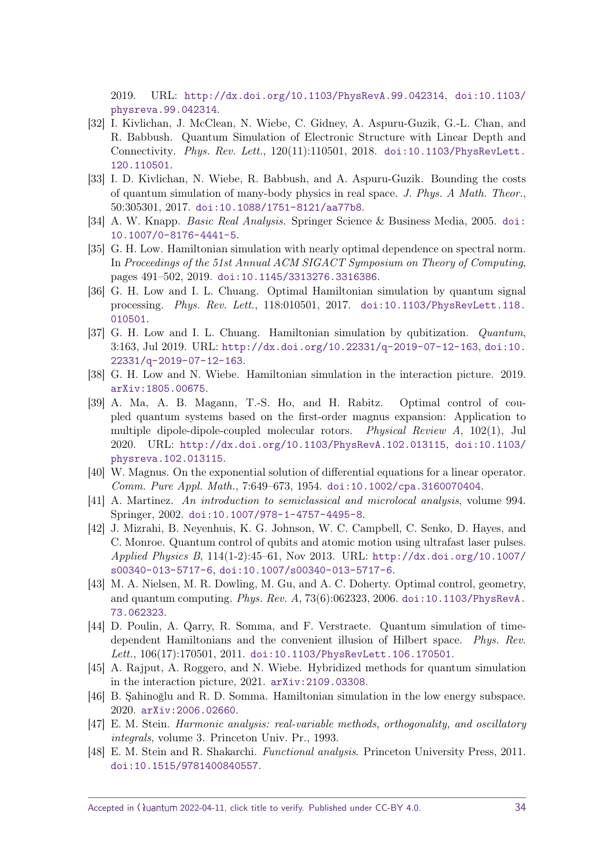2019. URL: <http://dx.doi.org/10.1103/PhysRevA.99.042314>, [doi:10.1103/](https://doi.org/10.1103/physreva.99.042314) [physreva.99.042314](https://doi.org/10.1103/physreva.99.042314).

- <span id="page-33-2"></span>[32] I. Kivlichan, J. McClean, N. Wiebe, C. Gidney, A. Aspuru-Guzik, G.-L. Chan, and R. Babbush. Quantum Simulation of Electronic Structure with Linear Depth and Connectivity. Phys. Rev. Lett., 120(11):110501, 2018. [doi:10.1103/PhysRevLett.](https://doi.org/10.1103/PhysRevLett.120.110501) [120.110501](https://doi.org/10.1103/PhysRevLett.120.110501).
- <span id="page-33-3"></span>[33] I. D. Kivlichan, N. Wiebe, R. Babbush, and A. Aspuru-Guzik. Bounding the costs of quantum simulation of many-body physics in real space. J. Phys. A Math. Theor., 50:305301, 2017. [doi:10.1088/1751-8121/aa77b8](https://doi.org/10.1088/1751-8121/aa77b8).
- <span id="page-33-14"></span>[34] A. W. Knapp. Basic Real Analysis. Springer Science & Business Media, 2005. [doi:](https://doi.org/10.1007/0-8176-4441-5) [10.1007/0-8176-4441-5](https://doi.org/10.1007/0-8176-4441-5).
- <span id="page-33-8"></span>[35] G. H. Low. Hamiltonian simulation with nearly optimal dependence on spectral norm. In Proceedings of the 51st Annual ACM SIGACT Symposium on Theory of Computing, pages 491–502, 2019. [doi:10.1145/3313276.3316386](https://doi.org/10.1145/3313276.3316386).
- <span id="page-33-0"></span>[36] G. H. Low and I. L. Chuang. Optimal Hamiltonian simulation by quantum signal processing. Phys. Rev. Lett., 118:010501, 2017. [doi:10.1103/PhysRevLett.118.](https://doi.org/10.1103/PhysRevLett.118.010501) [010501](https://doi.org/10.1103/PhysRevLett.118.010501).
- <span id="page-33-1"></span>[37] G. H. Low and I. L. Chuang. Hamiltonian simulation by qubitization. Quantum, 3:163, Jul 2019. URL: <http://dx.doi.org/10.22331/q-2019-07-12-163>, [doi:10.](https://doi.org/10.22331/q-2019-07-12-163) [22331/q-2019-07-12-163](https://doi.org/10.22331/q-2019-07-12-163).
- <span id="page-33-6"></span>[38] G. H. Low and N. Wiebe. Hamiltonian simulation in the interaction picture. 2019. [arXiv:1805.00675](http://arxiv.org/abs/1805.00675).
- <span id="page-33-13"></span>[39] A. Ma, A. B. Magann, T.-S. Ho, and H. Rabitz. Optimal control of coupled quantum systems based on the first-order magnus expansion: Application to multiple dipole-dipole-coupled molecular rotors. Physical Review A, 102(1), Jul 2020. URL: <http://dx.doi.org/10.1103/PhysRevA.102.013115>, [doi:10.1103/](https://doi.org/10.1103/physreva.102.013115) [physreva.102.013115](https://doi.org/10.1103/physreva.102.013115).
- <span id="page-33-11"></span>[40] W. Magnus. On the exponential solution of differential equations for a linear operator. Comm. Pure Appl. Math., 7:649–673, 1954. [doi:10.1002/cpa.3160070404](https://doi.org/10.1002/cpa.3160070404).
- <span id="page-33-16"></span>[41] A. Martinez. An introduction to semiclassical and microlocal analysis, volume 994. Springer, 2002. [doi:10.1007/978-1-4757-4495-8](https://doi.org/10.1007/978-1-4757-4495-8).
- <span id="page-33-4"></span>[42] J. Mizrahi, B. Neyenhuis, K. G. Johnson, W. C. Campbell, C. Senko, D. Hayes, and C. Monroe. Quantum control of qubits and atomic motion using ultrafast laser pulses. Applied Physics B, 114(1-2):45–61, Nov 2013. URL: [http://dx.doi.org/10.1007/](http://dx.doi.org/10.1007/s00340-013-5717-6) [s00340-013-5717-6](http://dx.doi.org/10.1007/s00340-013-5717-6), [doi:10.1007/s00340-013-5717-6](https://doi.org/10.1007/s00340-013-5717-6).
- <span id="page-33-5"></span>[43] M. A. Nielsen, M. R. Dowling, M. Gu, and A. C. Doherty. Optimal control, geometry, and quantum computing. Phys. Rev.  $A$ , 73(6):062323, 2006. [doi:10.1103/PhysRevA.](https://doi.org/10.1103/PhysRevA.73.062323) [73.062323](https://doi.org/10.1103/PhysRevA.73.062323).
- <span id="page-33-10"></span>[44] D. Poulin, A. Qarry, R. Somma, and F. Verstraete. Quantum simulation of timedependent Hamiltonians and the convenient illusion of Hilbert space. Phys. Rev. Lett., 106(17):170501, 2011. [doi:10.1103/PhysRevLett.106.170501](https://doi.org/10.1103/PhysRevLett.106.170501).
- <span id="page-33-7"></span>[45] A. Rajput, A. Roggero, and N. Wiebe. Hybridized methods for quantum simulation in the interaction picture, 2021. [arXiv:2109.03308](http://arxiv.org/abs/2109.03308).
- <span id="page-33-9"></span>[46] B. Şahinoğlu and R. D. Somma. Hamiltonian simulation in the low energy subspace. 2020. [arXiv:2006.02660](http://arxiv.org/abs/2006.02660).
- <span id="page-33-12"></span>[47] E. M. Stein. Harmonic analysis: real-variable methods, orthogonality, and oscillatory integrals, volume 3. Princeton Univ. Pr., 1993.
- <span id="page-33-15"></span>[48] E. M. Stein and R. Shakarchi. Functional analysis. Princeton University Press, 2011. [doi:10.1515/9781400840557](https://doi.org/10.1515/9781400840557).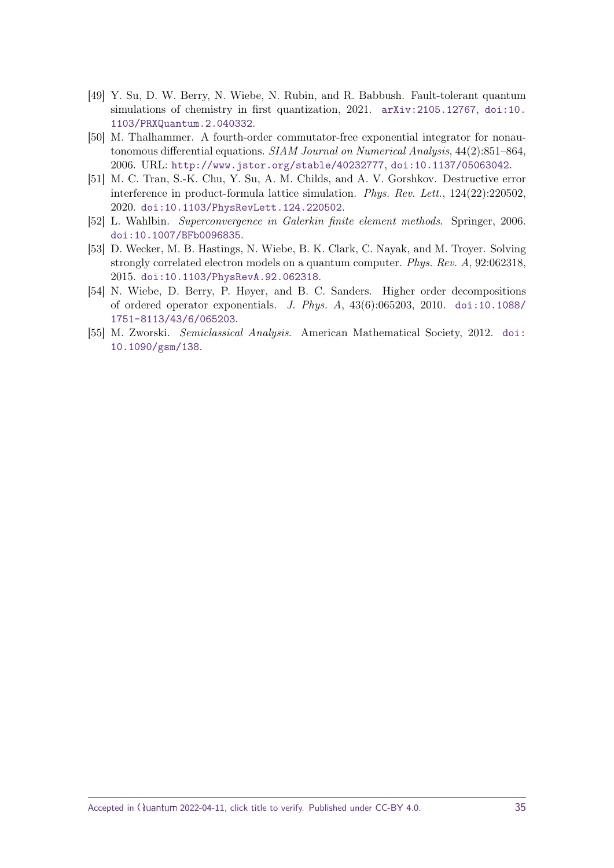- <span id="page-34-0"></span>[49] Y. Su, D. W. Berry, N. Wiebe, N. Rubin, and R. Babbush. Fault-tolerant quantum simulations of chemistry in first quantization, 2021. [arXiv:2105.12767](http://arxiv.org/abs/2105.12767), [doi:10.](https://doi.org/10.1103/PRXQuantum.2.040332) [1103/PRXQuantum.2.040332](https://doi.org/10.1103/PRXQuantum.2.040332).
- <span id="page-34-3"></span>[50] M. Thalhammer. A fourth-order commutator-free exponential integrator for nonautonomous differential equations. SIAM Journal on Numerical Analysis, 44(2):851–864, 2006. URL: <http://www.jstor.org/stable/40232777>, [doi:10.1137/05063042](https://doi.org/10.1137/05063042).
- <span id="page-34-5"></span>[51] M. C. Tran, S.-K. Chu, Y. Su, A. M. Childs, and A. V. Gorshkov. Destructive error interference in product-formula lattice simulation. Phys. Rev. Lett., 124(22):220502, 2020. [doi:10.1103/PhysRevLett.124.220502](https://doi.org/10.1103/PhysRevLett.124.220502).
- <span id="page-34-4"></span>[52] L. Wahlbin. Superconvergence in Galerkin finite element methods. Springer, 2006. [doi:10.1007/BFb0096835](https://doi.org/10.1007/BFb0096835).
- <span id="page-34-1"></span>[53] D. Wecker, M. B. Hastings, N. Wiebe, B. K. Clark, C. Nayak, and M. Troyer. Solving strongly correlated electron models on a quantum computer. Phys. Rev. A, 92:062318, 2015. [doi:10.1103/PhysRevA.92.062318](https://doi.org/10.1103/PhysRevA.92.062318).
- <span id="page-34-2"></span>[54] N. Wiebe, D. Berry, P. Høyer, and B. C. Sanders. Higher order decompositions of ordered operator exponentials. *J. Phys. A*,  $43(6):065203$ ,  $2010$ . [doi:10.1088/](https://doi.org/10.1088/1751-8113/43/6/065203) [1751-8113/43/6/065203](https://doi.org/10.1088/1751-8113/43/6/065203).
- <span id="page-34-6"></span>[55] M. Zworski. Semiclassical Analysis. American Mathematical Society, 2012. [doi:](https://doi.org/10.1090/gsm/138) [10.1090/gsm/138](https://doi.org/10.1090/gsm/138).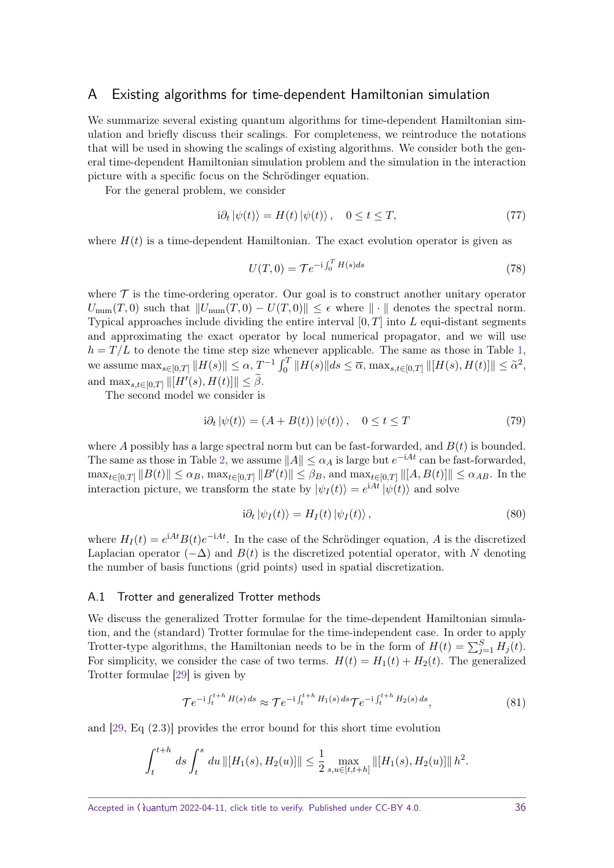## <span id="page-35-0"></span>A Existing algorithms for time-dependent Hamiltonian simulation

We summarize several existing quantum algorithms for time-dependent Hamiltonian simulation and briefly discuss their scalings. For completeness, we reintroduce the notations that will be used in showing the scalings of existing algorithms. We consider both the general time-dependent Hamiltonian simulation problem and the simulation in the interaction picture with a specific focus on the Schrödinger equation.

For the general problem, we consider

$$
i\partial_t |\psi(t)\rangle = H(t) |\psi(t)\rangle, \quad 0 \le t \le T,\tag{77}
$$

where  $H(t)$  is a time-dependent Hamiltonian. The exact evolution operator is given as

$$
U(T,0) = \mathcal{T}e^{-i\int_0^T H(s)ds} \tag{78}
$$

where  $\mathcal T$  is the time-ordering operator. Our goal is to construct another unitary operator  $U_{\text{num}}(T,0)$  such that  $||U_{\text{num}}(T,0) - U(T,0)|| \leq \epsilon$  where  $|| \cdot ||$  denotes the spectral norm. Typical approaches include dividing the entire interval [0*, T*] into *L* equi-distant segments and approximating the exact operator by local numerical propagator, and we will use  $h = T/L$  to denote the time step size whenever applicable. The same as those in Table [1,](#page-4-0)  $\text{where } \max_{s \in [0,T]} \|H(s)\| \leq \alpha, \ T^{-1} \int_0^T \|H(s)\| ds \leq \overline{\alpha}, \ \max_{s,t \in [0,T]} \|H(s), H(t)\| \leq \tilde{\alpha}^2,$ and  $\max_{s,t \in [0,T]} ||[H'(s), H(t)]|| \leq \tilde{\beta}$ .

The second model we consider is

$$
i\partial_t |\psi(t)\rangle = (A + B(t)) |\psi(t)\rangle, \quad 0 \le t \le T
$$
\n(79)

where *A* possibly has a large spectral norm but can be fast-forwarded, and *B*(*t*) is bounded. The same as those in Table [2,](#page-5-0) we assume  $||A|| \leq \alpha_A$  is large but  $e^{-iAt}$  can be fast-forwarded,  $\max_{t \in [0,T]} \|B(t)\| \le \alpha_B$ ,  $\max_{t \in [0,T]} \|B'(t)\| \le \beta_B$ , and  $\max_{t \in [0,T]} \|[A, B(t)]\| \le \alpha_{AB}$ . In the interaction picture, we transform the state by  $|\psi_I(t)\rangle = e^{iAt} |\psi(t)\rangle$  and solve

$$
i\partial_t |\psi_I(t)\rangle = H_I(t) |\psi_I(t)\rangle, \qquad (80)
$$

where  $H_I(t) = e^{iAt}B(t)e^{-iAt}$ . In the case of the Schrödinger equation, *A* is the discretized Laplacian operator  $(-\Delta)$  and  $B(t)$  is the discretized potential operator, with N denoting the number of basis functions (grid points) used in spatial discretization.

#### <span id="page-35-1"></span>A.1 Trotter and generalized Trotter methods

We discuss the generalized Trotter formulae for the time-dependent Hamiltonian simulation, and the (standard) Trotter formulae for the time-independent case. In order to apply Trotter-type algorithms, the Hamiltonian needs to be in the form of  $H(t) = \sum_{j=1}^{S} H_j(t)$ . For simplicity, we consider the case of two terms.  $H(t) = H_1(t) + H_2(t)$ . The generalized Trotter formulae [\[29\]](#page-32-10) is given by

<span id="page-35-2"></span>
$$
\mathcal{T}e^{-\mathrm{i}\int_t^{t+h}H(s)\,ds} \approx \mathcal{T}e^{-\mathrm{i}\int_t^{t+h}H_1(s)\,ds}\mathcal{T}e^{-\mathrm{i}\int_t^{t+h}H_2(s)\,ds},\tag{81}
$$

and [\[29,](#page-32-10) Eq (2.3)] provides the error bound for this short time evolution

$$
\int_{t}^{t+h} ds \int_{t}^{s} du \, ||[H_{1}(s), H_{2}(u)]|| \leq \frac{1}{2} \max_{s, u \in [t, t+h]} \left\| [H_{1}(s), H_{2}(u)] \right\| h^{2}.
$$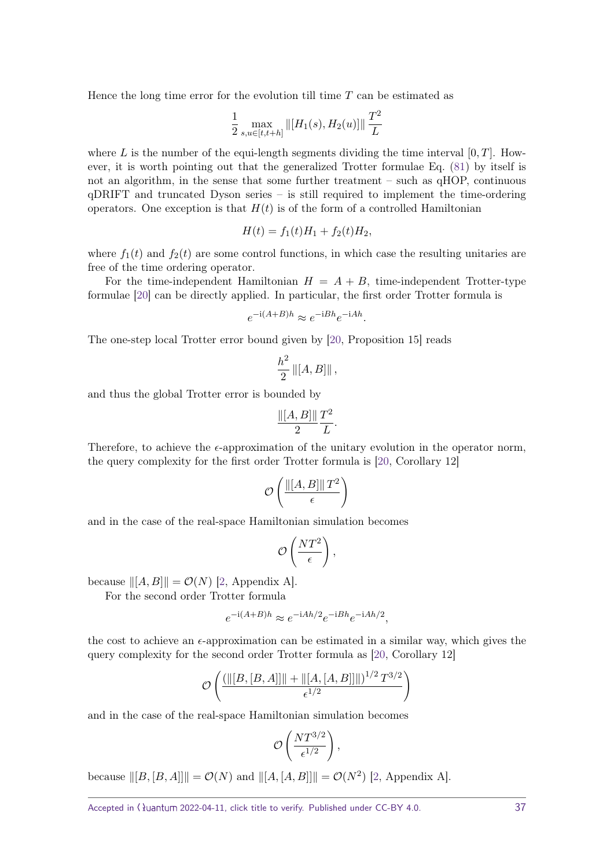Hence the long time error for the evolution till time *T* can be estimated as

$$
\frac{1}{2} \max_{s, u \in [t, t+h]} \| [H_1(s), H_2(u)] \| \frac{T^2}{L}
$$

where L is the number of the equi-length segments dividing the time interval  $[0, T]$ . However, it is worth pointing out that the generalized Trotter formulae Eq. [\(81\)](#page-35-2) by itself is not an algorithm, in the sense that some further treatment – such as qHOP, continuous qDRIFT and truncated Dyson series – is still required to implement the time-ordering operators. One exception is that  $H(t)$  is of the form of a controlled Hamiltonian

$$
H(t) = f_1(t)H_1 + f_2(t)H_2,
$$

where  $f_1(t)$  and  $f_2(t)$  are some control functions, in which case the resulting unitaries are free of the time ordering operator.

For the time-independent Hamiltonian  $H = A + B$ , time-independent Trotter-type formulae [\[20\]](#page-32-1) can be directly applied. In particular, the first order Trotter formula is

$$
e^{-i(A+B)h} \approx e^{-iBh}e^{-iAh}.
$$

The one-step local Trotter error bound given by [\[20,](#page-32-1) Proposition 15] reads

$$
\frac{h^2}{2} ||[A, B]||,
$$

and thus the global Trotter error is bounded by

$$
\frac{\| [A,B] \|}{2} \frac{T^2}{L}.
$$

Therefore, to achieve the  $\epsilon$ -approximation of the unitary evolution in the operator norm, the query complexity for the first order Trotter formula is [\[20,](#page-32-1) Corollary 12]

$$
\mathcal{O}\left(\frac{\|[A,B]\|T^2}{\epsilon}\right)
$$

and in the case of the real-space Hamiltonian simulation becomes

$$
\mathcal{O}\left(\frac{NT^2}{\epsilon}\right),\
$$

because  $\|[A, B]\| = \mathcal{O}(N)$  [\[2,](#page-31-1) Appendix A].

For the second order Trotter formula

$$
e^{-i(A+B)h} \approx e^{-iAh/2}e^{-iBh}e^{-iAh/2},
$$

the cost to achieve an  $\epsilon$ -approximation can be estimated in a similar way, which gives the query complexity for the second order Trotter formula as [\[20,](#page-32-1) Corollary 12]

$$
\mathcal{O}\left(\frac{\left(\left\| [B,[B,A]]\right\|+\left\| [A,[A,B]]\right\| \right)^{1/2} T^{3/2}}{\epsilon^{1/2}}\right)
$$

and in the case of the real-space Hamiltonian simulation becomes

$$
\mathcal{O}\left(\frac{NT^{3/2}}{\epsilon^{1/2}}\right),\,
$$

because  $||[B, [B, A]]|| = \mathcal{O}(N)$  and  $||[A, [A, B]]|| = \mathcal{O}(N^2)$  [\[2,](#page-31-1) Appendix A].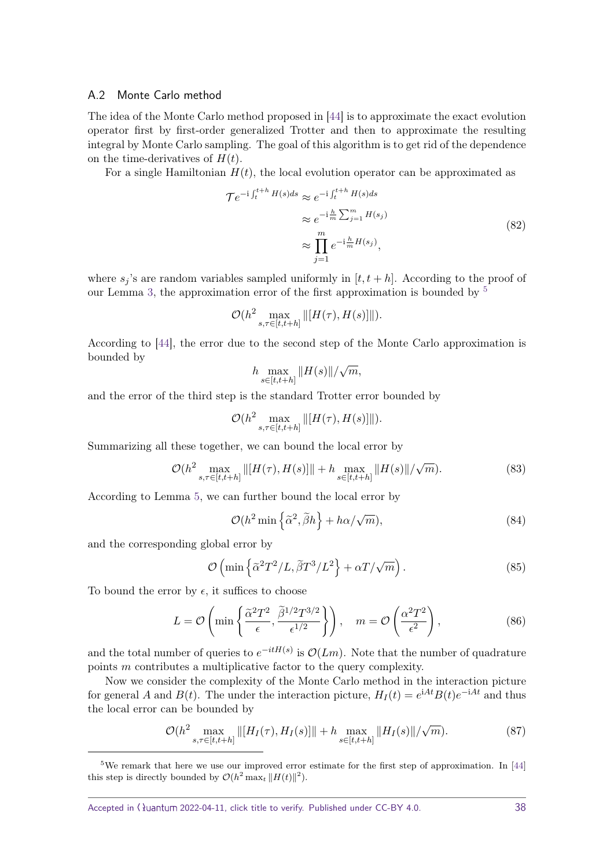#### <span id="page-37-0"></span>A.2 Monte Carlo method

The idea of the Monte Carlo method proposed in [\[44\]](#page-33-10) is to approximate the exact evolution operator first by first-order generalized Trotter and then to approximate the resulting integral by Monte Carlo sampling. The goal of this algorithm is to get rid of the dependence on the time-derivatives of  $H(t)$ .

For a single Hamiltonian  $H(t)$ , the local evolution operator can be approximated as

$$
\mathcal{T}e^{-i\int_t^{t+h} H(s)ds} \approx e^{-i\int_t^{t+h} H(s)ds}
$$

$$
\approx e^{-i\frac{h}{m}\sum_{j=1}^m H(s_j)}
$$

$$
\approx \prod_{j=1}^m e^{-i\frac{h}{m}H(s_j)},
$$
(82)

where  $s_j$ 's are random variables sampled uniformly in  $[t, t + h]$ . According to the proof of our Lemma [3,](#page-14-1) the approximation error of the first approximation is bounded by  $5$ 

$$
\mathcal{O}(h^2 \max_{s,\tau \in [t,t+h]} \Vert [H(\tau),H(s)] \Vert).
$$

According to [\[44\]](#page-33-10), the error due to the second step of the Monte Carlo approximation is bounded by √

$$
h \max_{s \in [t, t+h]} \|H(s)\| / \sqrt{m},
$$

and the error of the third step is the standard Trotter error bounded by

$$
\mathcal{O}(h^2 \max_{s,\tau \in [t,t+h]} \left\| [H(\tau),H(s)] \right\|).
$$

Summarizing all these together, we can bound the local error by

$$
\mathcal{O}(h^2 \max_{s,\tau \in [t,t+h]} \| [H(\tau), H(s)] \| + h \max_{s \in [t,t+h]} \| H(s) \| / \sqrt{m}).
$$
\n(83)

According to Lemma [5,](#page-17-1) we can further bound the local error by

$$
\mathcal{O}(h^2 \min\left\{\tilde{\alpha}^2, \tilde{\beta}h\right\} + h\alpha/\sqrt{m}),\tag{84}
$$

and the corresponding global error by

$$
\mathcal{O}\left(\min\left\{\tilde{\alpha}^2 T^2/L, \tilde{\beta} T^3/L^2\right\} + \alpha T/\sqrt{m}\right). \tag{85}
$$

To bound the error by  $\epsilon$ , it suffices to choose

$$
L = \mathcal{O}\left(\min\left\{\frac{\tilde{\alpha}^2 T^2}{\epsilon}, \frac{\tilde{\beta}^{1/2} T^{3/2}}{\epsilon^{1/2}}\right\}\right), \quad m = \mathcal{O}\left(\frac{\alpha^2 T^2}{\epsilon^2}\right),\tag{86}
$$

and the total number of queries to  $e^{-itH(s)}$  is  $\mathcal{O}(Lm)$ . Note that the number of quadrature points *m* contributes a multiplicative factor to the query complexity.

Now we consider the complexity of the Monte Carlo method in the interaction picture for general *A* and *B*(*t*). The under the interaction picture,  $H_I(t) = e^{iAt}B(t)e^{-iAt}$  and thus the local error can be bounded by

$$
\mathcal{O}(h^2 \max_{s,\tau \in [t,t+h]} \| [H_I(\tau), H_I(s)] \| + h \max_{s \in [t,t+h]} \| H_I(s) \| / \sqrt{m}).
$$
\n(87)

<span id="page-37-1"></span><sup>5</sup>We remark that here we use our improved error estimate for the first step of approximation. In [\[44\]](#page-33-10) this step is directly bounded by  $\mathcal{O}(h^2 \max_t \|H(t)\|^2)$ .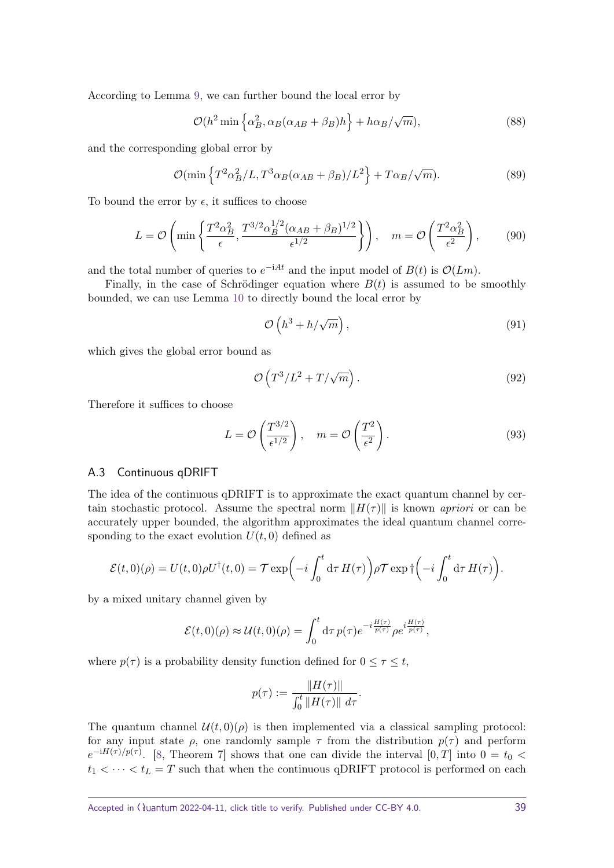According to Lemma [9,](#page-21-2) we can further bound the local error by

$$
\mathcal{O}(h^2 \min \left\{ \alpha_B^2, \alpha_B(\alpha_{AB} + \beta_B)h \right\} + h\alpha_B/\sqrt{m}), \tag{88}
$$

and the corresponding global error by

$$
\mathcal{O}(\min\left\{T^2\alpha_B^2/L, T^3\alpha_B(\alpha_{AB}+\beta_B)/L^2\right\} + T\alpha_B/\sqrt{m}).\tag{89}
$$

To bound the error by  $\epsilon$ , it suffices to choose

$$
L = \mathcal{O}\left(\min\left\{\frac{T^2\alpha_B^2}{\epsilon}, \frac{T^{3/2}\alpha_B^{1/2}(\alpha_{AB} + \beta_B)^{1/2}}{\epsilon^{1/2}}\right\}\right), \quad m = \mathcal{O}\left(\frac{T^2\alpha_B^2}{\epsilon^2}\right),\tag{90}
$$

and the total number of queries to  $e^{-iAt}$  and the input model of  $B(t)$  is  $\mathcal{O}(Lm)$ .

Finally, in the case of Schrödinger equation where  $B(t)$  is assumed to be smoothly bounded, we can use Lemma [10](#page-24-0) to directly bound the local error by

$$
\mathcal{O}\left(h^3 + h/\sqrt{m}\right),\tag{91}
$$

which gives the global error bound as

$$
\mathcal{O}\left(T^3/L^2 + T/\sqrt{m}\right). \tag{92}
$$

Therefore it suffices to choose

$$
L = \mathcal{O}\left(\frac{T^{3/2}}{\epsilon^{1/2}}\right), \quad m = \mathcal{O}\left(\frac{T^2}{\epsilon^2}\right). \tag{93}
$$

## <span id="page-38-0"></span>A.3 Continuous qDRIFT

The idea of the continuous qDRIFT is to approximate the exact quantum channel by certain stochastic protocol. Assume the spectral norm  $||H(\tau)||$  is known *apriori* or can be accurately upper bounded, the algorithm approximates the ideal quantum channel corresponding to the exact evolution  $U(t, 0)$  defined as

$$
\mathcal{E}(t,0)(\rho) = U(t,0)\rho U^{\dagger}(t,0) = \mathcal{T} \exp\left(-i\int_0^t \mathrm{d}\tau \, H(\tau)\right) \rho \mathcal{T} \exp \Big(-i\int_0^t \mathrm{d}\tau \, H(\tau)\Big).
$$

by a mixed unitary channel given by

$$
\mathcal{E}(t,0)(\rho) \approx \mathcal{U}(t,0)(\rho) = \int_0^t d\tau \, p(\tau) e^{-i\frac{H(\tau)}{p(\tau)}} \rho e^{i\frac{H(\tau)}{p(\tau)}},
$$

where  $p(\tau)$  is a probability density function defined for  $0 \leq \tau \leq t$ ,

$$
p(\tau) := \frac{\|H(\tau)\|}{\int_0^t \|H(\tau)\| \ d\tau}.
$$

The quantum channel  $\mathcal{U}(t, 0)(\rho)$  is then implemented via a classical sampling protocol: for any input state  $\rho$ , one randomly sample  $\tau$  from the distribution  $p(\tau)$  and perform  $e^{-iH(\tau)/p(\tau)}$ . [\[8,](#page-31-9) Theorem 7] shows that one can divide the interval [0*,T*] into 0 = *t*<sub>0</sub> <  $t_1 < \cdots < t_L = T$  such that when the continuous qDRIFT protocol is performed on each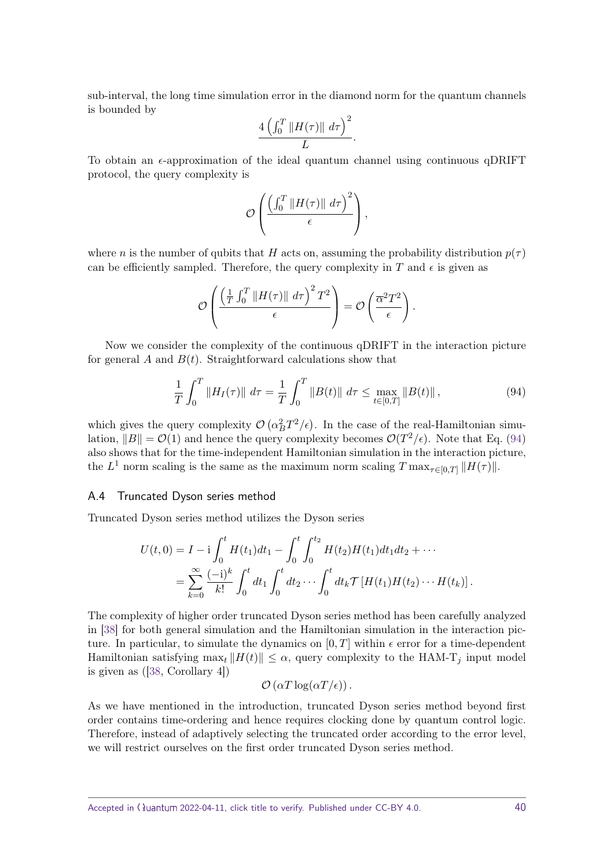sub-interval, the long time simulation error in the diamond norm for the quantum channels is bounded by

$$
\frac{4\left(\int_0^T \|H(\tau)\| d\tau\right)^2}{L}.
$$

To obtain an  $\epsilon$ -approximation of the ideal quantum channel using continuous qDRIFT protocol, the query complexity is

$$
\mathcal{O}\left(\frac{\left(\int_0^T \|H(\tau)\| d\tau\right)^2}{\epsilon}\right),\,
$$

where *n* is the number of qubits that *H* acts on, assuming the probability distribution  $p(\tau)$ can be efficiently sampled. Therefore, the query complexity in  $T$  and  $\epsilon$  is given as

$$
\mathcal{O}\left(\frac{\left(\frac{1}{T}\int_0^T \|H(\tau)\| \ d\tau\right)^2 T^2}{\epsilon}\right) = \mathcal{O}\left(\frac{\overline{\alpha}^2 T^2}{\epsilon}\right).
$$

Now we consider the complexity of the continuous qDRIFT in the interaction picture for general  $A$  and  $B(t)$ . Straightforward calculations show that

<span id="page-39-1"></span>
$$
\frac{1}{T} \int_0^T \|H_I(\tau)\| \ d\tau = \frac{1}{T} \int_0^T \|B(t)\| \ d\tau \le \max_{t \in [0,T]} \|B(t)\| \,, \tag{94}
$$

which gives the query complexity  $\mathcal{O}(\alpha_B^2 T^2/\epsilon)$ . In the case of the real-Hamiltonian simulation,  $||B|| = \mathcal{O}(1)$  and hence the query complexity becomes  $\mathcal{O}(T^2/\epsilon)$ . Note that Eq. [\(94\)](#page-39-1) also shows that for the time-independent Hamiltonian simulation in the interaction picture, the  $L^1$  norm scaling is the same as the maximum norm scaling  $T \max_{\tau \in [0,T]} ||H(\tau)||$ .

#### <span id="page-39-0"></span>A.4 Truncated Dyson series method

Truncated Dyson series method utilizes the Dyson series

$$
U(t,0) = I - i \int_0^t H(t_1) dt_1 - \int_0^t \int_0^{t_2} H(t_2) H(t_1) dt_1 dt_2 + \cdots
$$
  
= 
$$
\sum_{k=0}^{\infty} \frac{(-i)^k}{k!} \int_0^t dt_1 \int_0^t dt_2 \cdots \int_0^t dt_k \mathcal{T}[H(t_1) H(t_2) \cdots H(t_k)].
$$

The complexity of higher order truncated Dyson series method has been carefully analyzed in [\[38\]](#page-33-6) for both general simulation and the Hamiltonian simulation in the interaction picture. In particular, to simulate the dynamics on  $[0, T]$  within  $\epsilon$  error for a time-dependent Hamiltonian satisfying  $\max_t ||H(t)|| \leq \alpha$ , query complexity to the HAM-T<sub>j</sub> input model is given as ([\[38,](#page-33-6) Corollary 4])

$$
\mathcal{O}\left(\alpha T \log(\alpha T/\epsilon)\right).
$$

As we have mentioned in the introduction, truncated Dyson series method beyond first order contains time-ordering and hence requires clocking done by quantum control logic. Therefore, instead of adaptively selecting the truncated order according to the error level, we will restrict ourselves on the first order truncated Dyson series method.